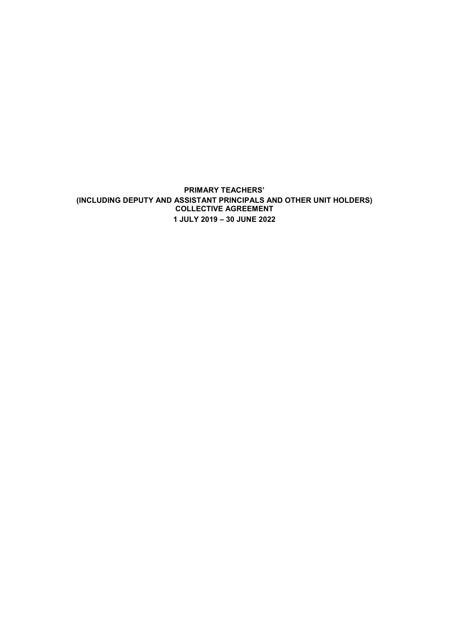**PRIMARY TEACHERS' (INCLUDING DEPUTY AND ASSISTANT PRINCIPALS AND OTHER UNIT HOLDERS) COLLECTIVE AGREEMENT 1 JULY 2019 – 30 JUNE 2022**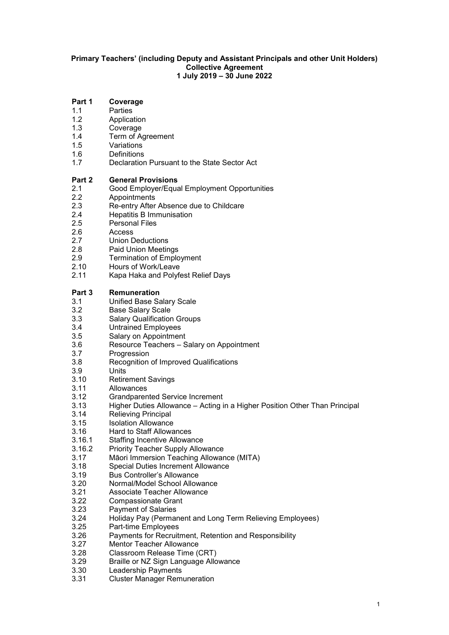#### **Primary Teachers' (including Deputy and Assistant Principals and other Unit Holders) Collective Agreement 1 July 2019 – 30 June 2022**

# **Part 1 Coverage**<br>1.1 Parties

- 1.1 Parties<br>1.2 Applica
- 1.2 Application<br>1.3 Coverage
- 1.3 Coverage<br>1.4 Term of A
- 1.4 Term of Agreement<br>1.5 Variations
- Variations<sup>1</sup>
- 1.6 Definitions<br>1.7 Declaration
- Declaration Pursuant to the State Sector Act

### **Part 2 • General Provisions**<br>2.1 • Good Employer/Equa

- 2.1 Good Employer/Equal Employment Opportunities
- 2.2 Appointments<br>2.3 Re-entry After
- 2.3 Re-entry After Absence due to Childcare<br>2.4 Henatitis B Immunisation
- 2.4 Hepatitis B Immunisation<br>2.5 Personal Files
- 2.5 Personal Files<br>2.6 Access
- 2.6 Access<br>2.7 Union D
- **Union Deductions**
- 2.8 Paid Union Meetings
- 2.9 Termination of Employment
- 2.10 Hours of Work/Leave
- 2.11 Kapa Haka and Polyfest Relief Days

# **Part 3 Remuneration**<br>3.1 **Unified Base Same**

- 3.1 Unified Base Salary Scale
- 3.2 Base Salary Scale<br>3.3 Salary Qualification
- 3.3 Salary Qualification Groups<br>3.4 Untrained Emplovees
- 3.4 Untrained Employees<br>3.5 Salary on Appointmen
- Salary on Appointment
- 3.6 Resource Teachers Salary on Appointment
- 3.7 Progression
- 3.8 Recognition of Improved Qualifications
- 3.9 Units<br>3.10 Retire
- 3.10 Retirement Savings<br>3.11 Allowances
- 3.11 Allowances
- 3.12 Grandparented Service Increment
- Higher Duties Allowance Acting in a Higher Position Other Than Principal
- 3.14 Relieving Principal
- 3.15 Isolation Allowance
- 3.16 Hard to Staff Allowances
- 3.16.1 Staffing Incentive Allowance<br>3.16.2 Priority Teacher Supply Alloy
- Priority Teacher Supply Allowance
- 3.17 Māori Immersion Teaching Allowance (MITA)
- 3.18 Special Duties Increment Allowance<br>3.19 Bus Controller's Allowance
- 3.19 Bus Controller's Allowance<br>3.20 Normal/Model School Allow
- 3.20 Normal/Model School Allowance
- 3.21 Associate Teacher Allowance<br>3.22 Compassionate Grant
- Compassionate Grant
- 3.23 Payment of Salaries
- 3.24 Holiday Pay (Permanent and Long Term Relieving Employees)
- 3.25 Part-time Employees
- 3.26 Payments for Recruitment, Retention and Responsibility
- 3.27 Mentor Teacher Allowance
- 3.28 Classroom Release Time (CRT)
- 3.29 Braille or NZ Sign Language Allowance
- Leadership Payments
- 3.31 Cluster Manager Remuneration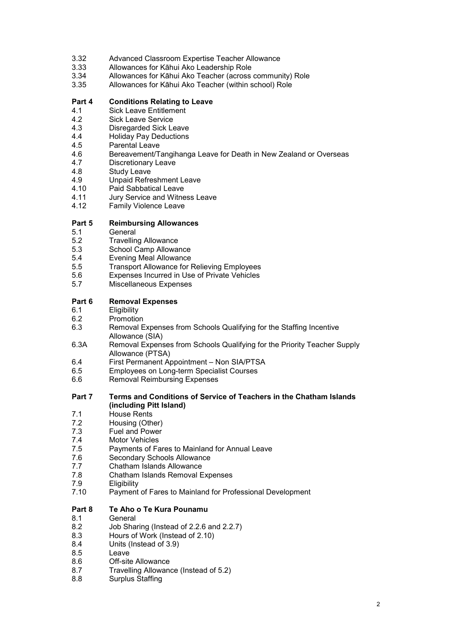- 3.32 Advanced Classroom Expertise Teacher Allowance
- 3.33 Allowances for Kāhui Ako Leadership Role
- 3.34 Allowances for Kāhui Ako Teacher (across community) Role
- 3.35 Allowances for Kāhui Ako Teacher (within school) Role

### **Part 4 Conditions Relating to Leave**

- 4.1 Sick Leave Entitlement<br>4.2 Sick Leave Service
- Sick Leave Service
- 4.3 Disregarded Sick Leave
- 4.4 Holiday Pay Deductions
- 4.5 Parental Leave
- 4.6 Bereavement/Tangihanga Leave for Death in New Zealand or Overseas<br>4.7 Discretionary Leave
- 4.7 Discretionary Leave<br>4.8 Study Leave
- 4.8 Study Leave<br>4.9 Unpaid Refre
- 4.9 Unpaid Refreshment Leave<br>4.10 Paid Sabbatical Leave
- 4.10 Paid Sabbatical Leave<br>4.11 Jury Service and Witne
- 4.11 Jury Service and Witness Leave<br>4.12 Family Violence Leave
- **Family Violence Leave**

### **Part 5 Reimbursing Allowances**

- 5.1 General<br>5.2 Travellin
- 5.2 Travelling Allowance<br>5.3 School Camp Allowa
- School Camp Allowance
- 5.4 Evening Meal Allowance
- 5.5 Transport Allowance for Relieving Employees<br>5.6 Expenses Incurred in Use of Private Vehicles
- 5.6 Expenses Incurred in Use of Private Vehicles
- Miscellaneous Expenses

### **Part 6 Removal Expenses**<br>6.1 **Eligibility**

- 6.1 Eligibility
- 6.2 Promotion<br>6.3 Removal B
- Removal Expenses from Schools Qualifying for the Staffing Incentive Allowance (SIA)
- 6.3A Removal Expenses from Schools Qualifying for the Priority Teacher Supply Allowance (PTSA)
- 6.4 First Permanent Appointment Non SIA/PTSA
- 6.5 Employees on Long-term Specialist Courses
- **Removal Reimbursing Expenses**

#### **Part 7 Terms and Conditions of Service of Teachers in the Chatham Islands (including Pitt Island)**

- 7.1 House Rents
- 7.2 Housing (Other)
- 7.3 Fuel and Power<br>7.4 Motor Vehicles
- 7.4 Motor Vehicles<br>7.5 Payments of Fa
- Payments of Fares to Mainland for Annual Leave
- 7.6 Secondary Schools Allowance<br>7.7 Chatham Islands Allowance
- 7.7 Chatham Islands Allowance<br>7.8 Chatham Islands Removal E
- 7.8 Chatham Islands Removal Expenses
- 7.9 Eligibility<br>7.10 Payment
- Payment of Fares to Mainland for Professional Development

### **Part 8 Te Aho o Te Kura Pounamu**

- 8.1 General
- 8.2 Job Sharing (Instead of 2.2.6 and 2.2.7)
- 8.3 Hours of Work (Instead of 2.10)<br>8.4 Units (Instead of 3.9)
- 8.4 Units (Instead of 3.9)<br>8.5 Leave
- I eave
- 8.6 Off-site Allowance<br>8.7 Travelling Allowan
- 8.7 Travelling Allowance (Instead of 5.2)
- 8.8 Surplus Staffing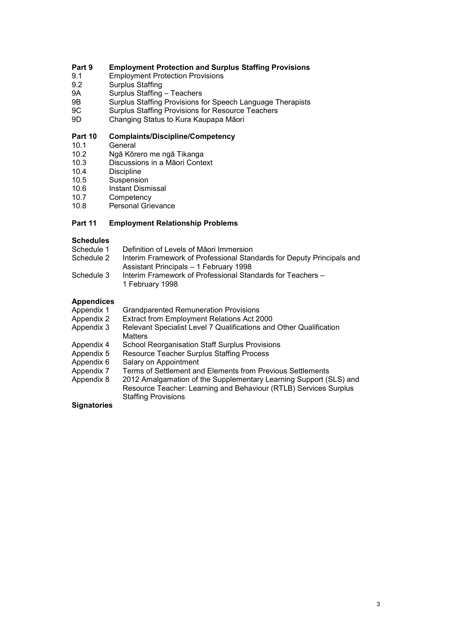# **Part 9 Employment Protection and Surplus Staffing Provisions**

- 9.1 Employment Protection Provisions<br>9.2 Surplus Staffing
- 9.2 Surplus Staffing<br>
9A Surplus Staffing
- 9A Surplus Staffing Teachers
- 9B Surplus Staffing Provisions for Speech Language Therapists
- 9C Surplus Staffing Provisions for Resource Teachers<br>9D Changing Status to Kura Kaupapa Māori
- Changing Status to Kura Kaupapa Māori

# **Part 10 Complaints/Discipline/Competency**

- 10.1 General<br>10.2 Ngā Kōr
- 10.2 Ngā Kōrero me ngā Tikanga
- 10.3 Discussions in a Māori Context<br>10.4 Discipline
- 10.4 Discipline<br>10.5 Suspensic
- 10.5 Suspension<br>10.6 Instant Dism
- 10.6 Instant Dismissal<br>10.7 Competency
- 10.7 Competency<br>10.8 Personal Grie
- Personal Grievance

#### **Part 11 Employment Relationship Problems**

#### **Schedules**

| Schedule 1 | Definition of Levels of Maori Immersion                                       |
|------------|-------------------------------------------------------------------------------|
| Schedule 2 | Interim Framework of Professional Standards for Deputy Principals and         |
|            | Assistant Principals - 1 February 1998                                        |
| Schedule 3 | Interim Framework of Professional Standards for Teachers -<br>1 February 1998 |

### **Appendices**

| Appendix 1 | <b>Grandparented Remuneration Provisions</b>                                         |
|------------|--------------------------------------------------------------------------------------|
| Appendix 2 | Extract from Employment Relations Act 2000                                           |
| Appendix 3 | Relevant Specialist Level 7 Qualifications and Other Qualification<br><b>Matters</b> |
| Appendix 4 | <b>School Reorganisation Staff Surplus Provisions</b>                                |
| Appendix 5 | Resource Teacher Surplus Staffing Process                                            |
| Appendix 6 | Salary on Appointment                                                                |
| Appendix 7 | Terms of Settlement and Elements from Previous Settlements                           |
| Appendix 8 | 2012 Amalgamation of the Supplementary Learning Support (SLS) and                    |
|            | Resource Teacher: Learning and Behaviour (RTLB) Services Surplus                     |
|            | <b>Staffing Provisions</b>                                                           |

#### **Signatories**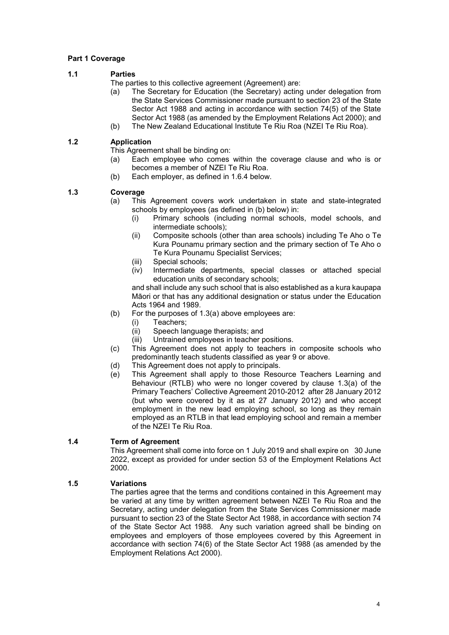### **Part 1 Coverage**

### **1.1 Parties**

The parties to this collective agreement (Agreement) are:

- (a) The Secretary for Education (the Secretary) acting under delegation from the State Services Commissioner made pursuant to section 23 of the State Sector Act 1988 and acting in accordance with section 74(5) of the State Sector Act 1988 (as amended by the Employment Relations Act 2000); and
- (b) The New Zealand Educational Institute Te Riu Roa (NZEI Te Riu Roa).

### **1.2 Application**

This Agreement shall be binding on:

- (a) Each employee who comes within the coverage clause and who is or becomes a member of NZEI Te Riu Roa.
- (b) Each employer, as defined in 1.6.4 below.

### **1.3 Coverage**

- (a) This Agreement covers work undertaken in state and state-integrated schools by employees (as defined in (b) below) in:
	- (i) Primary schools (including normal schools, model schools, and intermediate schools);
	- (ii) Composite schools (other than area schools) including Te Aho o Te Kura Pounamu primary section and the primary section of Te Aho o Te Kura Pounamu Specialist Services;
	- (iii) Special schools;
	- (iv) Intermediate departments, special classes or attached special education units of secondary schools;

and shall include any such school that is also established as a kura kaupapa Māori or that has any additional designation or status under the Education Acts 1964 and 1989.

- (b) For the purposes of 1.3(a) above employees are:
	- (i) Teachers;<br>(ii) Speech la
	- Speech language therapists; and
	- (iii) Untrained employees in teacher positions.
- (c) This Agreement does not apply to teachers in composite schools who predominantly teach students classified as year 9 or above.
- (d) This Agreement does not apply to principals.
- (e) This Agreement shall apply to those Resource Teachers Learning and Behaviour (RTLB) who were no longer covered by clause 1.3(a) of the Primary Teachers' Collective Agreement 2010-2012 after 28 January 2012 (but who were covered by it as at 27 January 2012) and who accept employment in the new lead employing school, so long as they remain employed as an RTLB in that lead employing school and remain a member of the NZEI Te Riu Roa.

### **1.4 Term of Agreement**

This Agreement shall come into force on 1 July 2019 and shall expire on 30 June 2022, except as provided for under section 53 of the Employment Relations Act 2000.

### **1.5 Variations**

The parties agree that the terms and conditions contained in this Agreement may be varied at any time by written agreement between NZEI Te Riu Roa and the Secretary, acting under delegation from the State Services Commissioner made pursuant to section 23 of the State Sector Act 1988, in accordance with section 74 of the State Sector Act 1988. Any such variation agreed shall be binding on employees and employers of those employees covered by this Agreement in accordance with section 74(6) of the State Sector Act 1988 (as amended by the Employment Relations Act 2000).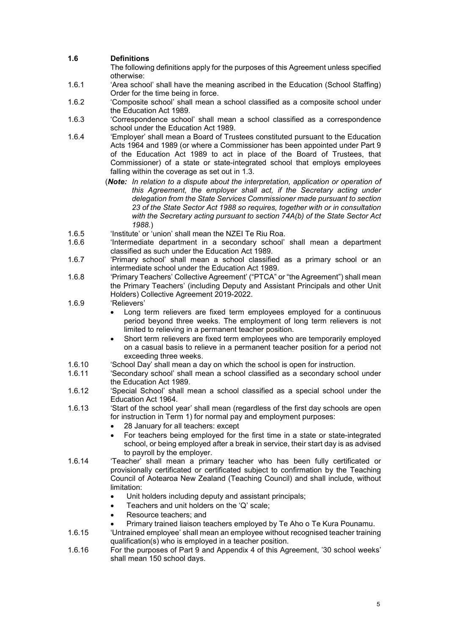### **1.6 Definitions**

The following definitions apply for the purposes of this Agreement unless specified otherwise:

- 1.6.1 'Area school' shall have the meaning ascribed in the Education (School Staffing) Order for the time being in force.
- 1.6.2 'Composite school' shall mean a school classified as a composite school under the Education Act 1989.
- 1.6.3 'Correspondence school' shall mean a school classified as a correspondence school under the Education Act 1989.
- 1.6.4 'Employer' shall mean a Board of Trustees constituted pursuant to the Education Acts 1964 and 1989 (or where a Commissioner has been appointed under Part 9 of the Education Act 1989 to act in place of the Board of Trustees, that Commissioner) of a state or state-integrated school that employs employees falling within the coverage as set out in 1.3.
	- (*Note: In relation to a dispute about the interpretation, application or operation of this Agreement, the employer shall act, if the Secretary acting under delegation from the State Services Commissioner made pursuant to section 23 of the State Sector Act 1988 so requires, together with or in consultation with the Secretary acting pursuant to section 74A(b) of the State Sector Act 1988.*)
- 1.6.5 'Institute' or 'union' shall mean the NZEI Te Riu Roa.
- 'Intermediate department in a secondary school' shall mean a department classified as such under the Education Act 1989.
- 1.6.7 'Primary school' shall mean a school classified as a primary school or an intermediate school under the Education Act 1989.
- 1.6.8 'Primary Teachers' Collective Agreement' ("PTCA" or "the Agreement") shall mean the Primary Teachers' (including Deputy and Assistant Principals and other Unit Holders) Collective Agreement 2019-2022.
- 1.6.9 'Relievers'
	- Long term relievers are fixed term employees employed for a continuous period beyond three weeks. The employment of long term relievers is not limited to relieving in a permanent teacher position.
	- Short term relievers are fixed term employees who are temporarily employed on a casual basis to relieve in a permanent teacher position for a period not exceeding three weeks.
- 1.6.10 'School Day' shall mean a day on which the school is open for instruction.<br>1.6.11 'Secondary school' shall mean a school classified as a secondary school
- 'Secondary school' shall mean a school classified as a secondary school under the Education Act 1989.
- 1.6.12 'Special School' shall mean a school classified as a special school under the Education Act 1964.
- 1.6.13 'Start of the school year' shall mean (regardless of the first day schools are open for instruction in Term 1) for normal pay and employment purposes:
	- 28 January for all teachers: except
	- For teachers being employed for the first time in a state or state-integrated school, or being employed after a break in service, their start day is as advised to payroll by the employer.
- 1.6.14 'Teacher' shall mean a primary teacher who has been fully certificated or provisionally certificated or certificated subject to confirmation by the Teaching Council of Aotearoa New Zealand (Teaching Council) and shall include, without limitation:
	- Unit holders including deputy and assistant principals;
	- Teachers and unit holders on the 'Q' scale;
	- Resource teachers; and
	- Primary trained liaison teachers employed by Te Aho o Te Kura Pounamu.
- 1.6.15 'Untrained employee' shall mean an employee without recognised teacher training qualification(s) who is employed in a teacher position.
- 1.6.16 For the purposes of Part 9 and Appendix 4 of this Agreement, '30 school weeks' shall mean 150 school days.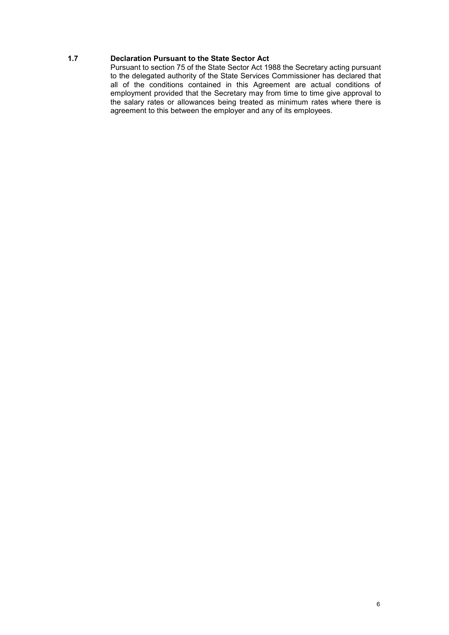### **1.7 Declaration Pursuant to the State Sector Act**

Pursuant to section 75 of the State Sector Act 1988 the Secretary acting pursuant to the delegated authority of the State Services Commissioner has declared that all of the conditions contained in this Agreement are actual conditions of employment provided that the Secretary may from time to time give approval to the salary rates or allowances being treated as minimum rates where there is agreement to this between the employer and any of its employees.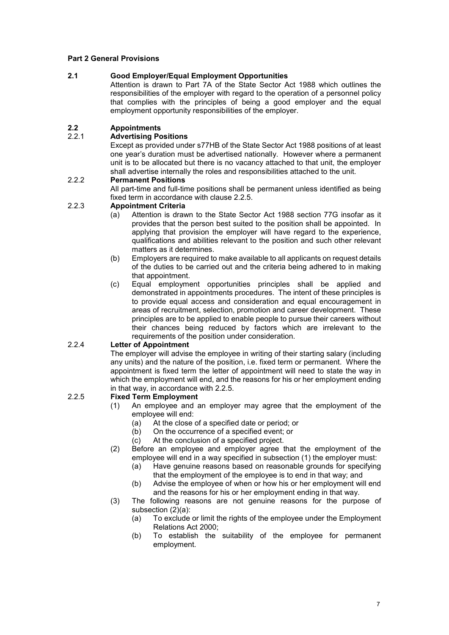### **Part 2 General Provisions**

#### **2.1 Good Employer/Equal Employment Opportunities**

Attention is drawn to Part 7A of the State Sector Act 1988 which outlines the responsibilities of the employer with regard to the operation of a personnel policy that complies with the principles of being a good employer and the equal employment opportunity responsibilities of the employer.

### **2.2 Appointments**

#### 2.2.1 **Advertising Positions**

Except as provided under s77HB of the State Sector Act 1988 positions of at least one year's duration must be advertised nationally. However where a permanent unit is to be allocated but there is no vacancy attached to that unit, the employer shall advertise internally the roles and responsibilities attached to the unit.

#### 2.2.2 **Permanent Positions**

All part-time and full-time positions shall be permanent unless identified as being fixed term in accordance with clause 2.2.5.

### 2.2.3 **Appointment Criteria**

- (a) Attention is drawn to the State Sector Act 1988 section 77G insofar as it provides that the person best suited to the position shall be appointed. In applying that provision the employer will have regard to the experience, qualifications and abilities relevant to the position and such other relevant matters as it determines.
- (b) Employers are required to make available to all applicants on request details of the duties to be carried out and the criteria being adhered to in making that appointment.
- (c) Equal employment opportunities principles shall be applied and demonstrated in appointments procedures. The intent of these principles is to provide equal access and consideration and equal encouragement in areas of recruitment, selection, promotion and career development. These principles are to be applied to enable people to pursue their careers without their chances being reduced by factors which are irrelevant to the requirements of the position under consideration.

### 2.2.4 **Letter of Appointment**

The employer will advise the employee in writing of their starting salary (including any units) and the nature of the position, i.e. fixed term or permanent. Where the appointment is fixed term the letter of appointment will need to state the way in which the employment will end, and the reasons for his or her employment ending in that way, in accordance with 2.2.5.

#### 2.2.5 **Fixed Term Employment**

- (1) An employee and an employer may agree that the employment of the employee will end:
	- (a) At the close of a specified date or period; or
	- (b) On the occurrence of a specified event; or
	- (c) At the conclusion of a specified project.
- (2) Before an employee and employer agree that the employment of the employee will end in a way specified in subsection (1) the employer must:<br>(a) Have genuine reasons based on reasonable grounds for specifying
	- Have genuine reasons based on reasonable grounds for specifying that the employment of the employee is to end in that way; and
	- (b) Advise the employee of when or how his or her employment will end and the reasons for his or her employment ending in that way.
- (3) The following reasons are not genuine reasons for the purpose of subsection (2)(a):
	- (a) To exclude or limit the rights of the employee under the Employment Relations Act 2000;
	- (b) To establish the suitability of the employee for permanent employment.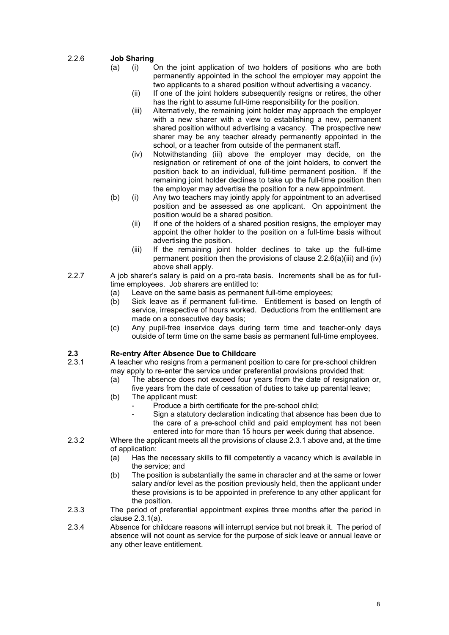### 2.2.6 **Job Sharing**

- (a) (i) On the joint application of two holders of positions who are both permanently appointed in the school the employer may appoint the two applicants to a shared position without advertising a vacancy.
	- (ii) If one of the joint holders subsequently resigns or retires, the other has the right to assume full-time responsibility for the position.
	- (iii) Alternatively, the remaining joint holder may approach the employer with a new sharer with a view to establishing a new, permanent shared position without advertising a vacancy. The prospective new sharer may be any teacher already permanently appointed in the school, or a teacher from outside of the permanent staff.
	- (iv) Notwithstanding (iii) above the employer may decide, on the resignation or retirement of one of the joint holders, to convert the position back to an individual, full-time permanent position. If the remaining joint holder declines to take up the full-time position then the employer may advertise the position for a new appointment.
- (b) (i) Any two teachers may jointly apply for appointment to an advertised position and be assessed as one applicant. On appointment the position would be a shared position.
	- (ii) If one of the holders of a shared position resigns, the employer may appoint the other holder to the position on a full-time basis without advertising the position.
	- (iii) If the remaining joint holder declines to take up the full-time permanent position then the provisions of clause 2.2.6(a)(iii) and (iv) above shall apply.
- 2.2.7 A job sharer's salary is paid on a pro-rata basis. Increments shall be as for fulltime employees. Job sharers are entitled to:
	- (a) Leave on the same basis as permanent full-time employees;<br>(b) Sick leave as if permanent full-time. Entitlement is based
	- Sick leave as if permanent full-time. Entitlement is based on length of service, irrespective of hours worked. Deductions from the entitlement are made on a consecutive day basis;
	- (c) Any pupil-free inservice days during term time and teacher-only days outside of term time on the same basis as permanent full-time employees.

### **2.3 Re-entry After Absence Due to Childcare**

- 2.3.1 A teacher who resigns from a permanent position to care for pre-school children may apply to re-enter the service under preferential provisions provided that:
	- (a) The absence does not exceed four years from the date of resignation or, five years from the date of cessation of duties to take up parental leave;
	- (b) The applicant must:
		- Produce a birth certificate for the pre-school child;
			- Sign a statutory declaration indicating that absence has been due to the care of a pre-school child and paid employment has not been entered into for more than 15 hours per week during that absence.
- 2.3.2 Where the applicant meets all the provisions of clause 2.3.1 above and, at the time of application:<br>(a) Has the
	- Has the necessary skills to fill competently a vacancy which is available in the service; and
	- (b) The position is substantially the same in character and at the same or lower salary and/or level as the position previously held, then the applicant under these provisions is to be appointed in preference to any other applicant for the position.
- 2.3.3 The period of preferential appointment expires three months after the period in clause 2.3.1(a).
- 2.3.4 Absence for childcare reasons will interrupt service but not break it. The period of absence will not count as service for the purpose of sick leave or annual leave or any other leave entitlement.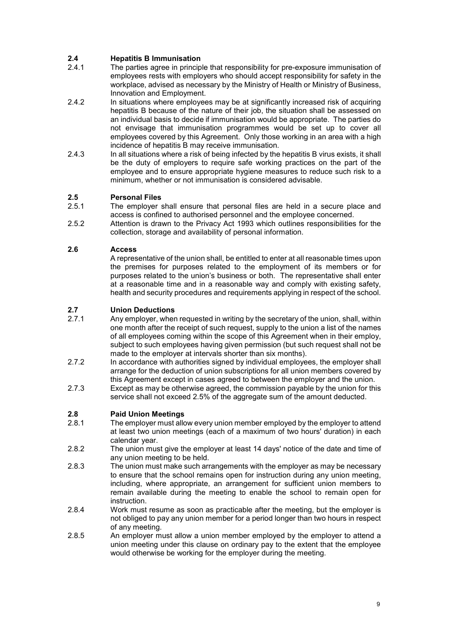# **2.4 Hepatitis B Immunisation**

- The parties agree in principle that responsibility for pre-exposure immunisation of employees rests with employers who should accept responsibility for safety in the workplace, advised as necessary by the Ministry of Health or Ministry of Business, Innovation and Employment.
- 2.4.2 In situations where employees may be at significantly increased risk of acquiring hepatitis B because of the nature of their job, the situation shall be assessed on an individual basis to decide if immunisation would be appropriate. The parties do not envisage that immunisation programmes would be set up to cover all employees covered by this Agreement. Only those working in an area with a high incidence of hepatitis B may receive immunisation.
- 2.4.3 In all situations where a risk of being infected by the hepatitis B virus exists, it shall be the duty of employers to require safe working practices on the part of the employee and to ensure appropriate hygiene measures to reduce such risk to a minimum, whether or not immunisation is considered advisable.

### **2.5 Personal Files**

- The employer shall ensure that personal files are held in a secure place and access is confined to authorised personnel and the employee concerned.
- 2.5.2 Attention is drawn to the Privacy Act 1993 which outlines responsibilities for the collection, storage and availability of personal information.

### **2.6 Access**

A representative of the union shall, be entitled to enter at all reasonable times upon the premises for purposes related to the employment of its members or for purposes related to the union's business or both. The representative shall enter at a reasonable time and in a reasonable way and comply with existing safety, health and security procedures and requirements applying in respect of the school.

# **2.7 Union Deductions**

- Any employer, when requested in writing by the secretary of the union, shall, within one month after the receipt of such request, supply to the union a list of the names of all employees coming within the scope of this Agreement when in their employ, subject to such employees having given permission (but such request shall not be made to the employer at intervals shorter than six months).
- 2.7.2 In accordance with authorities signed by individual employees, the employer shall arrange for the deduction of union subscriptions for all union members covered by this Agreement except in cases agreed to between the employer and the union.
- 2.7.3 Except as may be otherwise agreed, the commission payable by the union for this service shall not exceed 2.5% of the aggregate sum of the amount deducted.

# **2.8 Paid Union Meetings**

- The employer must allow every union member employed by the employer to attend at least two union meetings (each of a maximum of two hours' duration) in each calendar year.
- 2.8.2 The union must give the employer at least 14 days' notice of the date and time of any union meeting to be held.
- 2.8.3 The union must make such arrangements with the employer as may be necessary to ensure that the school remains open for instruction during any union meeting, including, where appropriate, an arrangement for sufficient union members to remain available during the meeting to enable the school to remain open for instruction.
- 2.8.4 Work must resume as soon as practicable after the meeting, but the employer is not obliged to pay any union member for a period longer than two hours in respect of any meeting.
- 2.8.5 An employer must allow a union member employed by the employer to attend a union meeting under this clause on ordinary pay to the extent that the employee would otherwise be working for the employer during the meeting.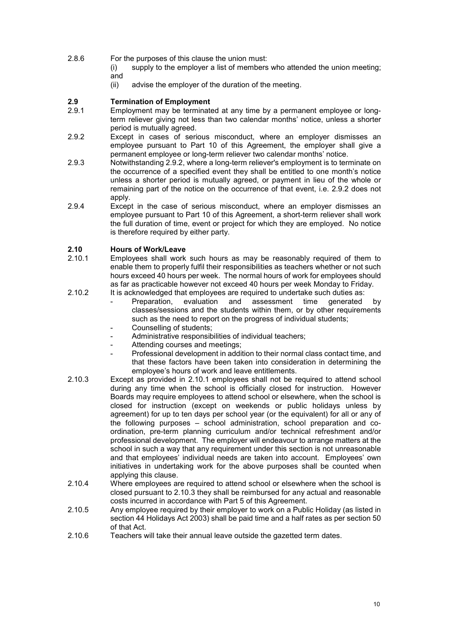- 2.8.6 For the purposes of this clause the union must:
	- (i) supply to the employer a list of members who attended the union meeting;
	- and<br>(ii) advise the employer of the duration of the meeting.

# **2.9 Termination of Employment**

- Employment may be terminated at any time by a permanent employee or longterm reliever giving not less than two calendar months' notice, unless a shorter period is mutually agreed.
- 2.9.2 Except in cases of serious misconduct, where an employer dismisses an employee pursuant to Part 10 of this Agreement, the employer shall give a permanent employee or long-term reliever two calendar months' notice.
- 2.9.3 Notwithstanding 2.9.2, where a long-term reliever's employment is to terminate on the occurrence of a specified event they shall be entitled to one month's notice unless a shorter period is mutually agreed, or payment in lieu of the whole or remaining part of the notice on the occurrence of that event, i.e. 2.9.2 does not apply.
- 2.9.4 Except in the case of serious misconduct, where an employer dismisses an employee pursuant to Part 10 of this Agreement, a short-term reliever shall work the full duration of time, event or project for which they are employed. No notice is therefore required by either party.

### **2.10 Hours of Work/Leave**

- 2.10.1 Employees shall work such hours as may be reasonably required of them to enable them to properly fulfil their responsibilities as teachers whether or not such hours exceed 40 hours per week. The normal hours of work for employees should as far as practicable however not exceed 40 hours per week Monday to Friday.
- 2.10.2 It is acknowledged that employees are required to undertake such duties as:<br>Preparation, evaluation and assessment time generated
	- evaluation and assessment time generated by classes/sessions and the students within them, or by other requirements such as the need to report on the progress of individual students;
	- Counselling of students;
	- Administrative responsibilities of individual teachers;
	- Attending courses and meetings;
	- Professional development in addition to their normal class contact time, and that these factors have been taken into consideration in determining the employee's hours of work and leave entitlements.
- 2.10.3 Except as provided in 2.10.1 employees shall not be required to attend school during any time when the school is officially closed for instruction. However Boards may require employees to attend school or elsewhere, when the school is closed for instruction (except on weekends or public holidays unless by agreement) for up to ten days per school year (or the equivalent) for all or any of the following purposes – school administration, school preparation and coordination, pre-term planning curriculum and/or technical refreshment and/or professional development. The employer will endeavour to arrange matters at the school in such a way that any requirement under this section is not unreasonable and that employees' individual needs are taken into account. Employees' own initiatives in undertaking work for the above purposes shall be counted when applying this clause.
- 2.10.4 Where employees are required to attend school or elsewhere when the school is closed pursuant to 2.10.3 they shall be reimbursed for any actual and reasonable costs incurred in accordance with Part 5 of this Agreement.
- 2.10.5 Any employee required by their employer to work on a Public Holiday (as listed in section 44 Holidays Act 2003) shall be paid time and a half rates as per section 50 of that Act.
- 2.10.6 Teachers will take their annual leave outside the gazetted term dates.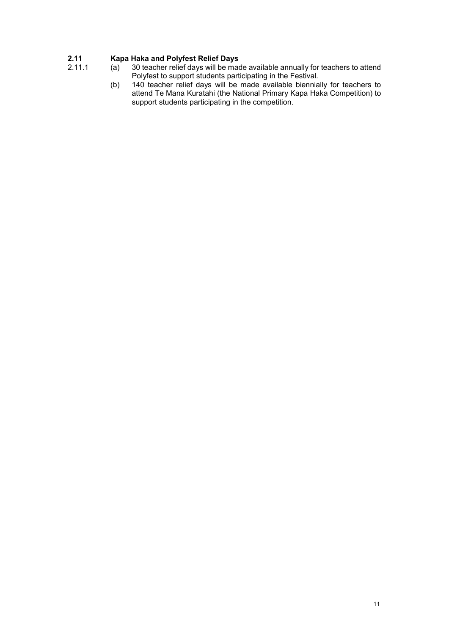# **2.11 Kapa Haka and Polyfest Relief Days**

- 
- 2.11.1 (a) 30 teacher relief days will be made available annually for teachers to attend Polyfest to support students participating in the Festival.
	- (b) 140 teacher relief days will be made available biennially for teachers to attend Te Mana Kuratahi (the National Primary Kapa Haka Competition) to support students participating in the competition.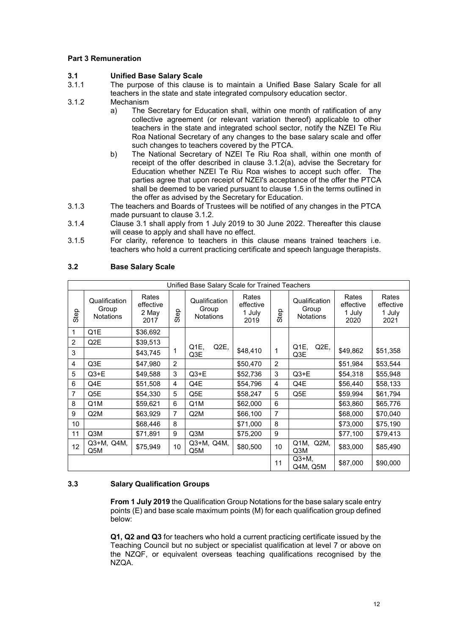#### **Part 3 Remuneration**

# **3.1 Unified Base Salary Scale**

- The purpose of this clause is to maintain a Unified Base Salary Scale for all teachers in the state and state integrated compulsory education sector.
- 3.1.2 Mechanism<br>a) The S
	- The Secretary for Education shall, within one month of ratification of any collective agreement (or relevant variation thereof) applicable to other teachers in the state and integrated school sector, notify the NZEI Te Riu Roa National Secretary of any changes to the base salary scale and offer such changes to teachers covered by the PTCA.
	- b) The National Secretary of NZEI Te Riu Roa shall, within one month of receipt of the offer described in clause 3.1.2(a), advise the Secretary for Education whether NZEI Te Riu Roa wishes to accept such offer. The parties agree that upon receipt of NZEI's acceptance of the offer the PTCA shall be deemed to be varied pursuant to clause 1.5 in the terms outlined in the offer as advised by the Secretary for Education.
- 3.1.3 The teachers and Boards of Trustees will be notified of any changes in the PTCA made pursuant to clause 3.1.2.
- 3.1.4 Clause 3.1 shall apply from 1 July 2019 to 30 June 2022. Thereafter this clause will cease to apply and shall have no effect.
- 3.1.5 For clarity, reference to teachers in this clause means trained teachers i.e. teachers who hold a current practicing certificate and speech language therapists.

| Unified Base Salary Scale for Trained Teachers |                                            |                                     |                |                                            |                                      |                |                                            |                                      |                                      |
|------------------------------------------------|--------------------------------------------|-------------------------------------|----------------|--------------------------------------------|--------------------------------------|----------------|--------------------------------------------|--------------------------------------|--------------------------------------|
| Step                                           | Qualification<br>Group<br><b>Notations</b> | Rates<br>effective<br>2 May<br>2017 | Step           | Qualification<br>Group<br><b>Notations</b> | Rates<br>effective<br>1 July<br>2019 | Step           | Qualification<br>Group<br><b>Notations</b> | Rates<br>effective<br>1 July<br>2020 | Rates<br>effective<br>1 July<br>2021 |
| 1                                              | Q1E                                        | \$36,692                            |                |                                            |                                      |                |                                            |                                      |                                      |
| $\overline{2}$                                 | Q2E                                        | \$39,513                            |                | Q <sub>1</sub> E,<br>Q2E,                  |                                      |                | Q <sub>1</sub> E,<br>Q <sub>2</sub> E,     |                                      |                                      |
| 3                                              |                                            | \$43,745                            | 1              | Q3E                                        | \$48,410                             | $\mathbf 1$    | Q3E                                        | \$49,862                             | \$51,358                             |
| $\overline{4}$                                 | Q3E                                        | \$47,980                            | 2              |                                            | \$50,470                             | 2              |                                            | \$51,984                             | \$53,544                             |
| 5                                              | $Q3+E$                                     | \$49,588                            | 3              | $Q3+E$                                     | \$52,736                             | 3              | $Q3+E$                                     | \$54,318                             | \$55,948                             |
| 6                                              | Q4E                                        | \$51,508                            | 4              | Q4E                                        | \$54,796                             | 4              | Q4E                                        | \$56,440                             | \$58,133                             |
| $\overline{7}$                                 | Q5E                                        | \$54,330                            | 5              | Q5E                                        | \$58,247                             | 5              | Q5E                                        | \$59,994                             | \$61,794                             |
| 8                                              | Q <sub>1</sub> M                           | \$59,621                            | 6              | Q1M                                        | \$62,000                             | 6              |                                            | \$63,860                             | \$65,776                             |
| 9                                              | Q <sub>2</sub> M                           | \$63,929                            | $\overline{7}$ | Q <sub>2</sub> M                           | \$66,100                             | $\overline{7}$ |                                            | \$68,000                             | \$70,040                             |
| 10                                             |                                            | \$68,446                            | 8              |                                            | \$71,000                             | 8              |                                            | \$73,000                             | \$75,190                             |
| 11                                             | Q3M                                        | \$71,891                            | 9              | Q3M                                        | \$75,200                             | 9              |                                            | \$77,100                             | \$79,413                             |
| 12                                             | Q3+M, Q4M,<br>Q5M                          | \$75,949                            | 10             | Q3+M, Q4M,<br>Q5M                          | \$80,500                             | 10             | Q1M,<br>Q2M<br>Q3M                         | \$83,000                             | \$85,490                             |
|                                                |                                            |                                     |                |                                            |                                      | 11             | $Q3+M$<br>Q4M, Q5M                         | \$87,000                             | \$90,000                             |

#### **3.2 Base Salary Scale**

### **3.3 Salary Qualification Groups**

**From 1 July 2019** the Qualification Group Notations for the base salary scale entry points (E) and base scale maximum points (M) for each qualification group defined below:

**Q1, Q2 and Q3** for teachers who hold a current practicing certificate issued by the Teaching Council but no subject or specialist qualification at level 7 or above on the NZQF, or equivalent overseas teaching qualifications recognised by the NZQA.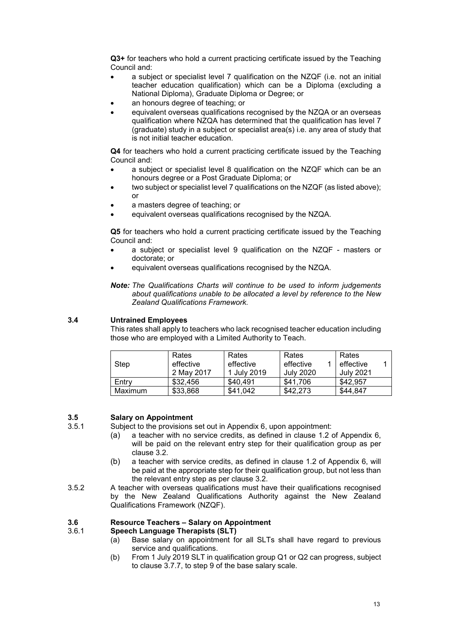**Q3+** for teachers who hold a current practicing certificate issued by the Teaching Council and:

- a subject or specialist level 7 qualification on the NZQF (i.e. not an initial teacher education qualification) which can be a Diploma (excluding a National Diploma), Graduate Diploma or Degree; or
- an honours degree of teaching; or
- equivalent overseas qualifications recognised by the NZQA or an overseas qualification where NZQA has determined that the qualification has level 7 (graduate) study in a subject or specialist area(s) i.e. any area of study that is not initial teacher education.

**Q4** for teachers who hold a current practicing certificate issued by the Teaching Council and:

- a subject or specialist level 8 qualification on the NZQF which can be an honours degree or a Post Graduate Diploma; or
- two subject or specialist level 7 qualifications on the NZQF (as listed above); or
- a masters degree of teaching; or
- equivalent overseas qualifications recognised by the NZQA.

**Q5** for teachers who hold a current practicing certificate issued by the Teaching Council and:

- a subject or specialist level 9 qualification on the NZQF masters or doctorate; or
- equivalent overseas qualifications recognised by the NZQA.

*Note: The Qualifications Charts will continue to be used to inform judgements about qualifications unable to be allocated a level by reference to the New Zealand Qualifications Framework.*

### **3.4 Untrained Employees**

This rates shall apply to teachers who lack recognised teacher education including those who are employed with a Limited Authority to Teach.

| Step    | Rates<br>effective<br>2 May 2017 | Rates<br>effective<br>1 July 2019 | Rates<br>effective<br>July 2020 | Rates<br>effective<br>July 2021 |
|---------|----------------------------------|-----------------------------------|---------------------------------|---------------------------------|
| Entry   | \$32,456                         | \$40,491                          | \$41.706                        | \$42.957                        |
| Maximum | \$33,868                         | \$41.042                          | \$42.273                        | \$44.847                        |

# **3.5 Salary on Appointment**

- Subject to the provisions set out in Appendix 6, upon appointment:
	- (a) a teacher with no service credits, as defined in clause 1.2 of Appendix 6, will be paid on the relevant entry step for their qualification group as per clause 3.2.
	- (b) a teacher with service credits, as defined in clause 1.2 of Appendix 6, will be paid at the appropriate step for their qualification group, but not less than the relevant entry step as per clause 3.2.
- 3.5.2 A teacher with overseas qualifications must have their qualifications recognised by the New Zealand Qualifications Authority against the New Zealand Qualifications Framework (NZQF).

# **3.6 Resource Teachers – Salary on Appointment**

### 3.6.1 **Speech Language Therapists (SLT)**

- (a) Base salary on appointment for all SLTs shall have regard to previous service and qualifications.
- (b) From 1 July 2019 SLT in qualification group Q1 or Q2 can progress, subject to clause 3.7.7, to step 9 of the base salary scale.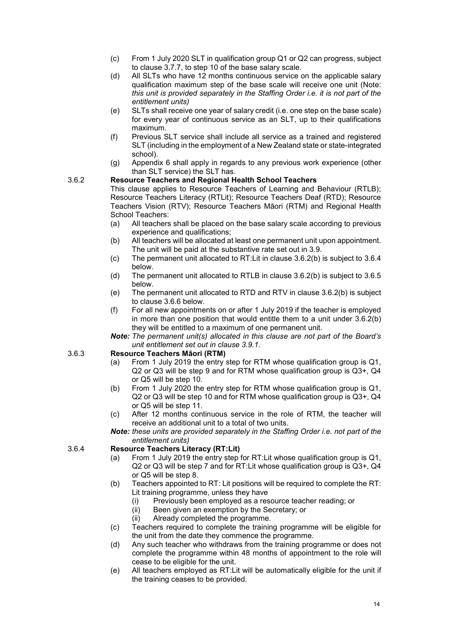- (c) From 1 July 2020 SLT in qualification group Q1 or Q2 can progress, subject to clause 3.7.7, to step 10 of the base salary scale.
- (d) All SLTs who have 12 months continuous service on the applicable salary qualification maximum step of the base scale will receive one unit (Note: *this unit is provided separately in the Staffing Order i.e. it is not part of the entitlement units)*
- (e) SLTs shall receive one year of salary credit (i.e. one step on the base scale) for every year of continuous service as an SLT, up to their qualifications maximum.
- (f) Previous SLT service shall include all service as a trained and registered SLT (including in the employment of a New Zealand state or state-integrated school).
- (g) Appendix 6 shall apply in regards to any previous work experience (other than SLT service) the SLT has.

#### 3.6.2 **Resource Teachers and Regional Health School Teachers**

This clause applies to Resource Teachers of Learning and Behaviour (RTLB); Resource Teachers Literacy (RTLit); Resource Teachers Deaf (RTD); Resource Teachers Vision (RTV); Resource Teachers Māori (RTM) and Regional Health School Teachers:

- (a) All teachers shall be placed on the base salary scale according to previous experience and qualifications;
- (b) All teachers will be allocated at least one permanent unit upon appointment. The unit will be paid at the substantive rate set out in 3.9.
- (c) The permanent unit allocated to RT:Lit in clause 3.6.2(b) is subject to 3.6.4 below.
- (d) The permanent unit allocated to RTLB in clause 3.6.2(b) is subject to 3.6.5 below.
- (e) The permanent unit allocated to RTD and RTV in clause 3.6.2(b) is subject to clause 3.6.6 below.
- (f) For all new appointments on or after 1 July 2019 if the teacher is employed in more than one position that would entitle them to a unit under 3.6.2(b) they will be entitled to a maximum of one permanent unit.
- *Note: The permanent unit(s) allocated in this clause are not part of the Board's unit entitlement set out in clause 3.9.1.*

### 3.6.3 **Resource Teachers Māori (RTM)**

- From 1 July 2019 the entry step for RTM whose qualification group is Q1, Q2 or Q3 will be step 9 and for RTM whose qualification group is Q3+, Q4 or Q5 will be step 10.
- (b) From 1 July 2020 the entry step for RTM whose qualification group is Q1, Q2 or Q3 will be step 10 and for RTM whose qualification group is Q3+, Q4 or Q5 will be step 11.
- (c) After 12 months continuous service in the role of RTM, the teacher will receive an additional unit to a total of two units.

*Note: these units are provided separately in the Staffing Order i.e. not part of the entitlement units)*

### 3.6.4 **Resource Teachers Literacy (RT:Lit)**

- (a) From 1 July 2019 the entry step for RT:Lit whose qualification group is Q1, Q2 or Q3 will be step 7 and for RT:Lit whose qualification group is Q3+, Q4 or Q5 will be step 8.
- (b) Teachers appointed to RT: Lit positions will be required to complete the RT: Lit training programme, unless they have
	- (i) Previously been employed as a resource teacher reading; or
	- (ii) Been given an exemption by the Secretary; or
	- (ii) Already completed the programme.
- (c) Teachers required to complete the training programme will be eligible for the unit from the date they commence the programme.
- (d) Any such teacher who withdraws from the training programme or does not complete the programme within 48 months of appointment to the role will cease to be eligible for the unit.
- (e) All teachers employed as RT:Lit will be automatically eligible for the unit if the training ceases to be provided.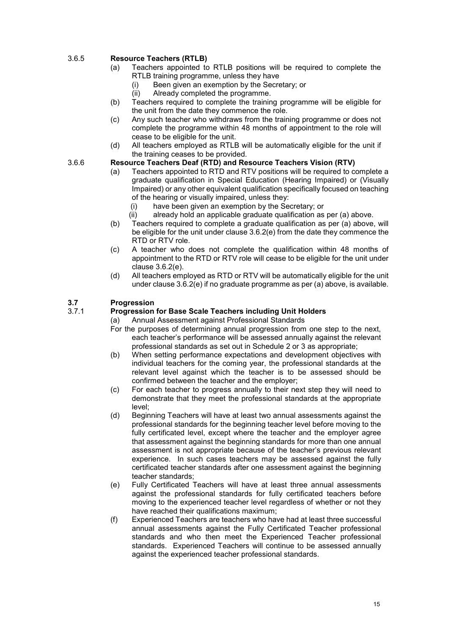### 3.6.5 **Resource Teachers (RTLB)**

- (a) Teachers appointed to RTLB positions will be required to complete the RTLB training programme, unless they have
	- (i) Been given an exemption by the Secretary; or
	- (ii) Already completed the programme.
- (b) Teachers required to complete the training programme will be eligible for the unit from the date they commence the role.
- (c) Any such teacher who withdraws from the training programme or does not complete the programme within 48 months of appointment to the role will cease to be eligible for the unit.
- (d) All teachers employed as RTLB will be automatically eligible for the unit if the training ceases to be provided.

### 3.6.6 **Resource Teachers Deaf (RTD) and Resource Teachers Vision (RTV)**

- (a) Teachers appointed to RTD and RTV positions will be required to complete a graduate qualification in Special Education (Hearing Impaired) or (Visually Impaired) or any other equivalent qualification specifically focused on teaching of the hearing or visually impaired, unless they:
	- (i) have been given an exemption by the Secretary; or
	- (ii) already hold an applicable graduate qualification as per (a) above.
- (b) Teachers required to complete a graduate qualification as per (a) above, will be eligible for the unit under clause 3.6.2(e) from the date they commence the RTD or RTV role.
- (c) A teacher who does not complete the qualification within 48 months of appointment to the RTD or RTV role will cease to be eligible for the unit under clause 3.6.2(e).
- (d) All teachers employed as RTD or RTV will be automatically eligible for the unit under clause 3.6.2(e) if no graduate programme as per (a) above, is available.

### **3.7 Progression**

#### 3.7.1 **Progression for Base Scale Teachers including Unit Holders**

- (a) Annual Assessment against Professional Standards
- For the purposes of determining annual progression from one step to the next, each teacher's performance will be assessed annually against the relevant professional standards as set out in Schedule 2 or 3 as appropriate;
- (b) When setting performance expectations and development objectives with individual teachers for the coming year, the professional standards at the relevant level against which the teacher is to be assessed should be confirmed between the teacher and the employer;
- (c) For each teacher to progress annually to their next step they will need to demonstrate that they meet the professional standards at the appropriate level;
- (d) Beginning Teachers will have at least two annual assessments against the professional standards for the beginning teacher level before moving to the fully certificated level, except where the teacher and the employer agree that assessment against the beginning standards for more than one annual assessment is not appropriate because of the teacher's previous relevant experience. In such cases teachers may be assessed against the fully certificated teacher standards after one assessment against the beginning teacher standards;
- (e) Fully Certificated Teachers will have at least three annual assessments against the professional standards for fully certificated teachers before moving to the experienced teacher level regardless of whether or not they have reached their qualifications maximum;
- (f) Experienced Teachers are teachers who have had at least three successful annual assessments against the Fully Certificated Teacher professional standards and who then meet the Experienced Teacher professional standards. Experienced Teachers will continue to be assessed annually against the experienced teacher professional standards.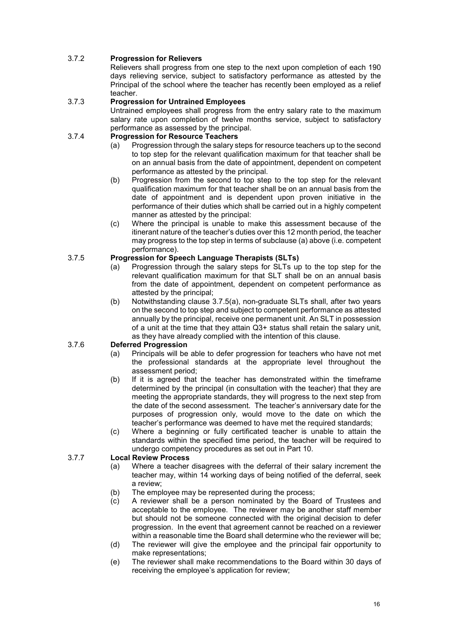### 3.7.2 **Progression for Relievers**

Relievers shall progress from one step to the next upon completion of each 190 days relieving service, subject to satisfactory performance as attested by the Principal of the school where the teacher has recently been employed as a relief teacher.

#### 3.7.3 **Progression for Untrained Employees**

Untrained employees shall progress from the entry salary rate to the maximum salary rate upon completion of twelve months service, subject to satisfactory performance as assessed by the principal.

### 3.7.4 **Progression for Resource Teachers**

- (a) Progression through the salary steps for resource teachers up to the second to top step for the relevant qualification maximum for that teacher shall be on an annual basis from the date of appointment, dependent on competent performance as attested by the principal.
- (b) Progression from the second to top step to the top step for the relevant qualification maximum for that teacher shall be on an annual basis from the date of appointment and is dependent upon proven initiative in the performance of their duties which shall be carried out in a highly competent manner as attested by the principal:
- (c) Where the principal is unable to make this assessment because of the itinerant nature of the teacher's duties over this 12 month period, the teacher may progress to the top step in terms of subclause (a) above (i.e. competent performance).

### 3.7.5 **Progression for Speech Language Therapists (SLTs)**

- (a) Progression through the salary steps for SLTs up to the top step for the relevant qualification maximum for that SLT shall be on an annual basis from the date of appointment, dependent on competent performance as attested by the principal;
- (b) Notwithstanding clause 3.7.5(a), non-graduate SLTs shall, after two years on the second to top step and subject to competent performance as attested annually by the principal, receive one permanent unit. An SLT in possession of a unit at the time that they attain Q3+ status shall retain the salary unit, as they have already complied with the intention of this clause.

### 3.7.6 **Deferred Progression**

- (a) Principals will be able to defer progression for teachers who have not met the professional standards at the appropriate level throughout the assessment period;
- (b) If it is agreed that the teacher has demonstrated within the timeframe determined by the principal (in consultation with the teacher) that they are meeting the appropriate standards, they will progress to the next step from the date of the second assessment. The teacher's anniversary date for the purposes of progression only, would move to the date on which the teacher's performance was deemed to have met the required standards;
- (c) Where a beginning or fully certificated teacher is unable to attain the standards within the specified time period, the teacher will be required to undergo competency procedures as set out in Part 10.

### 3.7.7 **Local Review Process**

- (a) Where a teacher disagrees with the deferral of their salary increment the teacher may, within 14 working days of being notified of the deferral, seek a review;
- (b) The employee may be represented during the process;
- (c) A reviewer shall be a person nominated by the Board of Trustees and acceptable to the employee. The reviewer may be another staff member but should not be someone connected with the original decision to defer progression. In the event that agreement cannot be reached on a reviewer within a reasonable time the Board shall determine who the reviewer will be;
- (d) The reviewer will give the employee and the principal fair opportunity to make representations;
- (e) The reviewer shall make recommendations to the Board within 30 days of receiving the employee's application for review;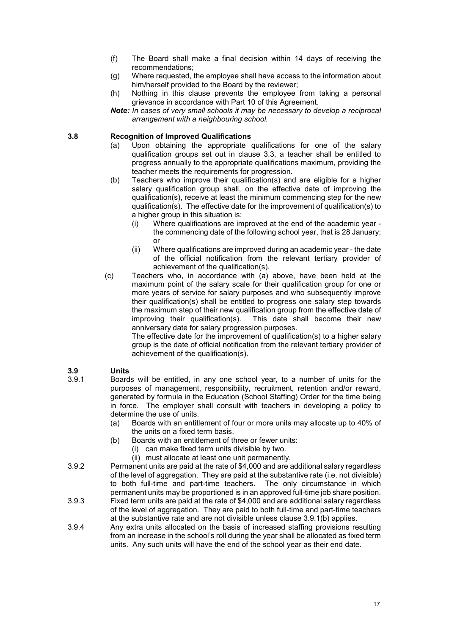- (f) The Board shall make a final decision within 14 days of receiving the recommendations;
- (g) Where requested, the employee shall have access to the information about him/herself provided to the Board by the reviewer;
- (h) Nothing in this clause prevents the employee from taking a personal grievance in accordance with Part 10 of this Agreement.
- *Note: In cases of very small schools it may be necessary to develop a reciprocal arrangement with a neighbouring school.*

#### **3.8 Recognition of Improved Qualifications**

- (a) Upon obtaining the appropriate qualifications for one of the salary qualification groups set out in clause 3.3, a teacher shall be entitled to progress annually to the appropriate qualifications maximum, providing the teacher meets the requirements for progression.
- (b) Teachers who improve their qualification(s) and are eligible for a higher salary qualification group shall, on the effective date of improving the qualification(s), receive at least the minimum commencing step for the new qualification(s). The effective date for the improvement of qualification(s) to a higher group in this situation is:
	- (i) Where qualifications are improved at the end of the academic year the commencing date of the following school year, that is 28 January; or
	- (ii) Where qualifications are improved during an academic year the date of the official notification from the relevant tertiary provider of achievement of the qualification(s).
- (c) Teachers who, in accordance with (a) above, have been held at the maximum point of the salary scale for their qualification group for one or more years of service for salary purposes and who subsequently improve their qualification(s) shall be entitled to progress one salary step towards the maximum step of their new qualification group from the effective date of improving their qualification(s). This date shall become their new This date shall become their new anniversary date for salary progression purposes.

The effective date for the improvement of qualification(s) to a higher salary group is the date of official notification from the relevant tertiary provider of achievement of the qualification(s).

### **3.9 Units**

- Boards will be entitled, in any one school year, to a number of units for the purposes of management, responsibility, recruitment, retention and/or reward, generated by formula in the Education (School Staffing) Order for the time being in force. The employer shall consult with teachers in developing a policy to determine the use of units.
	- (a) Boards with an entitlement of four or more units may allocate up to 40% of the units on a fixed term basis.
	- (b) Boards with an entitlement of three or fewer units:
		- (i) can make fixed term units divisible by two.
		- (ii) must allocate at least one unit permanently.
- 3.9.2 Permanent units are paid at the rate of \$4,000 and are additional salary regardless of the level of aggregation. They are paid at the substantive rate (i.e. not divisible) to both full-time and part-time teachers. The only circumstance in which permanent units may be proportioned is in an approved full-time job share position.
- 3.9.3 Fixed term units are paid at the rate of \$4,000 and are additional salary regardless of the level of aggregation. They are paid to both full-time and part-time teachers at the substantive rate and are not divisible unless clause 3.9.1(b) applies.
- 3.9.4 Any extra units allocated on the basis of increased staffing provisions resulting from an increase in the school's roll during the year shall be allocated as fixed term units. Any such units will have the end of the school year as their end date.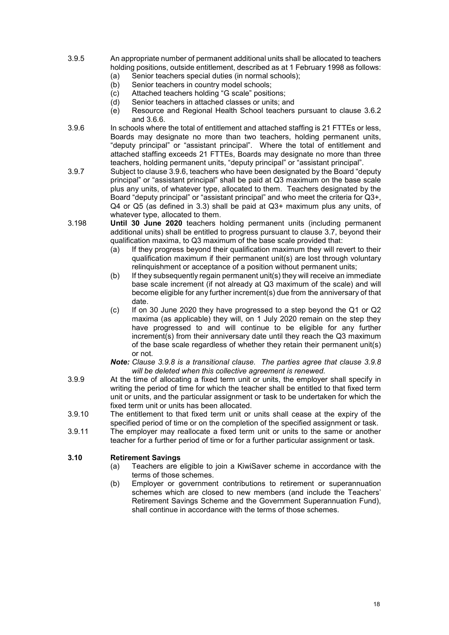- 3.9.5 An appropriate number of permanent additional units shall be allocated to teachers holding positions, outside entitlement, described as at 1 February 1998 as follows:
	- (a) Senior teachers special duties (in normal schools);<br>(b) Senior teachers in country model schools;
	- Senior teachers in country model schools;
	- (c) Attached teachers holding "G scale" positions;
	- (d) Senior teachers in attached classes or units; and<br>(e) Resource and Regional Health School teachers
	- Resource and Regional Health School teachers pursuant to clause 3.6.2 and 3.6.6.
- 3.9.6 In schools where the total of entitlement and attached staffing is 21 FTTEs or less, Boards may designate no more than two teachers, holding permanent units, "deputy principal" or "assistant principal". Where the total of entitlement and attached staffing exceeds 21 FTTEs, Boards may designate no more than three teachers, holding permanent units, "deputy principal" or "assistant principal".
- 3.9.7 Subject to clause 3.9.6, teachers who have been designated by the Board "deputy principal" or "assistant principal" shall be paid at Q3 maximum on the base scale plus any units, of whatever type, allocated to them. Teachers designated by the Board "deputy principal" or "assistant principal" and who meet the criteria for Q3+, Q4 or Q5 (as defined in 3.3) shall be paid at Q3+ maximum plus any units, of whatever type, allocated to them.
- 3.198 **Until 30 June 2020** teachers holding permanent units (including permanent additional units) shall be entitled to progress pursuant to clause 3.7, beyond their qualification maxima, to Q3 maximum of the base scale provided that:
	- (a) If they progress beyond their qualification maximum they will revert to their qualification maximum if their permanent unit(s) are lost through voluntary relinquishment or acceptance of a position without permanent units;
	- (b) If they subsequently regain permanent unit(s) they will receive an immediate base scale increment (if not already at Q3 maximum of the scale) and will become eligible for any further increment(s) due from the anniversary of that date.
	- (c) If on 30 June 2020 they have progressed to a step beyond the Q1 or Q2 maxima (as applicable) they will, on 1 July 2020 remain on the step they have progressed to and will continue to be eligible for any further increment(s) from their anniversary date until they reach the Q3 maximum of the base scale regardless of whether they retain their permanent unit(s) or not.
	- *Note: Clause 3.9.8 is a transitional clause. The parties agree that clause 3.9.8 will be deleted when this collective agreement is renewed.*
- 3.9.9 At the time of allocating a fixed term unit or units, the employer shall specify in writing the period of time for which the teacher shall be entitled to that fixed term unit or units, and the particular assignment or task to be undertaken for which the fixed term unit or units has been allocated.
- 3.9.10 The entitlement to that fixed term unit or units shall cease at the expiry of the specified period of time or on the completion of the specified assignment or task.
- 3.9.11 The employer may reallocate a fixed term unit or units to the same or another teacher for a further period of time or for a further particular assignment or task.

# **3.10 Retirement Savings**

- Teachers are eligible to join a KiwiSaver scheme in accordance with the terms of those schemes.
- (b) Employer or government contributions to retirement or superannuation schemes which are closed to new members (and include the Teachers' Retirement Savings Scheme and the Government Superannuation Fund), shall continue in accordance with the terms of those schemes.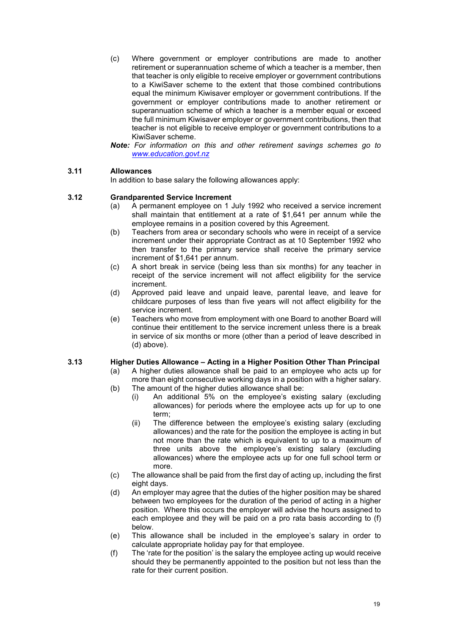- (c) Where government or employer contributions are made to another retirement or superannuation scheme of which a teacher is a member, then that teacher is only eligible to receive employer or government contributions to a KiwiSaver scheme to the extent that those combined contributions equal the minimum Kiwisaver employer or government contributions. If the government or employer contributions made to another retirement or superannuation scheme of which a teacher is a member equal or exceed the full minimum Kiwisaver employer or government contributions, then that teacher is not eligible to receive employer or government contributions to a KiwiSaver scheme.
- *Note: For information on this and other retirement savings schemes go to [www.education.govt.nz](http://www.education.govt.nz/)*

### **3.11 Allowances**

In addition to base salary the following allowances apply:

#### **3.12 Grandparented Service Increment**

- (a) A permanent employee on 1 July 1992 who received a service increment shall maintain that entitlement at a rate of \$1,641 per annum while the employee remains in a position covered by this Agreement.
- (b) Teachers from area or secondary schools who were in receipt of a service increment under their appropriate Contract as at 10 September 1992 who then transfer to the primary service shall receive the primary service increment of \$1,641 per annum.
- (c) A short break in service (being less than six months) for any teacher in receipt of the service increment will not affect eligibility for the service increment.
- (d) Approved paid leave and unpaid leave, parental leave, and leave for childcare purposes of less than five years will not affect eligibility for the service increment.
- (e) Teachers who move from employment with one Board to another Board will continue their entitlement to the service increment unless there is a break in service of six months or more (other than a period of leave described in (d) above).

#### **3.13 Higher Duties Allowance – Acting in a Higher Position Other Than Principal**

- (a) A higher duties allowance shall be paid to an employee who acts up for more than eight consecutive working days in a position with a higher salary.
- (b) The amount of the higher duties allowance shall be:
	- (i) An additional 5% on the employee's existing salary (excluding allowances) for periods where the employee acts up for up to one term;
	- (ii) The difference between the employee's existing salary (excluding allowances) and the rate for the position the employee is acting in but not more than the rate which is equivalent to up to a maximum of three units above the employee's existing salary (excluding allowances) where the employee acts up for one full school term or more.
- (c) The allowance shall be paid from the first day of acting up, including the first eight days.
- (d) An employer may agree that the duties of the higher position may be shared between two employees for the duration of the period of acting in a higher position. Where this occurs the employer will advise the hours assigned to each employee and they will be paid on a pro rata basis according to (f) below.
- (e) This allowance shall be included in the employee's salary in order to calculate appropriate holiday pay for that employee.
- (f) The 'rate for the position' is the salary the employee acting up would receive should they be permanently appointed to the position but not less than the rate for their current position.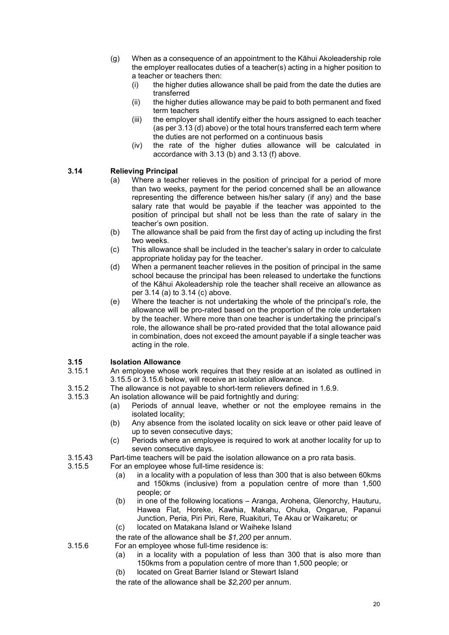- (g) When as a consequence of an appointment to the Kāhui Akoleadership role the employer reallocates duties of a teacher(s) acting in a higher position to a teacher or teachers then:
	- (i) the higher duties allowance shall be paid from the date the duties are transferred
	- (ii) the higher duties allowance may be paid to both permanent and fixed term teachers
	- (iii) the employer shall identify either the hours assigned to each teacher (as per 3.13 (d) above) or the total hours transferred each term where the duties are not performed on a continuous basis
	- (iv) the rate of the higher duties allowance will be calculated in accordance with 3.13 (b) and 3.13 (f) above.

### **3.14 Relieving Principal**

- Where a teacher relieves in the position of principal for a period of more than two weeks, payment for the period concerned shall be an allowance representing the difference between his/her salary (if any) and the base salary rate that would be payable if the teacher was appointed to the position of principal but shall not be less than the rate of salary in the teacher's own position.
- (b) The allowance shall be paid from the first day of acting up including the first two weeks.
- (c) This allowance shall be included in the teacher's salary in order to calculate appropriate holiday pay for the teacher.
- (d) When a permanent teacher relieves in the position of principal in the same school because the principal has been released to undertake the functions of the Kāhui Akoleadership role the teacher shall receive an allowance as per 3.14 (a) to 3.14 (c) above.
- (e) Where the teacher is not undertaking the whole of the principal's role, the allowance will be pro-rated based on the proportion of the role undertaken by the teacher. Where more than one teacher is undertaking the principal's role, the allowance shall be pro-rated provided that the total allowance paid in combination, does not exceed the amount payable if a single teacher was acting in the role.

### **3.15 Isolation Allowance**

- An employee whose work requires that they reside at an isolated as outlined in 3.15.5 or 3.15.6 below, will receive an isolation allowance.
- 3.15.2 The allowance is not payable to short-term relievers defined in 1.6.9.<br>3.15.3 An isolation allowance will be paid fortnightly and during:
- An isolation allowance will be paid fortnightly and during:
	- (a) Periods of annual leave, whether or not the employee remains in the isolated locality;
	- (b) Any absence from the isolated locality on sick leave or other paid leave of up to seven consecutive days;
	- (c) Periods where an employee is required to work at another locality for up to seven consecutive days.
- 3.15.43 Part-time teachers will be paid the isolation allowance on a pro rata basis.<br>3.15.5 For an employee whose full-time residence is:
- For an employee whose full-time residence is:
	- (a) in a locality with a population of less than 300 that is also between 60kms and 150kms (inclusive) from a population centre of more than 1,500 people; or
	- (b) in one of the following locations Aranga, Arohena, Glenorchy, Hauturu, Hawea Flat, Horeke, Kawhia, Makahu, Ohuka, Ongarue, Papanui Junction, Peria, Piri Piri, Rere, Ruakituri, Te Akau or Waikaretu; or
	- (c) located on Matakana Island or Waiheke Island
	- the rate of the allowance shall be *\$1,200* per annum.
- 3.15.6 For an employee whose full-time residence is:
	- (a) in a locality with a population of less than 300 that is also more than 150kms from a population centre of more than 1,500 people; or
	- (b) located on Great Barrier Island or Stewart Island
	- the rate of the allowance shall be *\$2,200* per annum.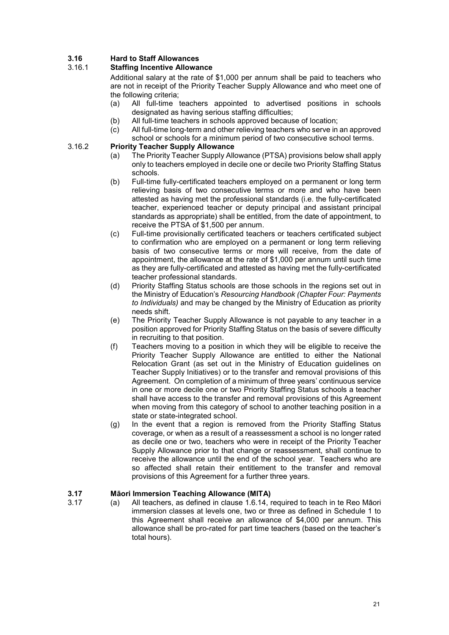### **3.16 Hard to Staff Allowances**

### 3.16.1 **Staffing Incentive Allowance**

Additional salary at the rate of \$1,000 per annum shall be paid to teachers who are not in receipt of the Priority Teacher Supply Allowance and who meet one of the following criteria;

- (a) All full-time teachers appointed to advertised positions in schools designated as having serious staffing difficulties;
- (b) All full-time teachers in schools approved because of location;<br>(c) All full-time long-term and other relieving teachers who serve in
- All full-time long-term and other relieving teachers who serve in an approved school or schools for a minimum period of two consecutive school terms.

### 3.16.2 **Priority Teacher Supply Allowance**

- (a) The Priority Teacher Supply Allowance (PTSA) provisions below shall apply only to teachers employed in decile one or decile two Priority Staffing Status schools.
- (b) Full-time fully-certificated teachers employed on a permanent or long term relieving basis of two consecutive terms or more and who have been attested as having met the professional standards (i.e. the fully-certificated teacher, experienced teacher or deputy principal and assistant principal standards as appropriate) shall be entitled, from the date of appointment, to receive the PTSA of \$1,500 per annum.
- (c) Full-time provisionally certificated teachers or teachers certificated subject to confirmation who are employed on a permanent or long term relieving basis of two consecutive terms or more will receive, from the date of appointment, the allowance at the rate of \$1,000 per annum until such time as they are fully-certificated and attested as having met the fully-certificated teacher professional standards.
- (d) Priority Staffing Status schools are those schools in the regions set out in the Ministry of Education's *Resourcing Handbook (Chapter Four: Payments to Individuals)* and may be changed by the Ministry of Education as priority needs shift.
- (e) The Priority Teacher Supply Allowance is not payable to any teacher in a position approved for Priority Staffing Status on the basis of severe difficulty in recruiting to that position.
- (f) Teachers moving to a position in which they will be eligible to receive the Priority Teacher Supply Allowance are entitled to either the National Relocation Grant (as set out in the Ministry of Education guidelines on Teacher Supply Initiatives) or to the transfer and removal provisions of this Agreement. On completion of a minimum of three years' continuous service in one or more decile one or two Priority Staffing Status schools a teacher shall have access to the transfer and removal provisions of this Agreement when moving from this category of school to another teaching position in a state or state-integrated school.
- (g) In the event that a region is removed from the Priority Staffing Status coverage, or when as a result of a reassessment a school is no longer rated as decile one or two, teachers who were in receipt of the Priority Teacher Supply Allowance prior to that change or reassessment, shall continue to receive the allowance until the end of the school year. Teachers who are so affected shall retain their entitlement to the transfer and removal provisions of this Agreement for a further three years.

### **3.17 Māori Immersion Teaching Allowance (MITA)**

- 
- 3.17 (a) All teachers, as defined in clause 1.6.14, required to teach in te Reo Māori immersion classes at levels one, two or three as defined in Schedule 1 to this Agreement shall receive an allowance of \$4,000 per annum. This allowance shall be pro-rated for part time teachers (based on the teacher's total hours).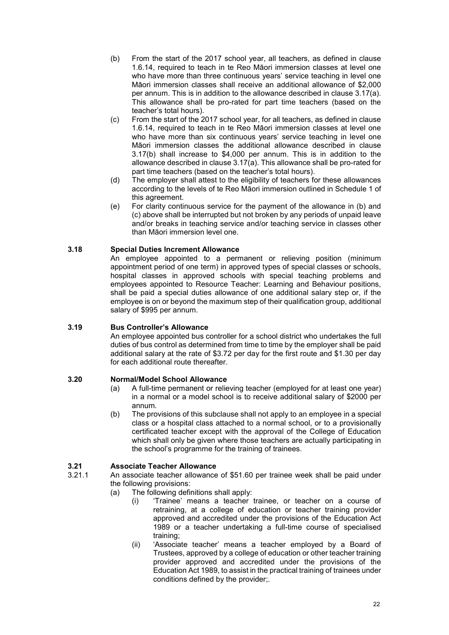- (b) From the start of the 2017 school year, all teachers, as defined in clause 1.6.14, required to teach in te Reo Māori immersion classes at level one who have more than three continuous years' service teaching in level one Māori immersion classes shall receive an additional allowance of \$2,000 per annum. This is in addition to the allowance described in clause 3.17(a). This allowance shall be pro-rated for part time teachers (based on the teacher's total hours).
- (c) From the start of the 2017 school year, for all teachers, as defined in clause 1.6.14, required to teach in te Reo Māori immersion classes at level one who have more than six continuous years' service teaching in level one Māori immersion classes the additional allowance described in clause 3.17(b) shall increase to \$4,000 per annum. This is in addition to the allowance described in clause 3.17(a). This allowance shall be pro-rated for part time teachers (based on the teacher's total hours).
- (d) The employer shall attest to the eligibility of teachers for these allowances according to the levels of te Reo Māori immersion outlined in Schedule 1 of this agreement.
- (e) For clarity continuous service for the payment of the allowance in (b) and (c) above shall be interrupted but not broken by any periods of unpaid leave and/or breaks in teaching service and/or teaching service in classes other than Māori immersion level one.

### **3.18 Special Duties Increment Allowance**

An employee appointed to a permanent or relieving position (minimum appointment period of one term) in approved types of special classes or schools, hospital classes in approved schools with special teaching problems and employees appointed to Resource Teacher: Learning and Behaviour positions, shall be paid a special duties allowance of one additional salary step or, if the employee is on or beyond the maximum step of their qualification group, additional salary of \$995 per annum.

### **3.19 Bus Controller's Allowance**

An employee appointed bus controller for a school district who undertakes the full duties of bus control as determined from time to time by the employer shall be paid additional salary at the rate of \$3.72 per day for the first route and \$1.30 per day for each additional route thereafter.

### **3.20 Normal/Model School Allowance**

- (a) A full-time permanent or relieving teacher (employed for at least one year) in a normal or a model school is to receive additional salary of \$2000 per annum*.*
- (b) The provisions of this subclause shall not apply to an employee in a special class or a hospital class attached to a normal school, or to a provisionally certificated teacher except with the approval of the College of Education which shall only be given where those teachers are actually participating in the school's programme for the training of trainees.

# **3.21 Associate Teacher Allowance**

- An associate teacher allowance of \$51.60 per trainee week shall be paid under the following provisions:
	- (a) The following definitions shall apply:
		- (i) 'Trainee' means a teacher trainee, or teacher on a course of retraining, at a college of education or teacher training provider approved and accredited under the provisions of the Education Act 1989 or a teacher undertaking a full-time course of specialised training;
		- (ii) 'Associate teacher' means a teacher employed by a Board of Trustees, approved by a college of education or other teacher training provider approved and accredited under the provisions of the Education Act 1989, to assist in the practical training of trainees under conditions defined by the provider;.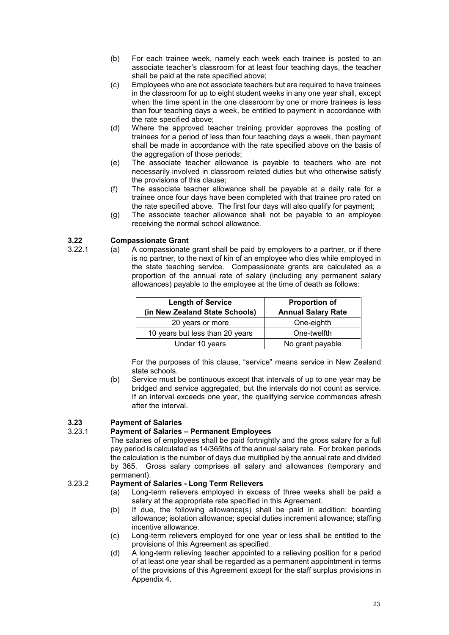- (b) For each trainee week, namely each week each trainee is posted to an associate teacher's classroom for at least four teaching days, the teacher shall be paid at the rate specified above;
- (c) Employees who are not associate teachers but are required to have trainees in the classroom for up to eight student weeks in any one year shall, except when the time spent in the one classroom by one or more trainees is less than four teaching days a week, be entitled to payment in accordance with the rate specified above;
- (d) Where the approved teacher training provider approves the posting of trainees for a period of less than four teaching days a week, then payment shall be made in accordance with the rate specified above on the basis of the aggregation of those periods:
- (e) The associate teacher allowance is payable to teachers who are not necessarily involved in classroom related duties but who otherwise satisfy the provisions of this clause;
- (f) The associate teacher allowance shall be payable at a daily rate for a trainee once four days have been completed with that trainee pro rated on the rate specified above. The first four days will also qualify for payment;
- (g) The associate teacher allowance shall not be payable to an employee receiving the normal school allowance.

# **3.22 Compassionate Grant**

 $(a)$  A compassionate grant shall be paid by employers to a partner, or if there is no partner, to the next of kin of an employee who dies while employed in the state teaching service. Compassionate grants are calculated as a proportion of the annual rate of salary (including any permanent salary allowances) payable to the employee at the time of death as follows:

| <b>Length of Service</b><br>(in New Zealand State Schools) | <b>Proportion of</b><br><b>Annual Salary Rate</b> |
|------------------------------------------------------------|---------------------------------------------------|
| 20 years or more                                           | One-eighth                                        |
| 10 years but less than 20 years                            | One-twelfth                                       |
| Under 10 years                                             | No grant payable                                  |

For the purposes of this clause, "service" means service in New Zealand state schools.

(b) Service must be continuous except that intervals of up to one year may be bridged and service aggregated, but the intervals do not count as service. If an interval exceeds one year, the qualifying service commences afresh after the interval.

# **3.23 Payment of Salaries**

### 3.23.1 **Payment of Salaries – Permanent Employees**

The salaries of employees shall be paid fortnightly and the gross salary for a full pay period is calculated as 14/365ths of the annual salary rate. For broken periods the calculation is the number of days due multiplied by the annual rate and divided by 365. Gross salary comprises all salary and allowances (temporary and permanent).

### 3.23.2 **Payment of Salaries - Long Term Relievers**

- (a) Long-term relievers employed in excess of three weeks shall be paid a salary at the appropriate rate specified in this Agreement.
- (b) If due, the following allowance(s) shall be paid in addition: boarding allowance; isolation allowance; special duties increment allowance; staffing incentive allowance.
- (c) Long-term relievers employed for one year or less shall be entitled to the provisions of this Agreement as specified.
- (d) A long-term relieving teacher appointed to a relieving position for a period of at least one year shall be regarded as a permanent appointment in terms of the provisions of this Agreement except for the staff surplus provisions in Appendix 4.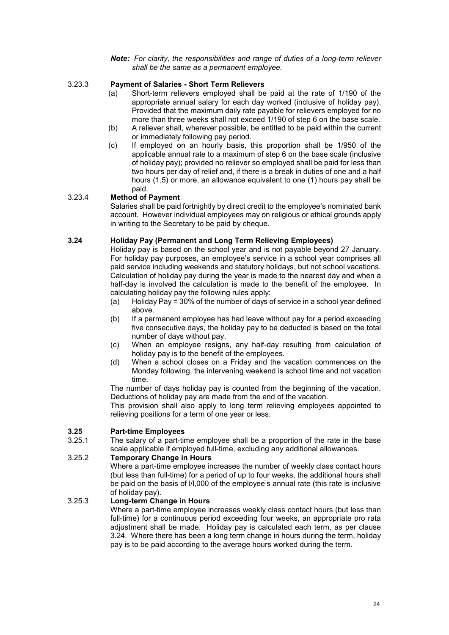#### *Note: For clarity, the responsibilities and range of duties of a long-term reliever shall be the same as a permanent employee.*

### 3.23.3 **Payment of Salaries - Short Term Relievers**

- (a) Short-term relievers employed shall be paid at the rate of 1/190 of the appropriate annual salary for each day worked (inclusive of holiday pay). Provided that the maximum daily rate payable for relievers employed for no more than three weeks shall not exceed 1/190 of step 6 on the base scale.
- (b) A reliever shall, wherever possible, be entitled to be paid within the current or immediately following pay period.
- (c) If employed on an hourly basis, this proportion shall be 1/950 of the applicable annual rate to a maximum of step 6 on the base scale (inclusive of holiday pay); provided no reliever so employed shall be paid for less than two hours per day of relief and, if there is a break in duties of one and a half hours (1.5) or more, an allowance equivalent to one (1) hours pay shall be paid.

### 3.23.4 **Method of Payment**

Salaries shall be paid fortnightly by direct credit to the employee's nominated bank account. However individual employees may on religious or ethical grounds apply in writing to the Secretary to be paid by cheque.

### **3.24 Holiday Pay (Permanent and Long Term Relieving Employees)**

Holiday pay is based on the school year and is not payable beyond 27 January. For holiday pay purposes, an employee's service in a school year comprises all paid service including weekends and statutory holidays, but not school vacations. Calculation of holiday pay during the year is made to the nearest day and when a half-day is involved the calculation is made to the benefit of the employee. In calculating holiday pay the following rules apply:

- (a) Holiday Pay = 30% of the number of days of service in a school year defined above.
- (b) If a permanent employee has had leave without pay for a period exceeding five consecutive days, the holiday pay to be deducted is based on the total number of days without pay.
- (c) When an employee resigns, any half-day resulting from calculation of holiday pay is to the benefit of the employees.
- (d) When a school closes on a Friday and the vacation commences on the Monday following, the intervening weekend is school time and not vacation time.

The number of days holiday pay is counted from the beginning of the vacation. Deductions of holiday pay are made from the end of the vacation.

This provision shall also apply to long term relieving employees appointed to relieving positions for a term of one year or less.

### **3.25 Part-time Employees**

The salary of a part-time employee shall be a proportion of the rate in the base scale applicable if employed full-time, excluding any additional allowances.

#### 3.25.2 **Temporary Change in Hours**

Where a part-time employee increases the number of weekly class contact hours (but less than full-time) for a period of up to four weeks, the additional hours shall be paid on the basis of l/l,000 of the employee's annual rate (this rate is inclusive of holiday pay).

#### 3.25.3 **Long-term Change in Hours**

Where a part-time employee increases weekly class contact hours (but less than full-time) for a continuous period exceeding four weeks, an appropriate pro rata adjustment shall be made. Holiday pay is calculated each term, as per clause 3.24. Where there has been a long term change in hours during the term, holiday pay is to be paid according to the average hours worked during the term.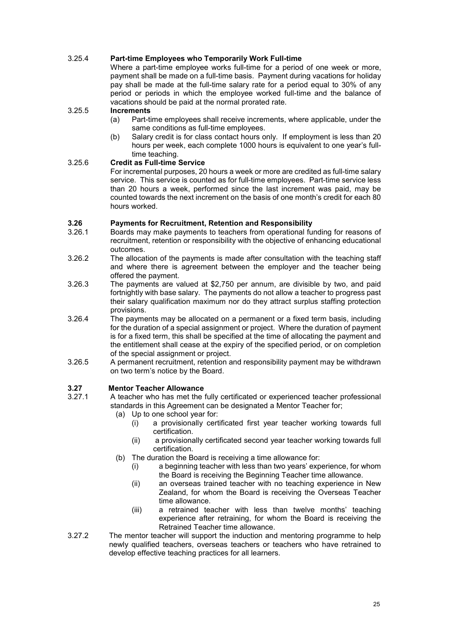### 3.25.4 **Part-time Employees who Temporarily Work Full-time**

Where a part-time employee works full-time for a period of one week or more, payment shall be made on a full-time basis. Payment during vacations for holiday pay shall be made at the full-time salary rate for a period equal to 30% of any period or periods in which the employee worked full-time and the balance of vacations should be paid at the normal prorated rate.

# 3.25.5 **Increments**

- Part-time employees shall receive increments, where applicable, under the same conditions as full-time employees.
- (b) Salary credit is for class contact hours only. If employment is less than 20 hours per week, each complete 1000 hours is equivalent to one year's fulltime teaching.

### 3.25.6 **Credit as Full-time Service**

For incremental purposes, 20 hours a week or more are credited as full-time salary service. This service is counted as for full-time employees. Part-time service less than 20 hours a week, performed since the last increment was paid, may be counted towards the next increment on the basis of one month's credit for each 80 hours worked.

### **3.26 Payments for Recruitment, Retention and Responsibility**

- Boards may make payments to teachers from operational funding for reasons of recruitment, retention or responsibility with the objective of enhancing educational outcomes.
- 3.26.2 The allocation of the payments is made after consultation with the teaching staff and where there is agreement between the employer and the teacher being offered the payment.
- 3.26.3 The payments are valued at \$2,750 per annum, are divisible by two, and paid fortnightly with base salary. The payments do not allow a teacher to progress past their salary qualification maximum nor do they attract surplus staffing protection provisions.
- 3.26.4 The payments may be allocated on a permanent or a fixed term basis, including for the duration of a special assignment or project. Where the duration of payment is for a fixed term, this shall be specified at the time of allocating the payment and the entitlement shall cease at the expiry of the specified period, or on completion of the special assignment or project.
- 3.26.5 A permanent recruitment, retention and responsibility payment may be withdrawn on two term's notice by the Board.

# **3.27 Mentor Teacher Allowance**

- A teacher who has met the fully certificated or experienced teacher professional standards in this Agreement can be designated a Mentor Teacher for;
	- (a) Up to one school year for:
		- (i) a provisionally certificated first year teacher working towards full certification.
		- (ii) a provisionally certificated second year teacher working towards full certification.
	- (b) The duration the Board is receiving a time allowance for:
		- (i) a beginning teacher with less than two years' experience, for whom the Board is receiving the Beginning Teacher time allowance.
		- (ii) an overseas trained teacher with no teaching experience in New Zealand, for whom the Board is receiving the Overseas Teacher time allowance.
		- (iii) a retrained teacher with less than twelve months' teaching experience after retraining, for whom the Board is receiving the Retrained Teacher time allowance.
- 3.27.2 The mentor teacher will support the induction and mentoring programme to help newly qualified teachers, overseas teachers or teachers who have retrained to develop effective teaching practices for all learners.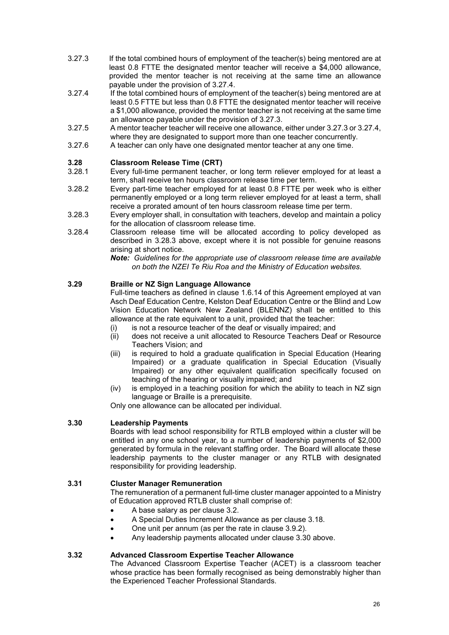- 3.27.3 If the total combined hours of employment of the teacher(s) being mentored are at least 0.8 FTTE the designated mentor teacher will receive a \$4,000 allowance, provided the mentor teacher is not receiving at the same time an allowance payable under the provision of 3.27.4.
- 3.27.4 If the total combined hours of employment of the teacher(s) being mentored are at least 0.5 FTTE but less than 0.8 FTTE the designated mentor teacher will receive a \$1,000 allowance, provided the mentor teacher is not receiving at the same time an allowance payable under the provision of 3.27.3.
- 3.27.5 A mentor teacher teacher will receive one allowance, either under 3.27.3 or 3.27.4, where they are designated to support more than one teacher concurrently.
- 3.27.6 A teacher can only have one designated mentor teacher at any one time.

## **3.28 Classroom Release Time (CRT)**

- Every full-time permanent teacher, or long term reliever employed for at least a term, shall receive ten hours classroom release time per term.
- 3.28.2 Every part-time teacher employed for at least 0.8 FTTE per week who is either permanently employed or a long term reliever employed for at least a term, shall receive a prorated amount of ten hours classroom release time per term.
- 3.28.3 Every employer shall, in consultation with teachers, develop and maintain a policy for the allocation of classroom release time.
- 3.28.4 Classroom release time will be allocated according to policy developed as described in 3.28.3 above, except where it is not possible for genuine reasons arising at short notice.

*Note: Guidelines for the appropriate use of classroom release time are available on both the NZEI Te Riu Roa and the Ministry of Education websites.*

### **3.29 Braille or NZ Sign Language Allowance**

Full-time teachers as defined in clause 1.6.14 of this Agreement employed at van Asch Deaf Education Centre, Kelston Deaf Education Centre or the Blind and Low Vision Education Network New Zealand (BLENNZ) shall be entitled to this allowance at the rate equivalent to a unit, provided that the teacher:

- (i) is not a resource teacher of the deaf or visually impaired; and
- (ii) does not receive a unit allocated to Resource Teachers Deaf or Resource Teachers Vision; and
- (iii) is required to hold a graduate qualification in Special Education (Hearing Impaired) or a graduate qualification in Special Education (Visually Impaired) or any other equivalent qualification specifically focused on teaching of the hearing or visually impaired; and
- (iv) is employed in a teaching position for which the ability to teach in NZ sign language or Braille is a prerequisite.

Only one allowance can be allocated per individual.

### **3.30 Leadership Payments**

Boards with lead school responsibility for RTLB employed within a cluster will be entitled in any one school year, to a number of leadership payments of \$2,000 generated by formula in the relevant staffing order. The Board will allocate these leadership payments to the cluster manager or any RTLB with designated responsibility for providing leadership.

### **3.31 Cluster Manager Remuneration**

The remuneration of a permanent full-time cluster manager appointed to a Ministry of Education approved RTLB cluster shall comprise of:

- A base salary as per clause 3.2.
- A Special Duties Increment Allowance as per clause 3.18.
- One unit per annum (as per the rate in clause 3.9.2).
- Any leadership payments allocated under clause 3.30 above.

### **3.32 Advanced Classroom Expertise Teacher Allowance**

The Advanced Classroom Expertise Teacher (ACET) is a classroom teacher whose practice has been formally recognised as being demonstrably higher than the Experienced Teacher Professional Standards.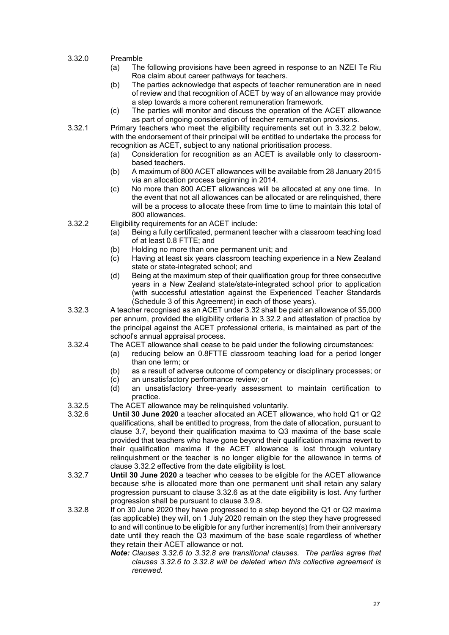- 3.32.0 Preamble
	- (a) The following provisions have been agreed in response to an NZEI Te Riu Roa claim about career pathways for teachers.
	- (b) The parties acknowledge that aspects of teacher remuneration are in need of review and that recognition of ACET by way of an allowance may provide a step towards a more coherent remuneration framework.
	- (c) The parties will monitor and discuss the operation of the ACET allowance as part of ongoing consideration of teacher remuneration provisions.
- 3.32.1 Primary teachers who meet the eligibility requirements set out in 3.32.2 below, with the endorsement of their principal will be entitled to undertake the process for recognition as ACET, subject to any national prioritisation process.
	- (a) Consideration for recognition as an ACET is available only to classroombased teachers.
	- (b) A maximum of 800 ACET allowances will be available from 28 January 2015 via an allocation process beginning in 2014.
	- (c) No more than 800 ACET allowances will be allocated at any one time. In the event that not all allowances can be allocated or are relinquished, there will be a process to allocate these from time to time to maintain this total of 800 allowances.
- 3.32.2 Eligibility requirements for an ACET include:
	- (a) Being a fully certificated, permanent teacher with a classroom teaching load of at least 0.8 FTTE; and
	- (b) Holding no more than one permanent unit; and
	- (c) Having at least six years classroom teaching experience in a New Zealand state or state-integrated school; and
	- (d) Being at the maximum step of their qualification group for three consecutive years in a New Zealand state/state-integrated school prior to application (with successful attestation against the Experienced Teacher Standards (Schedule 3 of this Agreement) in each of those years).
- 3.32.3 A teacher recognised as an ACET under 3.32 shall be paid an allowance of \$5,000 per annum, provided the eligibility criteria in 3.32.2 and attestation of practice by the principal against the ACET professional criteria, is maintained as part of the school's annual appraisal process.
- 3.32.4 The ACET allowance shall cease to be paid under the following circumstances:
	- (a) reducing below an 0.8FTTE classroom teaching load for a period longer than one term; or
	- (b) as a result of adverse outcome of competency or disciplinary processes; or
	- (c) an unsatisfactory performance review; or
	- an unsatisfactory three-yearly assessment to maintain certification to practice.
- 3.32.5 The ACET allowance may be relinquished voluntarily.<br>3.32.6 **Until 30 June 2020** a teacher allocated an ACET allo
- Until 30 June 2020 a teacher allocated an ACET allowance, who hold Q1 or Q2 qualifications, shall be entitled to progress, from the date of allocation, pursuant to clause 3.7, beyond their qualification maxima to Q3 maxima of the base scale provided that teachers who have gone beyond their qualification maxima revert to their qualification maxima if the ACET allowance is lost through voluntary relinquishment or the teacher is no longer eligible for the allowance in terms of clause 3.32.2 effective from the date eligibility is lost.
- 3.32.7 **Until 30 June 2020** a teacher who ceases to be eligible for the ACET allowance because s/he is allocated more than one permanent unit shall retain any salary progression pursuant to clause 3.32.6 as at the date eligibility is lost. Any further progression shall be pursuant to clause 3.9.8.
- 3.32.8 If on 30 June 2020 they have progressed to a step beyond the Q1 or Q2 maxima (as applicable) they will, on 1 July 2020 remain on the step they have progressed to and will continue to be eligible for any further increment(s) from their anniversary date until they reach the Q3 maximum of the base scale regardless of whether they retain their ACET allowance or not.
	- *Note: Clauses 3.32.6 to 3.32.8 are transitional clauses. The parties agree that clauses 3.32.6 to 3.32.8 will be deleted when this collective agreement is renewed.*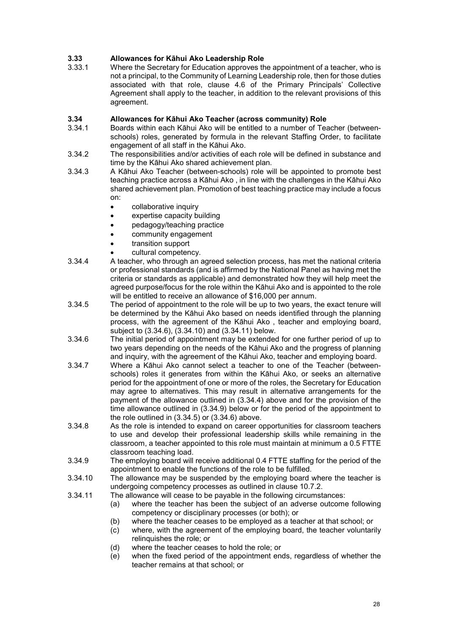# **3.33 Allowances for Kāhui Ako Leadership Role**

Where the Secretary for Education approves the appointment of a teacher, who is not a principal, to the Community of Learning Leadership role, then for those duties associated with that role, clause 4.6 of the Primary Principals' Collective Agreement shall apply to the teacher, in addition to the relevant provisions of this agreement.

### **3.34 Allowances for Kāhui Ako Teacher (across community) Role**

- Boards within each Kāhui Ako will be entitled to a number of Teacher (betweenschools) roles, generated by formula in the relevant Staffing Order, to facilitate engagement of all staff in the Kāhui Ako.
- 3.34.2 The responsibilities and/or activities of each role will be defined in substance and time by the Kāhui Ako shared achievement plan.
- 3.34.3 A Kāhui Ako Teacher (between-schools) role will be appointed to promote best teaching practice across a Kāhui Ako , in line with the challenges in the Kāhui Ako shared achievement plan. Promotion of best teaching practice may include a focus on:
	- collaborative inquiry
	- expertise capacity building
	- pedagogy/teaching practice
	- community engagement
	- transition support
	- cultural competency.
- 3.34.4 A teacher, who through an agreed selection process, has met the national criteria or professional standards (and is affirmed by the National Panel as having met the criteria or standards as applicable) and demonstrated how they will help meet the agreed purpose/focus for the role within the Kāhui Ako and is appointed to the role will be entitled to receive an allowance of \$16,000 per annum.
- 3.34.5 The period of appointment to the role will be up to two years, the exact tenure will be determined by the Kāhui Ako based on needs identified through the planning process, with the agreement of the Kāhui Ako , teacher and employing board, subject to (3.34.6), (3.34.10) and (3.34.11) below.
- 3.34.6 The initial period of appointment may be extended for one further period of up to two years depending on the needs of the Kāhui Ako and the progress of planning and inquiry, with the agreement of the Kāhui Ako, teacher and employing board.
- 3.34.7 Where a Kāhui Ako cannot select a teacher to one of the Teacher (betweenschools) roles it generates from within the Kāhui Ako, or seeks an alternative period for the appointment of one or more of the roles, the Secretary for Education may agree to alternatives. This may result in alternative arrangements for the payment of the allowance outlined in (3.34.4) above and for the provision of the time allowance outlined in (3.34.9) below or for the period of the appointment to the role outlined in (3.34.5) or (3.34.6) above.
- 3.34.8 As the role is intended to expand on career opportunities for classroom teachers to use and develop their professional leadership skills while remaining in the classroom, a teacher appointed to this role must maintain at minimum a 0.5 FTTE classroom teaching load.
- 3.34.9 The employing board will receive additional 0.4 FTTE staffing for the period of the appointment to enable the functions of the role to be fulfilled.
- 3.34.10 The allowance may be suspended by the employing board where the teacher is undergoing competency processes as outlined in clause 10.7.2.
- 3.34.11 The allowance will cease to be payable in the following circumstances:
	- (a) where the teacher has been the subject of an adverse outcome following competency or disciplinary processes (or both); or
	- (b) where the teacher ceases to be employed as a teacher at that school; or
	- (c) where, with the agreement of the employing board, the teacher voluntarily relinquishes the role; or
	- (d) where the teacher ceases to hold the role; or
	- (e) when the fixed period of the appointment ends, regardless of whether the teacher remains at that school; or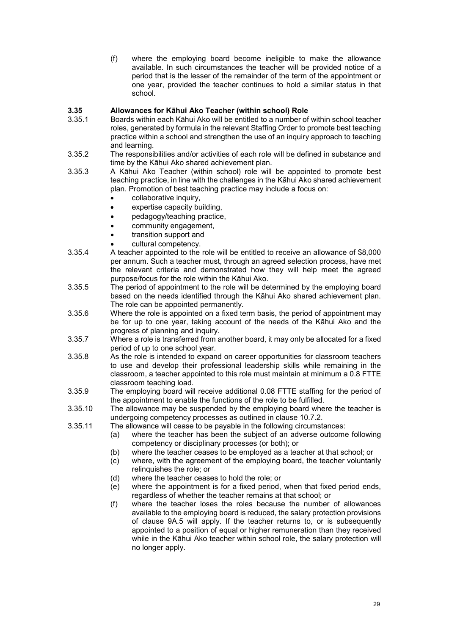(f) where the employing board become ineligible to make the allowance available. In such circumstances the teacher will be provided notice of a period that is the lesser of the remainder of the term of the appointment or one year, provided the teacher continues to hold a similar status in that school.

# **3.35 Allowances for Kāhui Ako Teacher (within school) Role**

- Boards within each Kāhui Ako will be entitled to a number of within school teacher roles, generated by formula in the relevant Staffing Order to promote best teaching practice within a school and strengthen the use of an inquiry approach to teaching and learning.
- 3.35.2 The responsibilities and/or activities of each role will be defined in substance and time by the Kāhui Ako shared achievement plan.
- 3.35.3 A Kāhui Ako Teacher (within school) role will be appointed to promote best teaching practice, in line with the challenges in the Kāhui Ako shared achievement plan. Promotion of best teaching practice may include a focus on:
	- collaborative inquiry,
	- expertise capacity building,
	- pedagogy/teaching practice,
	- community engagement,
	- transition support and
	- cultural competency.
- 3.35.4 A teacher appointed to the role will be entitled to receive an allowance of \$8,000 per annum. Such a teacher must, through an agreed selection process, have met the relevant criteria and demonstrated how they will help meet the agreed purpose/focus for the role within the Kāhui Ako.
- 3.35.5 The period of appointment to the role will be determined by the employing board based on the needs identified through the Kāhui Ako shared achievement plan. The role can be appointed permanently.
- 3.35.6 Where the role is appointed on a fixed term basis, the period of appointment may be for up to one year, taking account of the needs of the Kāhui Ako and the progress of planning and inquiry.
- 3.35.7 Where a role is transferred from another board, it may only be allocated for a fixed period of up to one school year.
- 3.35.8 As the role is intended to expand on career opportunities for classroom teachers to use and develop their professional leadership skills while remaining in the classroom, a teacher appointed to this role must maintain at minimum a 0.8 FTTE classroom teaching load.
- 3.35.9 The employing board will receive additional 0.08 FTTE staffing for the period of the appointment to enable the functions of the role to be fulfilled.
- 3.35.10 The allowance may be suspended by the employing board where the teacher is undergoing competency processes as outlined in clause 10.7.2.
- 3.35.11 The allowance will cease to be payable in the following circumstances:
	- (a) where the teacher has been the subject of an adverse outcome following competency or disciplinary processes (or both); or
	- (b) where the teacher ceases to be employed as a teacher at that school; or
	- $(c)$  where, with the agreement of the employing board, the teacher voluntarily relinquishes the role; or
	- (d) where the teacher ceases to hold the role; or
	- (e) where the appointment is for a fixed period, when that fixed period ends, regardless of whether the teacher remains at that school; or
	- (f) where the teacher loses the roles because the number of allowances available to the employing board is reduced, the salary protection provisions of clause 9A.5 will apply. If the teacher returns to, or is subsequently appointed to a position of equal or higher remuneration than they received while in the Kāhui Ako teacher within school role, the salary protection will no longer apply.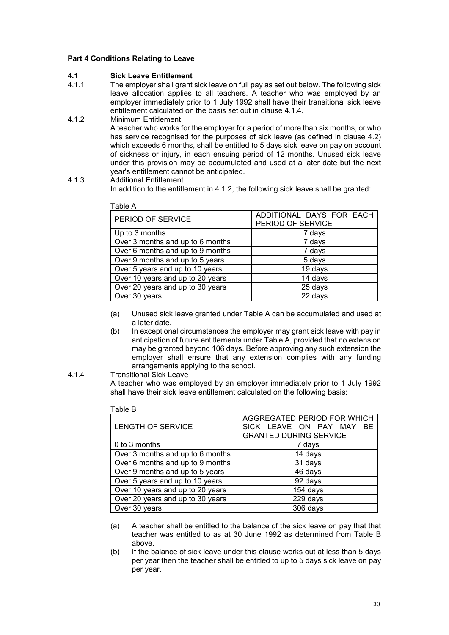### **Part 4 Conditions Relating to Leave**

### **4.1 Sick Leave Entitlement**

- The employer shall grant sick leave on full pay as set out below. The following sick leave allocation applies to all teachers. A teacher who was employed by an employer immediately prior to 1 July 1992 shall have their transitional sick leave entitlement calculated on the basis set out in clause 4.1.4.
- 4.1.2 Minimum Entitlement A teacher who works for the employer for a period of more than six months, or who has service recognised for the purposes of sick leave (as defined in clause 4.2) which exceeds 6 months, shall be entitled to 5 days sick leave on pay on account of sickness or injury, in each ensuing period of 12 months. Unused sick leave under this provision may be accumulated and used at a later date but the next year's entitlement cannot be anticipated.
- 4.1.3 Additional Entitlement In addition to the entitlement in 4.1.2, the following sick leave shall be granted:

| Table A                          |                                               |
|----------------------------------|-----------------------------------------------|
| PERIOD OF SERVICE                | ADDITIONAL DAYS FOR EACH<br>PERIOD OF SERVICE |
|                                  |                                               |
| Up to 3 months                   | 7 days                                        |
| Over 3 months and up to 6 months | 7 days                                        |
| Over 6 months and up to 9 months | 7 days                                        |
| Over 9 months and up to 5 years  | 5 days                                        |
| Over 5 years and up to 10 years  | 19 days                                       |
| Over 10 years and up to 20 years | 14 days                                       |
| Over 20 years and up to 30 years | 25 days                                       |
| Over 30 years                    | 22 days                                       |

- (a) Unused sick leave granted under Table A can be accumulated and used at a later date.
- (b) In exceptional circumstances the employer may grant sick leave with pay in anticipation of future entitlements under Table A, provided that no extension may be granted beyond 106 days. Before approving any such extension the employer shall ensure that any extension complies with any funding arrangements applying to the school.

#### 4.1.4 Transitional Sick Leave

Table B

A teacher who was employed by an employer immediately prior to 1 July 1992 shall have their sick leave entitlement calculated on the following basis:

| LENGTH OF SERVICE                | AGGREGATED PERIOD FOR WHICH<br>SICK LEAVE ON PAY MAY<br>BE.<br><b>GRANTED DURING SERVICE</b> |
|----------------------------------|----------------------------------------------------------------------------------------------|
| 0 to 3 months                    | 7 days                                                                                       |
| Over 3 months and up to 6 months | 14 days                                                                                      |
| Over 6 months and up to 9 months | 31 days                                                                                      |
| Over 9 months and up to 5 years  | 46 days                                                                                      |
| Over 5 years and up to 10 years  | 92 days                                                                                      |
| Over 10 years and up to 20 years | 154 days                                                                                     |
| Over 20 years and up to 30 years | 229 days                                                                                     |
| Over 30 years                    | 306 days                                                                                     |

- (a) A teacher shall be entitled to the balance of the sick leave on pay that that teacher was entitled to as at 30 June 1992 as determined from Table B above.
- (b) If the balance of sick leave under this clause works out at less than 5 days per year then the teacher shall be entitled to up to 5 days sick leave on pay per year.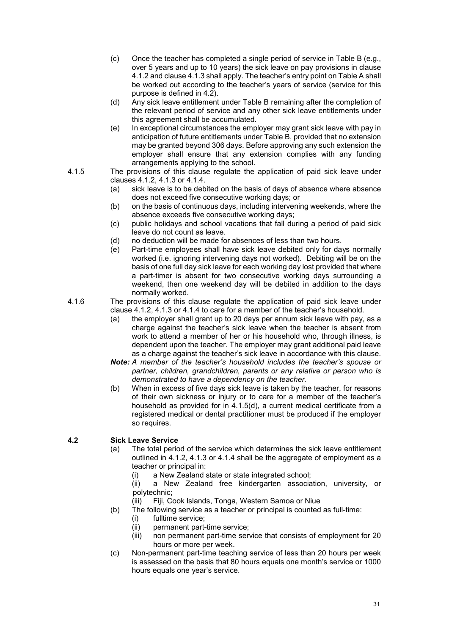- (c) Once the teacher has completed a single period of service in Table B (e.g., over 5 years and up to 10 years) the sick leave on pay provisions in clause 4.1.2 and clause 4.1.3 shall apply. The teacher's entry point on Table A shall be worked out according to the teacher's years of service (service for this purpose is defined in 4.2).
- (d) Any sick leave entitlement under Table B remaining after the completion of the relevant period of service and any other sick leave entitlements under this agreement shall be accumulated.
- (e) In exceptional circumstances the employer may grant sick leave with pay in anticipation of future entitlements under Table B, provided that no extension may be granted beyond 306 days. Before approving any such extension the employer shall ensure that any extension complies with any funding arrangements applying to the school.
- 4.1.5 The provisions of this clause regulate the application of paid sick leave under
	- clauses 4.1.2, 4.1.3 or 4.1.4.<br>(a) sick leave is to be deb sick leave is to be debited on the basis of days of absence where absence does not exceed five consecutive working days; or
	- (b) on the basis of continuous days, including intervening weekends, where the absence exceeds five consecutive working days;
	- (c) public holidays and school vacations that fall during a period of paid sick leave do not count as leave.
	- (d) no deduction will be made for absences of less than two hours.
	- (e) Part-time employees shall have sick leave debited only for days normally worked (i.e. ignoring intervening days not worked). Debiting will be on the basis of one full day sick leave for each working day lost provided that where a part-timer is absent for two consecutive working days surrounding a weekend, then one weekend day will be debited in addition to the days normally worked.
- 4.1.6 The provisions of this clause regulate the application of paid sick leave under clause 4.1.2, 4.1.3 or 4.1.4 to care for a member of the teacher's household.
	- (a) the employer shall grant up to 20 days per annum sick leave with pay, as a charge against the teacher's sick leave when the teacher is absent from work to attend a member of her or his household who, through illness, is dependent upon the teacher. The employer may grant additional paid leave as a charge against the teacher's sick leave in accordance with this clause.
	- *Note: A member of the teacher's household includes the teacher's spouse or partner, children, grandchildren, parents or any relative or person who is demonstrated to have a dependency on the teacher.*
	- (b) When in excess of five days sick leave is taken by the teacher, for reasons of their own sickness or injury or to care for a member of the teacher's household as provided for in 4.1.5(d), a current medical certificate from a registered medical or dental practitioner must be produced if the employer so requires.

### **4.2 Sick Leave Service**

- (a) The total period of the service which determines the sick leave entitlement outlined in 4.1.2, 4.1.3 or 4.1.4 shall be the aggregate of employment as a teacher or principal in:
	- (i) a New Zealand state or state integrated school;
	- a New Zealand free kindergarten association, university, or polytechnic;
	- (iii) Fiji, Cook lslands, Tonga, Western Samoa or Niue
- (b) The following service as a teacher or principal is counted as full-time:
	- (i) fulltime service;
	- (ii) permanent part-time service;<br>(iii) non permanent part-time ser
	- non permanent part-time service that consists of employment for 20 hours or more per week.
- (c) Non-permanent part-time teaching service of less than 20 hours per week is assessed on the basis that 80 hours equals one month's service or 1000 hours equals one year's service.

31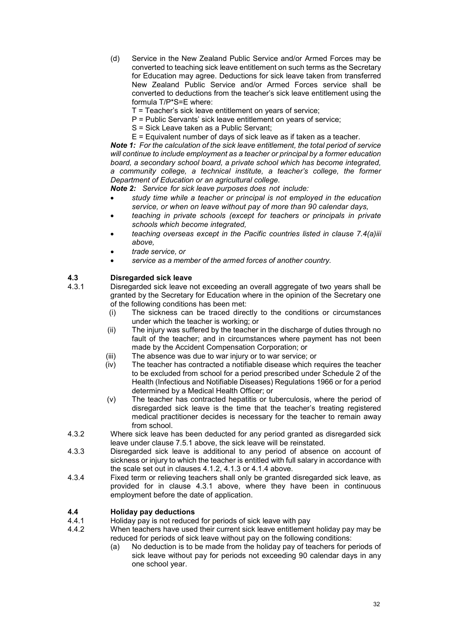- (d) Service in the New Zealand Public Service and/or Armed Forces may be converted to teaching sick leave entitlement on such terms as the Secretary for Education may agree. Deductions for sick leave taken from transferred New Zealand Public Service and/or Armed Forces service shall be converted to deductions from the teacher's sick leave entitlement using the formula T/P\*S=E where:
	- T = Teacher's sick leave entitlement on years of service;
	- P = Public Servants' sick leave entitlement on years of service;
	- S = Sick Leave taken as a Public Servant;
	- E = Equivalent number of days of sick leave as if taken as a teacher.

*Note 1: For the calculation of the sick leave entitlement, the total period of service will continue to include employment as a teacher or principal by a former education board, a secondary school board, a private school which has become integrated, a community college, a technical institute, a teacher's college, the former Department of Education or an agricultural college.*

*Note 2: Service for sick leave purposes does not include:*

- *study time while a teacher or principal is not employed in the education service, or when on leave without pay of more than 90 calendar days,*
- *teaching in private schools (except for teachers or principals in private schools which become integrated,*
- *teaching overseas except in the Pacific countries listed in clause 7.4(a)iii above,*
- *trade service, or*
- *service as a member of the armed forces of another country.*

### **4.3 Disregarded sick leave**

- Disregarded sick leave not exceeding an overall aggregate of two years shall be granted by the Secretary for Education where in the opinion of the Secretary one of the following conditions has been met:
	- (i) The sickness can be traced directly to the conditions or circumstances under which the teacher is working; or
	- (ii) The injury was suffered by the teacher in the discharge of duties through no fault of the teacher; and in circumstances where payment has not been made by the Accident Compensation Corporation; or
	- (iii) The absence was due to war injury or to war service; or
	- (iv) The teacher has contracted a notifiable disease which requires the teacher to be excluded from school for a period prescribed under Schedule 2 of the Health (Infectious and Notifiable Diseases) Regulations 1966 or for a period determined by a Medical Health Officer; or
	- (v) The teacher has contracted hepatitis or tuberculosis, where the period of disregarded sick leave is the time that the teacher's treating registered medical practitioner decides is necessary for the teacher to remain away from school.
- 4.3.2 Where sick leave has been deducted for any period granted as disregarded sick leave under clause 7.5.1 above, the sick leave will be reinstated.
- 4.3.3 Disregarded sick leave is additional to any period of absence on account of sickness or injury to which the teacher is entitled with full salary in accordance with the scale set out in clauses 4.1.2, 4.1.3 or 4.1.4 above.
- 4.3.4 Fixed term or relieving teachers shall only be granted disregarded sick leave, as provided for in clause 4.3.1 above, where they have been in continuous employment before the date of application.

### **4.4 Holiday pay deductions**

- 4.4.1 Holiday pay is not reduced for periods of sick leave with pay<br>4.4.2 When teachers have used their current sick leave entitlemen
- When teachers have used their current sick leave entitlement holiday pay may be reduced for periods of sick leave without pay on the following conditions:
	- (a) No deduction is to be made from the holiday pay of teachers for periods of sick leave without pay for periods not exceeding 90 calendar days in any one school year.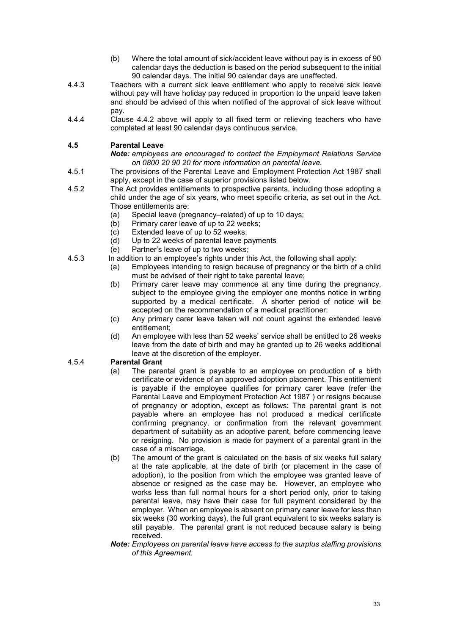- (b) Where the total amount of sick/accident leave without pay is in excess of 90 calendar days the deduction is based on the period subsequent to the initial 90 calendar days. The initial 90 calendar days are unaffected.
- 4.4.3 Teachers with a current sick leave entitlement who apply to receive sick leave without pay will have holiday pay reduced in proportion to the unpaid leave taken and should be advised of this when notified of the approval of sick leave without pay.
- 4.4.4 Clause 4.4.2 above will apply to all fixed term or relieving teachers who have completed at least 90 calendar days continuous service.

### **4.5 Parental Leave**

*Note: employees are encouraged to contact the Employment Relations Service on 0800 20 90 20 for more information on parental leave.*

- 4.5.1 The provisions of the Parental Leave and Employment Protection Act 1987 shall apply, except in the case of superior provisions listed below.
- 4.5.2 The Act provides entitlements to prospective parents, including those adopting a child under the age of six years, who meet specific criteria, as set out in the Act. Those entitlements are:
	- (a) Special leave (pregnancy–related) of up to 10 days;<br>(b) Primary carer leave of up to 22 weeks;
	- Primary carer leave of up to 22 weeks;
	- (c) Extended leave of up to 52 weeks;<br>(d) Up to 22 weeks of parental leave p
	- Up to 22 weeks of parental leave payments
	- (e) Partner's leave of up to two weeks;
- 4.5.3 In addition to an employee's rights under this Act, the following shall apply:
	- Employees intending to resign because of pregnancy or the birth of a child must be advised of their right to take parental leave;
	- (b) Primary carer leave may commence at any time during the pregnancy, subject to the employee giving the employer one months notice in writing supported by a medical certificate. A shorter period of notice will be accepted on the recommendation of a medical practitioner;
	- (c) Any primary carer leave taken will not count against the extended leave entitlement;
	- (d) An employee with less than 52 weeks' service shall be entitled to 26 weeks leave from the date of birth and may be granted up to 26 weeks additional leave at the discretion of the employer.

### 4.5.4 **Parental Grant**

- (a) The parental grant is payable to an employee on production of a birth certificate or evidence of an approved adoption placement. This entitlement is payable if the employee qualifies for primary carer leave (refer the Parental Leave and Employment Protection Act 1987 ) or resigns because of pregnancy or adoption, except as follows: The parental grant is not payable where an employee has not produced a medical certificate confirming pregnancy, or confirmation from the relevant government department of suitability as an adoptive parent, before commencing leave or resigning. No provision is made for payment of a parental grant in the case of a miscarriage.
- (b) The amount of the grant is calculated on the basis of six weeks full salary at the rate applicable, at the date of birth (or placement in the case of adoption), to the position from which the employee was granted leave of absence or resigned as the case may be. However, an employee who works less than full normal hours for a short period only, prior to taking parental leave, may have their case for full payment considered by the employer. When an employee is absent on primary carer leave for less than six weeks (30 working days), the full grant equivalent to six weeks salary is still payable. The parental grant is not reduced because salary is being received.
- *Note: Employees on parental leave have access to the surplus staffing provisions of this Agreement.*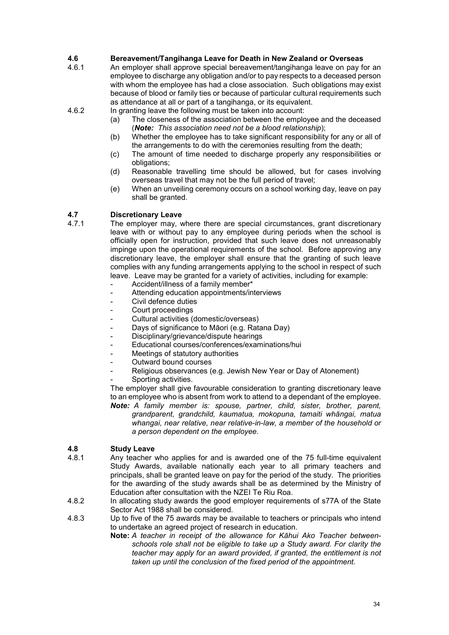# **4.6 Bereavement/Tangihanga Leave for Death in New Zealand or Overseas**

An employer shall approve special bereavement/tangihanga leave on pay for an employee to discharge any obligation and/or to pay respects to a deceased person with whom the employee has had a close association. Such obligations may exist because of blood or family ties or because of particular cultural requirements such as attendance at all or part of a tangihanga, or its equivalent.

4.6.2 In granting leave the following must be taken into account:<br>(a) The closeness of the association between the emplo

- The closeness of the association between the employee and the deceased (*Note: This association need not be a blood relationship*);
- (b) Whether the employee has to take significant responsibility for any or all of the arrangements to do with the ceremonies resulting from the death;
- (c) The amount of time needed to discharge properly any responsibilities or obligations;
- (d) Reasonable travelling time should be allowed, but for cases involving overseas travel that may not be the full period of travel;
- (e) When an unveiling ceremony occurs on a school working day, leave on pay shall be granted.

# **4.7 Discretionary Leave**

- The employer may, where there are special circumstances, grant discretionary leave with or without pay to any employee during periods when the school is officially open for instruction, provided that such leave does not unreasonably impinge upon the operational requirements of the school. Before approving any discretionary leave, the employer shall ensure that the granting of such leave complies with any funding arrangements applying to the school in respect of such leave. Leave may be granted for a variety of activities, including for example:
	- Accident/illness of a family member\*
	- Attending education appointments/interviews
	- Civil defence duties
	- Court proceedings
	- Cultural activities (domestic/overseas)
	- Days of significance to Māori (e.g. Ratana Day)
	- Disciplinary/grievance/dispute hearings
	- Educational courses/conferences/examinations/hui
	- Meetings of statutory authorities
	- Outward bound courses
	- Religious observances (e.g. Jewish New Year or Day of Atonement)
	- Sporting activities.

The employer shall give favourable consideration to granting discretionary leave to an employee who is absent from work to attend to a dependant of the employee. *Note: A family member is: spouse, partner, child, sister, brother, parent,* 

*grandparent, grandchild, kaumatua, mokopuna, tamaiti whāngai, matua whangai, near relative, near relative-in-law, a member of the household or a person dependent on the employee.*

# **4.8 Study Leave**

- Any teacher who applies for and is awarded one of the 75 full-time equivalent Study Awards, available nationally each year to all primary teachers and principals, shall be granted leave on pay for the period of the study. The priorities for the awarding of the study awards shall be as determined by the Ministry of Education after consultation with the NZEI Te Riu Roa.
- 4.8.2 In allocating study awards the good employer requirements of s77A of the State Sector Act 1988 shall be considered.
- 4.8.3 Up to five of the 75 awards may be available to teachers or principals who intend to undertake an agreed project of research in education.
	- **Note:** *A teacher in receipt of the allowance for Kāhui Ako Teacher betweenschools role shall not be eligible to take up a Study award. For clarity the teacher may apply for an award provided, if granted, the entitlement is not taken up until the conclusion of the fixed period of the appointment.*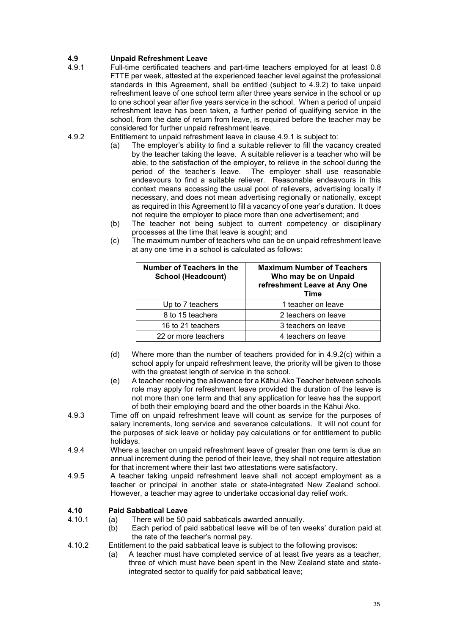# **4.9 Unpaid Refreshment Leave**

- Full-time certificated teachers and part-time teachers employed for at least 0.8 FTTE per week, attested at the experienced teacher level against the professional standards in this Agreement, shall be entitled (subject to 4.9.2) to take unpaid refreshment leave of one school term after three years service in the school or up to one school year after five years service in the school. When a period of unpaid refreshment leave has been taken, a further period of qualifying service in the school, from the date of return from leave, is required before the teacher may be considered for further unpaid refreshment leave.
- 4.9.2 Entitlement to unpaid refreshment leave in clause 4.9.1 is subject to:
	- (a) The employer's ability to find a suitable reliever to fill the vacancy created by the teacher taking the leave. A suitable reliever is a teacher who will be able, to the satisfaction of the employer, to relieve in the school during the period of the teacher's leave. The employer shall use reasonable The employer shall use reasonable. endeavours to find a suitable reliever. Reasonable endeavours in this context means accessing the usual pool of relievers, advertising locally if necessary, and does not mean advertising regionally or nationally, except as required in this Agreement to fill a vacancy of one year's duration. It does not require the employer to place more than one advertisement; and
	- (b) The teacher not being subject to current competency or disciplinary processes at the time that leave is sought; and
	- (c) The maximum number of teachers who can be on unpaid refreshment leave at any one time in a school is calculated as follows:

| Number of Teachers in the<br><b>School (Headcount)</b> | <b>Maximum Number of Teachers</b><br>Who may be on Unpaid<br>refreshment Leave at Any One<br>Time |
|--------------------------------------------------------|---------------------------------------------------------------------------------------------------|
| Up to 7 teachers                                       | 1 teacher on leave                                                                                |
| 8 to 15 teachers                                       | 2 teachers on leave                                                                               |
| 16 to 21 teachers                                      | 3 teachers on leave                                                                               |
| 22 or more teachers                                    | 4 teachers on leave                                                                               |

- (d) Where more than the number of teachers provided for in 4.9.2(c) within a school apply for unpaid refreshment leave, the priority will be given to those with the greatest length of service in the school.
- (e) A teacher receiving the allowance for a Kāhui Ako Teacher between schools role may apply for refreshment leave provided the duration of the leave is not more than one term and that any application for leave has the support of both their employing board and the other boards in the Kāhui Ako.
- 4.9.3 Time off on unpaid refreshment leave will count as service for the purposes of salary increments, long service and severance calculations. It will not count for the purposes of sick leave or holiday pay calculations or for entitlement to public holidays.
- 4.9.4 Where a teacher on unpaid refreshment leave of greater than one term is due an annual increment during the period of their leave, they shall not require attestation for that increment where their last two attestations were satisfactory.
- 4.9.5 A teacher taking unpaid refreshment leave shall not accept employment as a teacher or principal in another state or state-integrated New Zealand school. However, a teacher may agree to undertake occasional day relief work.

### **4.10 Paid Sabbatical Leave**

- (a) There will be 50 paid sabbaticals awarded annually.
	- (b) Each period of paid sabbatical leave will be of ten weeks' duration paid at the rate of the teacher's normal pay.
- 4.10.2 Entitlement to the paid sabbatical leave is subject to the following provisos:
	- (a) A teacher must have completed service of at least five years as a teacher, three of which must have been spent in the New Zealand state and stateintegrated sector to qualify for paid sabbatical leave;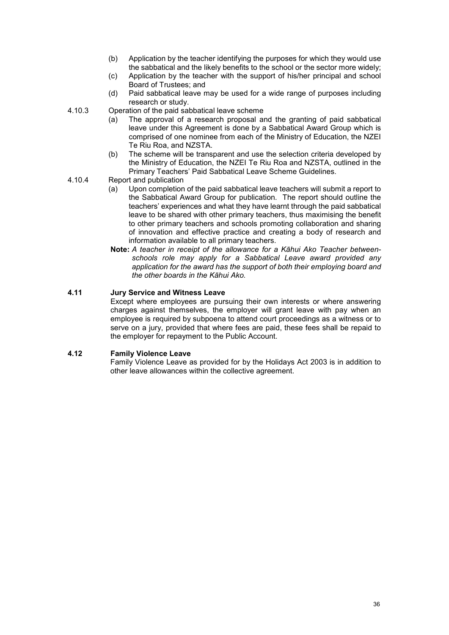- (b) Application by the teacher identifying the purposes for which they would use the sabbatical and the likely benefits to the school or the sector more widely;
- (c) Application by the teacher with the support of his/her principal and school Board of Trustees; and
- (d) Paid sabbatical leave may be used for a wide range of purposes including research or study.

#### 4.10.3 Operation of the paid sabbatical leave scheme

- (a) The approval of a research proposal and the granting of paid sabbatical leave under this Agreement is done by a Sabbatical Award Group which is comprised of one nominee from each of the Ministry of Education, the NZEI Te Riu Roa, and NZSTA.
- (b) The scheme will be transparent and use the selection criteria developed by the Ministry of Education, the NZEI Te Riu Roa and NZSTA, outlined in the Primary Teachers' Paid Sabbatical Leave Scheme Guidelines.
- 4.10.4 Report and publication<br>(a) Upon completion
	- Upon completion of the paid sabbatical leave teachers will submit a report to the Sabbatical Award Group for publication. The report should outline the teachers' experiences and what they have learnt through the paid sabbatical leave to be shared with other primary teachers, thus maximising the benefit to other primary teachers and schools promoting collaboration and sharing of innovation and effective practice and creating a body of research and information available to all primary teachers.
	- **Note:** *A teacher in receipt of the allowance for a Kāhui Ako Teacher betweenschools role may apply for a Sabbatical Leave award provided any application for the award has the support of both their employing board and the other boards in the Kāhui Ako.*

## **4.11 Jury Service and Witness Leave**

Except where employees are pursuing their own interests or where answering charges against themselves, the employer will grant leave with pay when an employee is required by subpoena to attend court proceedings as a witness or to serve on a jury, provided that where fees are paid, these fees shall be repaid to the employer for repayment to the Public Account.

## **4.12 Family Violence Leave**

Family Violence Leave as provided for by the Holidays Act 2003 is in addition to other leave allowances within the collective agreement.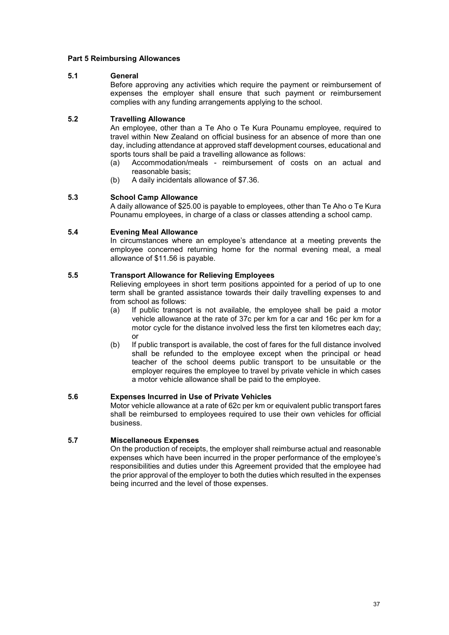#### **Part 5 Reimbursing Allowances**

#### **5.1 General**

Before approving any activities which require the payment or reimbursement of expenses the employer shall ensure that such payment or reimbursement complies with any funding arrangements applying to the school.

### **5.2 Travelling Allowance**

An employee, other than a Te Aho o Te Kura Pounamu employee, required to travel within New Zealand on official business for an absence of more than one day, including attendance at approved staff development courses, educational and sports tours shall be paid a travelling allowance as follows:<br>(a) Accommodation/meals - reimbursement of costs

- Accommodation/meals reimbursement of costs on an actual and reasonable basis;
- (b) A daily incidentals allowance of \$7.36.

### **5.3 School Camp Allowance**

A daily allowance of \$25.00 is payable to employees, other than Te Aho o Te Kura Pounamu employees, in charge of a class or classes attending a school camp.

#### **5.4 Evening Meal Allowance**

In circumstances where an employee's attendance at a meeting prevents the employee concerned returning home for the normal evening meal, a meal allowance of \$11.56 is payable.

#### **5.5 Transport Allowance for Relieving Employees**

Relieving employees in short term positions appointed for a period of up to one term shall be granted assistance towards their daily travelling expenses to and from school as follows:

- (a) If public transport is not available, the employee shall be paid a motor vehicle allowance at the rate of 37c per km for a car and 16c per km for a motor cycle for the distance involved less the first ten kilometres each day; or
- (b) If public transport is available, the cost of fares for the full distance involved shall be refunded to the employee except when the principal or head teacher of the school deems public transport to be unsuitable or the employer requires the employee to travel by private vehicle in which cases a motor vehicle allowance shall be paid to the employee.

#### **5.6 Expenses Incurred in Use of Private Vehicles**

Motor vehicle allowance at a rate of 62c per km or equivalent public transport fares shall be reimbursed to employees required to use their own vehicles for official business.

## **5.7 Miscellaneous Expenses**

On the production of receipts, the employer shall reimburse actual and reasonable expenses which have been incurred in the proper performance of the employee's responsibilities and duties under this Agreement provided that the employee had the prior approval of the employer to both the duties which resulted in the expenses being incurred and the level of those expenses.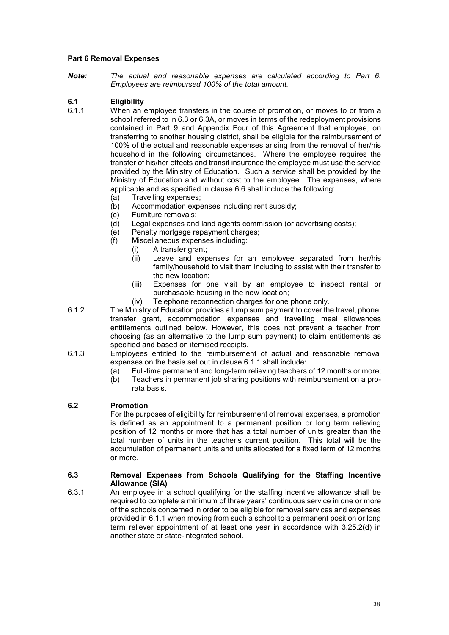### **Part 6 Removal Expenses**

*Note: The actual and reasonable expenses are calculated according to Part 6. Employees are reimbursed 100% of the total amount.*

## **6.1 Eligibility**

- When an employee transfers in the course of promotion, or moves to or from a school referred to in 6.3 or 6.3A, or moves in terms of the redeployment provisions contained in Part 9 and Appendix Four of this Agreement that employee, on transferring to another housing district, shall be eligible for the reimbursement of 100% of the actual and reasonable expenses arising from the removal of her/his household in the following circumstances. Where the employee requires the transfer of his/her effects and transit insurance the employee must use the service provided by the Ministry of Education. Such a service shall be provided by the Ministry of Education and without cost to the employee. The expenses, where applicable and as specified in clause 6.6 shall include the following:
	- (a) Travelling expenses;<br>(b) Accommodation expe
	- Accommodation expenses including rent subsidy;
	-
	- (c) Furniture removals;<br>(d) Legal expenses and Legal expenses and land agents commission (or advertising costs);
	- (e) Penalty mortgage repayment charges;<br>(f) Miscellaneous expenses including:
	- Miscellaneous expenses including:
		- (i) A transfer grant;
		- (ii) Leave and expenses for an employee separated from her/his family/household to visit them including to assist with their transfer to the new location;
		- (iii) Expenses for one visit by an employee to inspect rental or purchasable housing in the new location;
		- (iv) Telephone reconnection charges for one phone only.
- 6.1.2 The Ministry of Education provides a lump sum payment to cover the travel, phone, transfer grant, accommodation expenses and travelling meal allowances entitlements outlined below. However, this does not prevent a teacher from choosing (as an alternative to the lump sum payment) to claim entitlements as specified and based on itemised receipts.
- 6.1.3 Employees entitled to the reimbursement of actual and reasonable removal expenses on the basis set out in clause 6.1.1 shall include:
	-
	- (a) Full-time permanent and long-term relieving teachers of 12 months or more;<br>(b) Teachers in permanent job sharing positions with reimbursement on a pro-Teachers in permanent job sharing positions with reimbursement on a prorata basis.

#### **6.2 Promotion**

For the purposes of eligibility for reimbursement of removal expenses, a promotion is defined as an appointment to a permanent position or long term relieving position of 12 months or more that has a total number of units greater than the total number of units in the teacher's current position. This total will be the accumulation of permanent units and units allocated for a fixed term of 12 months or more.

#### **6.3 Removal Expenses from Schools Qualifying for the Staffing Incentive Allowance (SIA)**

6.3.1 An employee in a school qualifying for the staffing incentive allowance shall be required to complete a minimum of three years' continuous service in one or more of the schools concerned in order to be eligible for removal services and expenses provided in 6.1.1 when moving from such a school to a permanent position or long term reliever appointment of at least one year in accordance with 3.25.2(d) in another state or state-integrated school.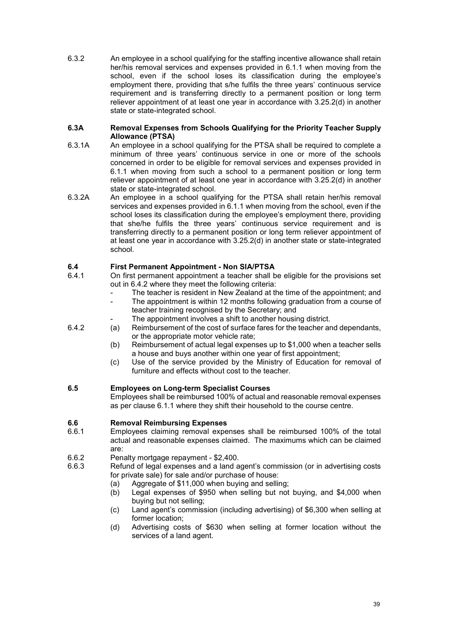6.3.2 An employee in a school qualifying for the staffing incentive allowance shall retain her/his removal services and expenses provided in 6.1.1 when moving from the school, even if the school loses its classification during the employee's employment there, providing that s/he fulfils the three years' continuous service requirement and is transferring directly to a permanent position or long term reliever appointment of at least one year in accordance with 3.25.2(d) in another state or state-integrated school.

#### **6.3A Removal Expenses from Schools Qualifying for the Priority Teacher Supply Allowance (PTSA)**

- 6.3.1A An employee in a school qualifying for the PTSA shall be required to complete a minimum of three years' continuous service in one or more of the schools concerned in order to be eligible for removal services and expenses provided in 6.1.1 when moving from such a school to a permanent position or long term reliever appointment of at least one year in accordance with 3.25.2(d) in another state or state-integrated school.
- 6.3.2A An employee in a school qualifying for the PTSA shall retain her/his removal services and expenses provided in 6.1.1 when moving from the school, even if the school loses its classification during the employee's employment there, providing that she/he fulfils the three years' continuous service requirement and is transferring directly to a permanent position or long term reliever appointment of at least one year in accordance with 3.25.2(d) in another state or state-integrated school.

# **6.4 First Permanent Appointment - Non SIA/PTSA**

- 6.4.1 On first permanent appointment a teacher shall be eligible for the provisions set out in 6.4.2 where they meet the following criteria:
	- The teacher is resident in New Zealand at the time of the appointment; and
	- The appointment is within 12 months following graduation from a course of teacher training recognised by the Secretary; and
	- The appointment involves a shift to another housing district.
- 6.4.2 (a) Reimbursement of the cost of surface fares for the teacher and dependants, or the appropriate motor vehicle rate;
	- (b) Reimbursement of actual legal expenses up to \$1,000 when a teacher sells a house and buys another within one year of first appointment;
	- (c) Use of the service provided by the Ministry of Education for removal of furniture and effects without cost to the teacher.

## **6.5 Employees on Long-term Specialist Courses**

Employees shall be reimbursed 100% of actual and reasonable removal expenses as per clause 6.1.1 where they shift their household to the course centre.

## **6.6 Removal Reimbursing Expenses**

- Employees claiming removal expenses shall be reimbursed 100% of the total actual and reasonable expenses claimed. The maximums which can be claimed are:
- 6.6.2 Penalty mortgage repayment \$2,400.<br>6.6.3 Refund of legal expenses and a land a
- Refund of legal expenses and a land agent's commission (or in advertising costs for private sale) for sale and/or purchase of house:
	- (a) Aggregate of \$11,000 when buying and selling;<br>(b) Legal expenses of \$950 when selling but not
	- Legal expenses of \$950 when selling but not buying, and \$4,000 when buying but not selling;
	- (c) Land agent's commission (including advertising) of \$6,300 when selling at former location;
	- (d) Advertising costs of \$630 when selling at former location without the services of a land agent.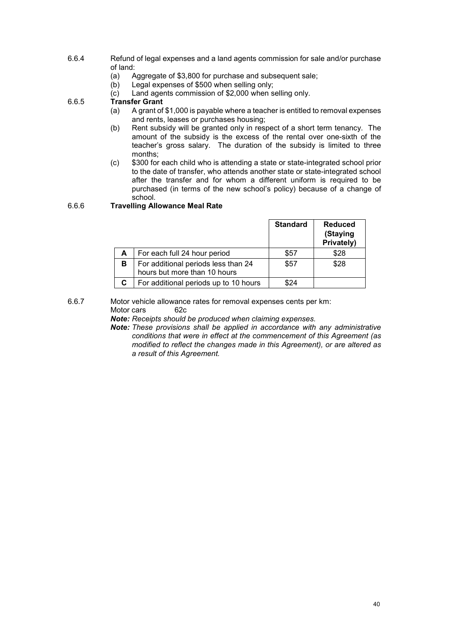- 6.6.4 Refund of legal expenses and a land agents commission for sale and/or purchase of land:<br>(a)  $\beta$ 
	- (a) Aggregate of \$3,800 for purchase and subsequent sale;<br>(b) Legal expenses of \$500 when selling only;
	- Legal expenses of \$500 when selling only;
	- (c) Land agents commission of \$2,000 when selling only.

# 6.6.5 **Transfer Grant**

- A grant of \$1,000 is payable where a teacher is entitled to removal expenses and rents, leases or purchases housing;
- (b) Rent subsidy will be granted only in respect of a short term tenancy. The amount of the subsidy is the excess of the rental over one-sixth of the teacher's gross salary. The duration of the subsidy is limited to three months;
- (c) \$300 for each child who is attending a state or state-integrated school prior to the date of transfer, who attends another state or state-integrated school after the transfer and for whom a different uniform is required to be purchased (in terms of the new school's policy) because of a change of school.

## 6.6.6 **Travelling Allowance Meal Rate**

|    |                                                                     | <b>Standard</b> | <b>Reduced</b><br>(Staying<br>Privately) |
|----|---------------------------------------------------------------------|-----------------|------------------------------------------|
| A  | For each full 24 hour period                                        | \$57            | \$28                                     |
| В  | For additional periods less than 24<br>hours but more than 10 hours | \$57            | \$28                                     |
| C. | For additional periods up to 10 hours                               |                 |                                          |

#### 6.6.7 Motor vehicle allowance rates for removal expenses cents per km: Motor cars

- *Note: Receipts should be produced when claiming expenses.*
- *Note: These provisions shall be applied in accordance with any administrative conditions that were in effect at the commencement of this Agreement (as modified to reflect the changes made in this Agreement), or are altered as a result of this Agreement.*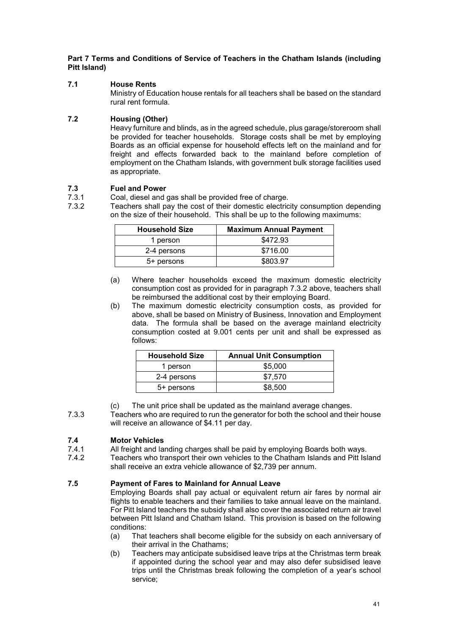## **Part 7 Terms and Conditions of Service of Teachers in the Chatham Islands (including Pitt Island)**

## **7.1 House Rents**

Ministry of Education house rentals for all teachers shall be based on the standard rural rent formula.

## **7.2 Housing (Other)**

Heavy furniture and blinds, as in the agreed schedule, plus garage/storeroom shall be provided for teacher households. Storage costs shall be met by employing Boards as an official expense for household effects left on the mainland and for freight and effects forwarded back to the mainland before completion of employment on the Chatham Islands, with government bulk storage facilities used as appropriate.

## **7.3 Fuel and Power**

- 7.3.1 Coal, diesel and gas shall be provided free of charge.<br>7.3.2 Teachers shall pay the cost of their domestic electric
- Teachers shall pay the cost of their domestic electricity consumption depending on the size of their household. This shall be up to the following maximums:

| <b>Household Size</b> | <b>Maximum Annual Payment</b> |
|-----------------------|-------------------------------|
| 1 person              | \$472.93                      |
| 2-4 persons           | \$716.00                      |
| 5+ persons            | \$803.97                      |

- (a) Where teacher households exceed the maximum domestic electricity consumption cost as provided for in paragraph 7.3.2 above, teachers shall be reimbursed the additional cost by their employing Board.
- (b) The maximum domestic electricity consumption costs, as provided for above, shall be based on Ministry of Business, Innovation and Employment data. The formula shall be based on the average mainland electricity consumption costed at 9.001 cents per unit and shall be expressed as follows:

| <b>Household Size</b> | <b>Annual Unit Consumption</b> |
|-----------------------|--------------------------------|
| 1 person              | \$5,000                        |
| 2-4 persons           | \$7,570                        |
| 5+ persons            | \$8,500                        |

- (c) The unit price shall be updated as the mainland average changes.
- 7.3.3 Teachers who are required to run the generator for both the school and their house will receive an allowance of \$4.11 per day.

# **7.4 Motor Vehicles**

- 7.4.1 All freight and landing charges shall be paid by employing Boards both ways.<br>7.4.2 Teachers who transport their own vehicles to the Chatham Islands and Pitt Isl
	- Teachers who transport their own vehicles to the Chatham Islands and Pitt Island shall receive an extra vehicle allowance of \$2,739 per annum.

## **7.5 Payment of Fares to Mainland for Annual Leave**

Employing Boards shall pay actual or equivalent return air fares by normal air flights to enable teachers and their families to take annual leave on the mainland. For Pitt Island teachers the subsidy shall also cover the associated return air travel between Pitt Island and Chatham Island. This provision is based on the following conditions:

- (a) That teachers shall become eligible for the subsidy on each anniversary of their arrival in the Chathams;
- (b) Teachers may anticipate subsidised leave trips at the Christmas term break if appointed during the school year and may also defer subsidised leave trips until the Christmas break following the completion of a year's school service;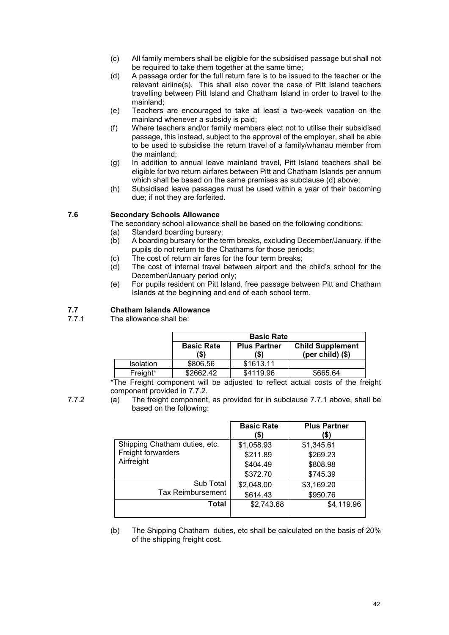- (c) All family members shall be eligible for the subsidised passage but shall not be required to take them together at the same time;
- (d) A passage order for the full return fare is to be issued to the teacher or the relevant airline(s). This shall also cover the case of Pitt Island teachers travelling between Pitt Island and Chatham Island in order to travel to the mainland;
- (e) Teachers are encouraged to take at least a two-week vacation on the mainland whenever a subsidy is paid;
- (f) Where teachers and/or family members elect not to utilise their subsidised passage, this instead, subject to the approval of the employer, shall be able to be used to subsidise the return travel of a family/whanau member from the mainland;
- (g) In addition to annual leave mainland travel, Pitt Island teachers shall be eligible for two return airfares between Pitt and Chatham Islands per annum which shall be based on the same premises as subclause (d) above;
- (h) Subsidised leave passages must be used within a year of their becoming due; if not they are forfeited.

## **7.6 Secondary Schools Allowance**

The secondary school allowance shall be based on the following conditions:

- (a) Standard boarding bursary;<br>(b) A boarding bursary for the te
	- A boarding bursary for the term breaks, excluding December/January, if the pupils do not return to the Chathams for those periods;
	- (c) The cost of return air fares for the four term breaks;<br>(d) The cost of internal travel between airport and the
	- The cost of internal travel between airport and the child's school for the December/January period only;
	- (e) For pupils resident on Pitt Island, free passage between Pitt and Chatham Islands at the beginning and end of each school term.

## **7.7 Chatham Islands Allowance**

The allowance shall be:

|                  | <b>Basic Rate</b>         |                            |                                                |
|------------------|---------------------------|----------------------------|------------------------------------------------|
|                  | <b>Basic Rate</b><br>(\$) | <b>Plus Partner</b><br>'S) | <b>Child Supplement</b><br>(per child) $($ \$) |
| <b>Isolation</b> | \$806.56                  | \$1613.11                  |                                                |
| Freight*         | \$2662.42                 | \$4119.96                  | \$665.64                                       |

\*The Freight component will be adjusted to reflect actual costs of the freight component provided in 7.7.2.

7.7.2 (a) The freight component, as provided for in subclause 7.7.1 above, shall be based on the following:

|                               | <b>Basic Rate</b><br>(\$) | <b>Plus Partner</b><br>(\$) |
|-------------------------------|---------------------------|-----------------------------|
| Shipping Chatham duties, etc. | \$1,058.93                | \$1,345.61                  |
| Freight forwarders            | \$211.89                  | \$269.23                    |
| Airfreight                    | \$404.49                  | \$808.98                    |
|                               | \$372.70                  | \$745.39                    |
| Sub Total                     | \$2,048.00                | \$3,169.20                  |
| <b>Tax Reimbursement</b>      | \$614.43                  | \$950.76                    |
| Total                         | \$2,743.68                | \$4,119.96                  |
|                               |                           |                             |

(b) The Shipping Chatham duties, etc shall be calculated on the basis of 20% of the shipping freight cost.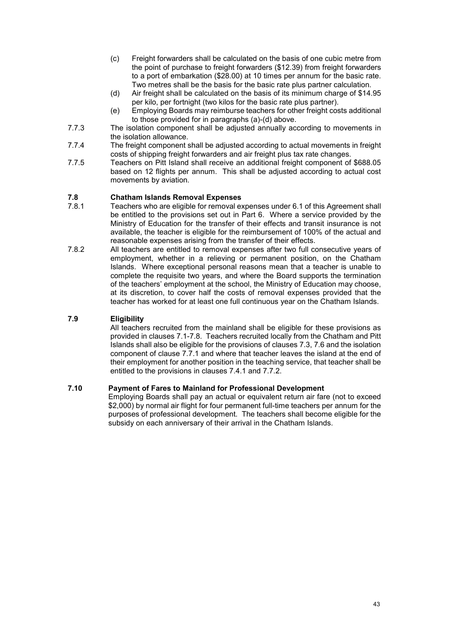- (c) Freight forwarders shall be calculated on the basis of one cubic metre from the point of purchase to freight forwarders (\$12.39) from freight forwarders to a port of embarkation (\$28.00) at 10 times per annum for the basic rate. Two metres shall be the basis for the basic rate plus partner calculation.
- (d) Air freight shall be calculated on the basis of its minimum charge of \$14.95 per kilo, per fortnight (two kilos for the basic rate plus partner).
- (e) Employing Boards may reimburse teachers for other freight costs additional to those provided for in paragraphs (a)-(d) above.
- 7.7.3 The isolation component shall be adjusted annually according to movements in the isolation allowance.
- 7.7.4 The freight component shall be adjusted according to actual movements in freight costs of shipping freight forwarders and air freight plus tax rate changes.
- 7.7.5 Teachers on Pitt Island shall receive an additional freight component of \$688.05 based on 12 flights per annum. This shall be adjusted according to actual cost movements by aviation.

## **7.8 Chatham Islands Removal Expenses**

- Teachers who are eligible for removal expenses under 6.1 of this Agreement shall be entitled to the provisions set out in Part 6. Where a service provided by the Ministry of Education for the transfer of their effects and transit insurance is not available, the teacher is eligible for the reimbursement of 100% of the actual and reasonable expenses arising from the transfer of their effects.
- 7.8.2 All teachers are entitled to removal expenses after two full consecutive years of employment, whether in a relieving or permanent position, on the Chatham Islands. Where exceptional personal reasons mean that a teacher is unable to complete the requisite two years, and where the Board supports the termination of the teachers' employment at the school, the Ministry of Education may choose, at its discretion, to cover half the costs of removal expenses provided that the teacher has worked for at least one full continuous year on the Chatham Islands.

#### **7.9 Eligibility**

All teachers recruited from the mainland shall be eligible for these provisions as provided in clauses 7.1-7.8. Teachers recruited locally from the Chatham and Pitt Islands shall also be eligible for the provisions of clauses 7.3, 7.6 and the isolation component of clause 7.7.1 and where that teacher leaves the island at the end of their employment for another position in the teaching service, that teacher shall be entitled to the provisions in clauses 7.4.1 and 7.7.2.

### **7.10 Payment of Fares to Mainland for Professional Development**

Employing Boards shall pay an actual or equivalent return air fare (not to exceed \$2,000) by normal air flight for four permanent full-time teachers per annum for the purposes of professional development. The teachers shall become eligible for the subsidy on each anniversary of their arrival in the Chatham Islands.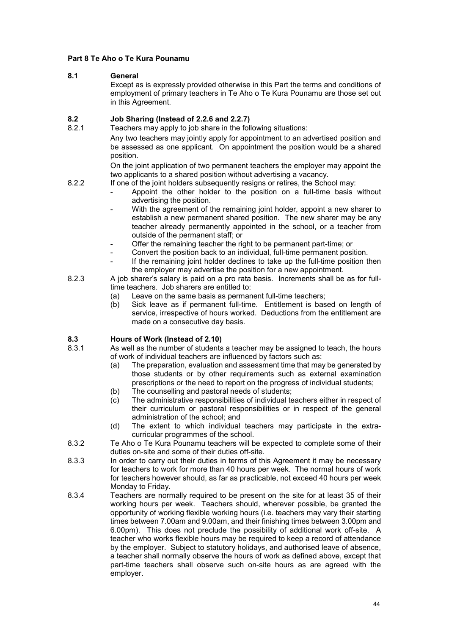## **Part 8 Te Aho o Te Kura Pounamu**

## **8.1 General**

Except as is expressly provided otherwise in this Part the terms and conditions of employment of primary teachers in Te Aho o Te Kura Pounamu are those set out in this Agreement.

## **8.2 Job Sharing (Instead of 2.2.6 and 2.2.7)**

Teachers may apply to job share in the following situations: Any two teachers may jointly apply for appointment to an advertised position and be assessed as one applicant. On appointment the position would be a shared position.

> On the joint application of two permanent teachers the employer may appoint the two applicants to a shared position without advertising a vacancy.

- 8.2.2 If one of the joint holders subsequently resigns or retires, the School may:
	- Appoint the other holder to the position on a full-time basis without advertising the position.
	- With the agreement of the remaining joint holder, appoint a new sharer to establish a new permanent shared position. The new sharer may be any teacher already permanently appointed in the school, or a teacher from outside of the permanent staff; or
	- Offer the remaining teacher the right to be permanent part-time; or
	- Convert the position back to an individual, full-time permanent position. If the remaining joint holder declines to take up the full-time position then the employer may advertise the position for a new appointment.
- 8.2.3 A job sharer's salary is paid on a pro rata basis. Increments shall be as for fulltime teachers. Job sharers are entitled to:
	- (a) Leave on the same basis as permanent full-time teachers;
	- (b) Sick leave as if permanent full-time. Entitlement is based on length of service, irrespective of hours worked. Deductions from the entitlement are made on a consecutive day basis.

# **8.3 Hours of Work (Instead of 2.10)**

- As well as the number of students a teacher may be assigned to teach, the hours of work of individual teachers are influenced by factors such as:
	- (a) The preparation, evaluation and assessment time that may be generated by those students or by other requirements such as external examination prescriptions or the need to report on the progress of individual students;
	- (b) The counselling and pastoral needs of students;<br>(c) The administrative responsibilities of individual te
	- The administrative responsibilities of individual teachers either in respect of their curriculum or pastoral responsibilities or in respect of the general administration of the school; and
	- (d) The extent to which individual teachers may participate in the extracurricular programmes of the school.
- 8.3.2 Te Aho o Te Kura Pounamu teachers will be expected to complete some of their duties on-site and some of their duties off-site.
- 8.3.3 In order to carry out their duties in terms of this Agreement it may be necessary for teachers to work for more than 40 hours per week. The normal hours of work for teachers however should, as far as practicable, not exceed 40 hours per week Monday to Friday.
- 8.3.4 Teachers are normally required to be present on the site for at least 35 of their working hours per week. Teachers should, wherever possible, be granted the opportunity of working flexible working hours (i.e. teachers may vary their starting times between 7.00am and 9.00am, and their finishing times between 3.00pm and 6.00pm). This does not preclude the possibility of additional work off-site. A teacher who works flexible hours may be required to keep a record of attendance by the employer. Subject to statutory holidays, and authorised leave of absence, a teacher shall normally observe the hours of work as defined above, except that part-time teachers shall observe such on-site hours as are agreed with the employer.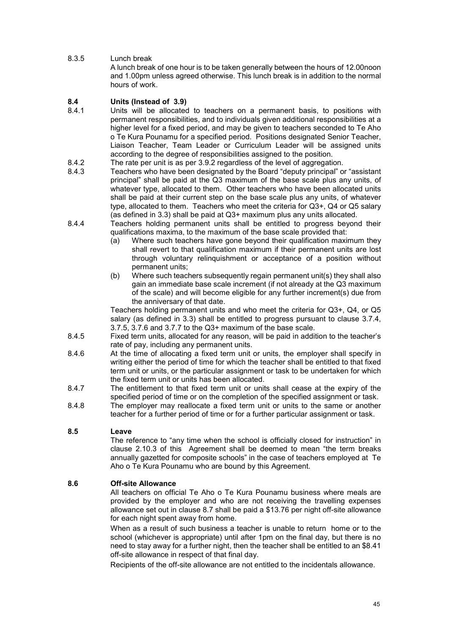## 8.3.5 Lunch break

A lunch break of one hour is to be taken generally between the hours of 12.00noon and 1.00pm unless agreed otherwise. This lunch break is in addition to the normal hours of work.

# **8.4 Units (Instead of 3.9)**

- Units will be allocated to teachers on a permanent basis, to positions with permanent responsibilities, and to individuals given additional responsibilities at a higher level for a fixed period, and may be given to teachers seconded to Te Aho o Te Kura Pounamu for a specified period. Positions designated Senior Teacher, Liaison Teacher, Team Leader or Curriculum Leader will be assigned units according to the degree of responsibilities assigned to the position.
- 8.4.2 The rate per unit is as per 3.9.2 regardless of the level of aggregation.<br>8.4.3 Teachers who have been designated by the Board "deputy principal" or
- Teachers who have been designated by the Board "deputy principal" or "assistant principal" shall be paid at the Q3 maximum of the base scale plus any units, of whatever type, allocated to them. Other teachers who have been allocated units shall be paid at their current step on the base scale plus any units, of whatever type, allocated to them. Teachers who meet the criteria for Q3+, Q4 or Q5 salary (as defined in 3.3) shall be paid at Q3+ maximum plus any units allocated.
- 8.4.4 Teachers holding permanent units shall be entitled to progress beyond their qualifications maxima, to the maximum of the base scale provided that:
	- (a) Where such teachers have gone beyond their qualification maximum they shall revert to that qualification maximum if their permanent units are lost through voluntary relinquishment or acceptance of a position without permanent units;
	- (b) Where such teachers subsequently regain permanent unit(s) they shall also gain an immediate base scale increment (if not already at the Q3 maximum of the scale) and will become eligible for any further increment(s) due from the anniversary of that date.

Teachers holding permanent units and who meet the criteria for Q3+, Q4, or Q5 salary (as defined in 3.3) shall be entitled to progress pursuant to clause 3.7.4, 3.7.5, 3.7.6 and 3.7.7 to the Q3+ maximum of the base scale.

- 8.4.5 Fixed term units, allocated for any reason, will be paid in addition to the teacher's rate of pay, including any permanent units.
- 8.4.6 At the time of allocating a fixed term unit or units, the employer shall specify in writing either the period of time for which the teacher shall be entitled to that fixed term unit or units, or the particular assignment or task to be undertaken for which the fixed term unit or units has been allocated.
- 8.4.7 The entitlement to that fixed term unit or units shall cease at the expiry of the specified period of time or on the completion of the specified assignment or task.
- 8.4.8 The employer may reallocate a fixed term unit or units to the same or another teacher for a further period of time or for a further particular assignment or task.

## **8.5 Leave**

The reference to "any time when the school is officially closed for instruction" in clause 2.10.3 of this Agreement shall be deemed to mean "the term breaks annually gazetted for composite schools" in the case of teachers employed at Te Aho o Te Kura Pounamu who are bound by this Agreement.

## **8.6 Off-site Allowance**

All teachers on official Te Aho o Te Kura Pounamu business where meals are provided by the employer and who are not receiving the travelling expenses allowance set out in clause 8.7 shall be paid a \$13.76 per night off-site allowance for each night spent away from home.

When as a result of such business a teacher is unable to return home or to the school (whichever is appropriate) until after 1pm on the final day, but there is no need to stay away for a further night, then the teacher shall be entitled to an \$8.41 off-site allowance in respect of that final day.

Recipients of the off-site allowance are not entitled to the incidentals allowance.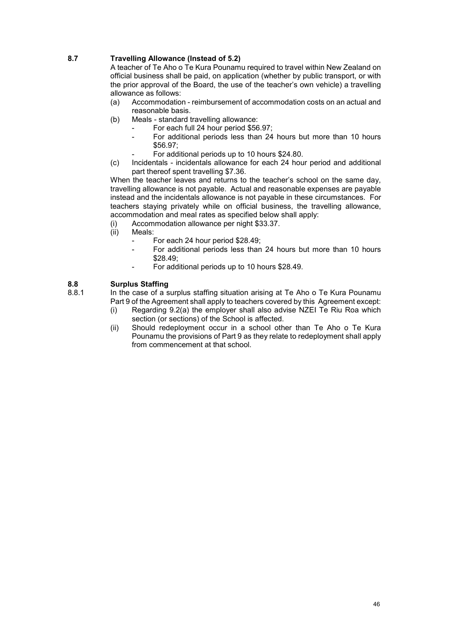## **8.7 Travelling Allowance (Instead of 5.2)**

A teacher of Te Aho o Te Kura Pounamu required to travel within New Zealand on official business shall be paid, on application (whether by public transport, or with the prior approval of the Board, the use of the teacher's own vehicle) a travelling allowance as follows:

- (a) Accommodation reimbursement of accommodation costs on an actual and reasonable basis.
- (b) Meals standard travelling allowance:
	- For each full 24 hour period \$56.97;
	- For additional periods less than 24 hours but more than 10 hours \$56.97;
		- For additional periods up to 10 hours \$24.80.
- (c) Incidentals incidentals allowance for each 24 hour period and additional part thereof spent travelling \$7.36.

When the teacher leaves and returns to the teacher's school on the same day, travelling allowance is not payable. Actual and reasonable expenses are payable instead and the incidentals allowance is not payable in these circumstances. For teachers staying privately while on official business, the travelling allowance, accommodation and meal rates as specified below shall apply:

- (i) Accommodation allowance per night \$33.37.
- Meals:
	- For each 24 hour period \$28.49;
	- For additional periods less than 24 hours but more than 10 hours \$28.49;
	- For additional periods up to 10 hours \$28.49.

## **8.8 Surplus Staffing**

In the case of a surplus staffing situation arising at Te Aho o Te Kura Pounamu

- Part 9 of the Agreement shall apply to teachers covered by this Agreement except:<br>(i) Regarding 9.2(a) the employer shall also advise NZEI Te Riu Roa which Regarding 9.2(a) the employer shall also advise NZEI Te Riu Roa which section (or sections) of the School is affected.
- (ii) Should redeployment occur in a school other than Te Aho o Te Kura Pounamu the provisions of Part 9 as they relate to redeployment shall apply from commencement at that school.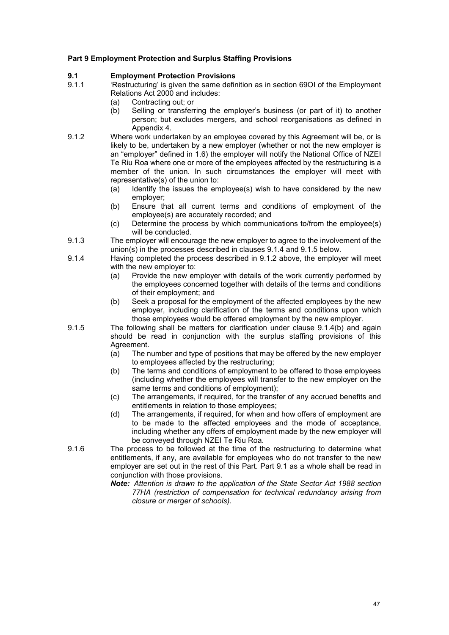### **Part 9 Employment Protection and Surplus Staffing Provisions**

## **9.1 Employment Protection Provisions**

- 'Restructuring' is given the same definition as in section 69OI of the Employment Relations Act 2000 and includes:
	- (a) Contracting out; or<br>(b) Selling or transfer
	- Selling or transferring the employer's business (or part of it) to another person; but excludes mergers, and school reorganisations as defined in Appendix 4.
- 9.1.2 Where work undertaken by an employee covered by this Agreement will be, or is likely to be, undertaken by a new employer (whether or not the new employer is an "employer" defined in 1.6) the employer will notify the National Office of NZEI Te Riu Roa where one or more of the employees affected by the restructuring is a member of the union. In such circumstances the employer will meet with representative(s) of the union to:<br>(a) ldentify the issues the em
	- Identify the issues the employee(s) wish to have considered by the new employer;
	- (b) Ensure that all current terms and conditions of employment of the employee(s) are accurately recorded; and
	- (c) Determine the process by which communications to/from the employee(s) will be conducted.
- 9.1.3 The employer will encourage the new employer to agree to the involvement of the union(s) in the processes described in clauses 9.1.4 and 9.1.5 below.
- 9.1.4 Having completed the process described in 9.1.2 above, the employer will meet with the new employer to:<br>(a) Provide the new er
	- Provide the new employer with details of the work currently performed by the employees concerned together with details of the terms and conditions of their employment; and
	- (b) Seek a proposal for the employment of the affected employees by the new employer, including clarification of the terms and conditions upon which those employees would be offered employment by the new employer.
- 9.1.5 The following shall be matters for clarification under clause 9.1.4(b) and again should be read in conjunction with the surplus staffing provisions of this Agreement.
	- (a) The number and type of positions that may be offered by the new employer to employees affected by the restructuring;
	- (b) The terms and conditions of employment to be offered to those employees (including whether the employees will transfer to the new employer on the same terms and conditions of employment);
	- (c) The arrangements, if required, for the transfer of any accrued benefits and entitlements in relation to those employees;
	- (d) The arrangements, if required, for when and how offers of employment are to be made to the affected employees and the mode of acceptance, including whether any offers of employment made by the new employer will be conveyed through NZEI Te Riu Roa.
- 9.1.6 The process to be followed at the time of the restructuring to determine what entitlements, if any, are available for employees who do not transfer to the new employer are set out in the rest of this Part. Part 9.1 as a whole shall be read in conjunction with those provisions.
	- *Note: Attention is drawn to the application of the State Sector Act 1988 section 77HA (restriction of compensation for technical redundancy arising from closure or merger of schools).*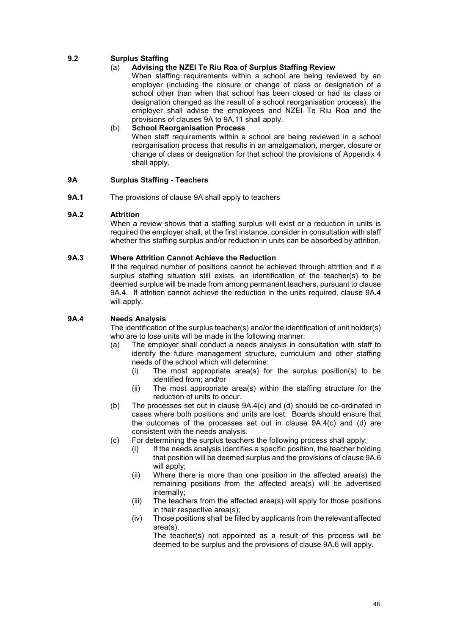## **9.2 Surplus Staffing**

## (a) **Advising the NZEI Te Riu Roa of Surplus Staffing Review**

When staffing requirements within a school are being reviewed by an employer (including the closure or change of class or designation of a school other than when that school has been closed or had its class or designation changed as the result of a school reorganisation process), the employer shall advise the employees and NZEI Te Riu Roa and the provisions of clauses 9A to 9A.11 shall apply.

#### (b) **School Reorganisation Process** When staff requirements within a school are being reviewed in a school reorganisation process that results in an amalgamation, merger, closure or change of class or designation for that school the provisions of Appendix 4 shall apply.

## **9A Surplus Staffing - Teachers**

**9A.1** The provisions of clause 9A shall apply to teachers

### **9A.2 Attrition**

When a review shows that a staffing surplus will exist or a reduction in units is required the employer shall, at the first instance, consider in consultation with staff whether this staffing surplus and/or reduction in units can be absorbed by attrition.

#### **9A.3 Where Attrition Cannot Achieve the Reduction**

If the required number of positions cannot be achieved through attrition and if a surplus staffing situation still exists, an identification of the teacher(s) to be deemed surplus will be made from among permanent teachers, pursuant to clause 9A.4. If attrition cannot achieve the reduction in the units required, clause 9A.4 will apply.

## **9A.4 Needs Analysis**

The identification of the surplus teacher(s) and/or the identification of unit holder(s) who are to lose units will be made in the following manner:

- (a) The employer shall conduct a needs analysis in consultation with staff to identify the future management structure, curriculum and other staffing needs of the school which will determine:
	- (i) The most appropriate area(s) for the surplus position(s) to be identified from; and/or
	- (ii) The most appropriate area(s) within the staffing structure for the reduction of units to occur.
- (b) The processes set out in clause 9A.4(c) and (d) should be co-ordinated in cases where both positions and units are lost. Boards should ensure that the outcomes of the processes set out in clause 9A.4(c) and (d) are consistent with the needs analysis.
- (c) For determining the surplus teachers the following process shall apply:
	- (i) If the needs analysis identifies a specific position, the teacher holding that position will be deemed surplus and the provisions of clause 9A.6 will apply;
	- (ii) Where there is more than one position in the affected area(s) the remaining positions from the affected area(s) will be advertised internally;
	- (iii) The teachers from the affected area(s) will apply for those positions in their respective area(s);
	- (iv) Those positions shall be filled by applicants from the relevant affected area(s).

The teacher(s) not appointed as a result of this process will be deemed to be surplus and the provisions of clause 9A.6 will apply.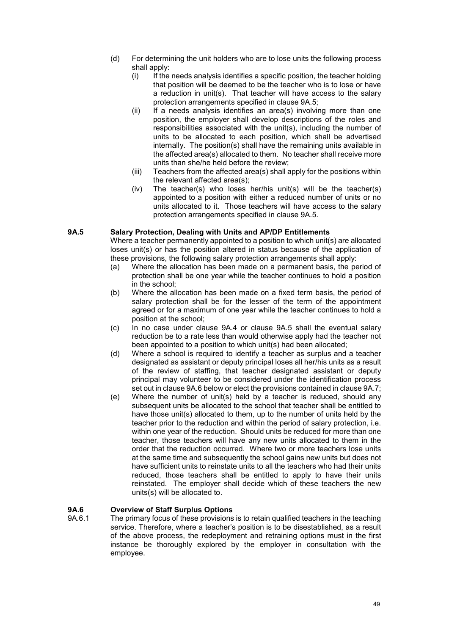- (d) For determining the unit holders who are to lose units the following process shall apply:<br>(i) If the
	- If the needs analysis identifies a specific position, the teacher holding that position will be deemed to be the teacher who is to lose or have a reduction in unit(s). That teacher will have access to the salary protection arrangements specified in clause 9A.5;
	- (ii) If a needs analysis identifies an area(s) involving more than one position, the employer shall develop descriptions of the roles and responsibilities associated with the unit(s), including the number of units to be allocated to each position, which shall be advertised internally. The position(s) shall have the remaining units available in the affected area(s) allocated to them. No teacher shall receive more units than she/he held before the review;
	- (iii) Teachers from the affected area(s) shall apply for the positions within the relevant affected area(s);
	- (iv) The teacher(s) who loses her/his unit(s) will be the teacher(s) appointed to a position with either a reduced number of units or no units allocated to it. Those teachers will have access to the salary protection arrangements specified in clause 9A.5.

## **9A.5 Salary Protection, Dealing with Units and AP/DP Entitlements**

Where a teacher permanently appointed to a position to which unit(s) are allocated loses unit(s) or has the position altered in status because of the application of these provisions, the following salary protection arrangements shall apply:<br>(a) Where the allocation has been made on a permanent basis, the pe

- Where the allocation has been made on a permanent basis, the period of protection shall be one year while the teacher continues to hold a position in the school;
- (b) Where the allocation has been made on a fixed term basis, the period of salary protection shall be for the lesser of the term of the appointment agreed or for a maximum of one year while the teacher continues to hold a position at the school;
- (c) In no case under clause 9A.4 or clause 9A.5 shall the eventual salary reduction be to a rate less than would otherwise apply had the teacher not been appointed to a position to which unit(s) had been allocated;
- (d) Where a school is required to identify a teacher as surplus and a teacher designated as assistant or deputy principal loses all her/his units as a result of the review of staffing, that teacher designated assistant or deputy principal may volunteer to be considered under the identification process set out in clause 9A.6 below or elect the provisions contained in clause 9A.7;
- (e) Where the number of unit(s) held by a teacher is reduced, should any subsequent units be allocated to the school that teacher shall be entitled to have those unit(s) allocated to them, up to the number of units held by the teacher prior to the reduction and within the period of salary protection, i.e. within one year of the reduction. Should units be reduced for more than one teacher, those teachers will have any new units allocated to them in the order that the reduction occurred. Where two or more teachers lose units at the same time and subsequently the school gains new units but does not have sufficient units to reinstate units to all the teachers who had their units reduced, those teachers shall be entitled to apply to have their units reinstated. The employer shall decide which of these teachers the new units(s) will be allocated to.

## **9A.6 Overview of Staff Surplus Options**

The primary focus of these provisions is to retain qualified teachers in the teaching service. Therefore, where a teacher's position is to be disestablished, as a result of the above process, the redeployment and retraining options must in the first instance be thoroughly explored by the employer in consultation with the employee.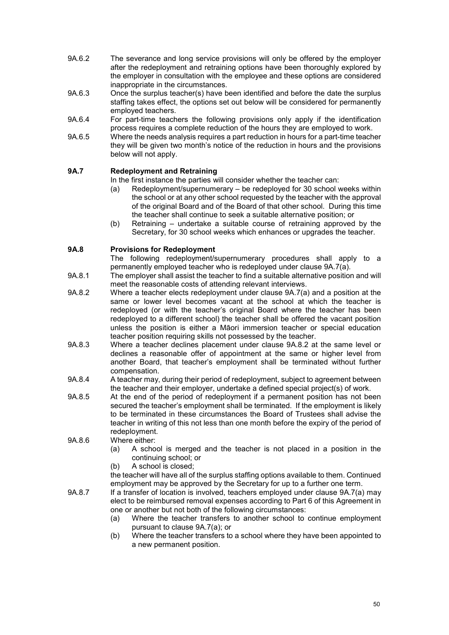- 9A.6.2 The severance and long service provisions will only be offered by the employer after the redeployment and retraining options have been thoroughly explored by the employer in consultation with the employee and these options are considered inappropriate in the circumstances.
- 9A.6.3 Once the surplus teacher(s) have been identified and before the date the surplus staffing takes effect, the options set out below will be considered for permanently employed teachers.
- 9A.6.4 For part-time teachers the following provisions only apply if the identification process requires a complete reduction of the hours they are employed to work.
- 9A.6.5 Where the needs analysis requires a part reduction in hours for a part-time teacher they will be given two month's notice of the reduction in hours and the provisions below will not apply.

## **9A.7 Redeployment and Retraining**

In the first instance the parties will consider whether the teacher can:<br>(a) Redeployment/supernumerary – be redeployed for 30 school v

- Redeployment/supernumerary be redeployed for 30 school weeks within the school or at any other school requested by the teacher with the approval of the original Board and of the Board of that other school. During this time the teacher shall continue to seek a suitable alternative position; or
- (b) Retraining undertake a suitable course of retraining approved by the Secretary, for 30 school weeks which enhances or upgrades the teacher.

## **9A.8 Provisions for Redeployment**

The following redeployment/supernumerary procedures shall apply to a permanently employed teacher who is redeployed under clause 9A.7(a).

- 9A.8.1 The employer shall assist the teacher to find a suitable alternative position and will meet the reasonable costs of attending relevant interviews.
- 9A.8.2 Where a teacher elects redeployment under clause 9A.7(a) and a position at the same or lower level becomes vacant at the school at which the teacher is redeployed (or with the teacher's original Board where the teacher has been redeployed to a different school) the teacher shall be offered the vacant position unless the position is either a Māori immersion teacher or special education teacher position requiring skills not possessed by the teacher.
- 9A.8.3 Where a teacher declines placement under clause 9A.8.2 at the same level or declines a reasonable offer of appointment at the same or higher level from another Board, that teacher's employment shall be terminated without further compensation.
- 9A.8.4 A teacher may, during their period of redeployment, subject to agreement between the teacher and their employer, undertake a defined special project(s) of work.
- 9A.8.5 At the end of the period of redeployment if a permanent position has not been secured the teacher's employment shall be terminated. If the employment is likely to be terminated in these circumstances the Board of Trustees shall advise the teacher in writing of this not less than one month before the expiry of the period of redeployment.
- 9A.8.6 Where either:
	- (a) A school is merged and the teacher is not placed in a position in the continuing school; or
	- (b) A school is closed;

the teacher will have all of the surplus staffing options available to them. Continued employment may be approved by the Secretary for up to a further one term.

- 9A.8.7 If a transfer of location is involved, teachers employed under clause 9A.7(a) may elect to be reimbursed removal expenses according to Part 6 of this Agreement in one or another but not both of the following circumstances:
	- (a) Where the teacher transfers to another school to continue employment pursuant to clause 9A.7(a); or
	- (b) Where the teacher transfers to a school where they have been appointed to a new permanent position.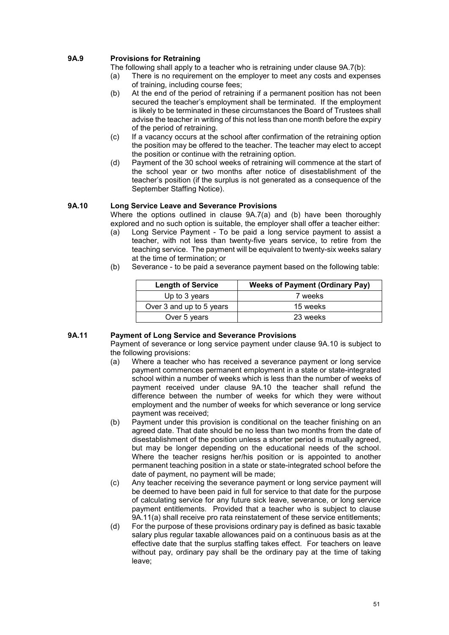## **9A.9 Provisions for Retraining**

The following shall apply to a teacher who is retraining under clause 9A.7(b):

- (a) There is no requirement on the employer to meet any costs and expenses of training, including course fees;
- (b) At the end of the period of retraining if a permanent position has not been secured the teacher's employment shall be terminated. If the employment is likely to be terminated in these circumstances the Board of Trustees shall advise the teacher in writing of this not less than one month before the expiry of the period of retraining.
- (c) If a vacancy occurs at the school after confirmation of the retraining option the position may be offered to the teacher. The teacher may elect to accept the position or continue with the retraining option.
- (d) Payment of the 30 school weeks of retraining will commence at the start of the school year or two months after notice of disestablishment of the teacher's position (if the surplus is not generated as a consequence of the September Staffing Notice).

## **9A.10 Long Service Leave and Severance Provisions**

Where the options outlined in clause 9A.7(a) and (b) have been thoroughly explored and no such option is suitable, the employer shall offer a teacher either:

- (a) Long Service Payment To be paid a long service payment to assist a teacher, with not less than twenty-five years service, to retire from the teaching service. The payment will be equivalent to twenty-six weeks salary at the time of termination; or
- (b) Severance to be paid a severance payment based on the following table:

| <b>Length of Service</b> | <b>Weeks of Payment (Ordinary Pay)</b> |
|--------------------------|----------------------------------------|
| Up to 3 years            | 7 weeks                                |
| Over 3 and up to 5 years | 15 weeks                               |
| Over 5 years             | 23 weeks                               |

## **9A.11 Payment of Long Service and Severance Provisions**

Payment of severance or long service payment under clause 9A.10 is subject to the following provisions:

- (a) Where a teacher who has received a severance payment or long service payment commences permanent employment in a state or state-integrated school within a number of weeks which is less than the number of weeks of payment received under clause 9A.10 the teacher shall refund the difference between the number of weeks for which they were without employment and the number of weeks for which severance or long service payment was received;
- (b) Payment under this provision is conditional on the teacher finishing on an agreed date. That date should be no less than two months from the date of disestablishment of the position unless a shorter period is mutually agreed, but may be longer depending on the educational needs of the school. Where the teacher resigns her/his position or is appointed to another permanent teaching position in a state or state-integrated school before the date of payment, no payment will be made;
- (c) Any teacher receiving the severance payment or long service payment will be deemed to have been paid in full for service to that date for the purpose of calculating service for any future sick leave, severance, or long service payment entitlements. Provided that a teacher who is subject to clause 9A.11(a) shall receive pro rata reinstatement of these service entitlements;
- (d) For the purpose of these provisions ordinary pay is defined as basic taxable salary plus regular taxable allowances paid on a continuous basis as at the effective date that the surplus staffing takes effect. For teachers on leave without pay, ordinary pay shall be the ordinary pay at the time of taking leave;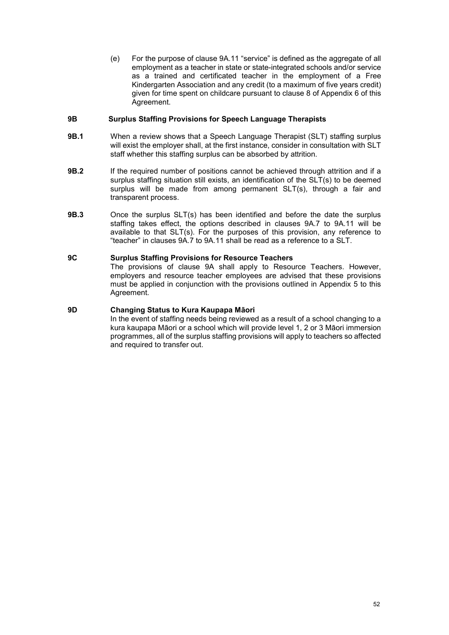(e) For the purpose of clause 9A.11 "service" is defined as the aggregate of all employment as a teacher in state or state-integrated schools and/or service as a trained and certificated teacher in the employment of a Free Kindergarten Association and any credit (to a maximum of five years credit) given for time spent on childcare pursuant to clause 8 of Appendix 6 of this Agreement.

### **9B Surplus Staffing Provisions for Speech Language Therapists**

- **9B.1** When a review shows that a Speech Language Therapist (SLT) staffing surplus will exist the employer shall, at the first instance, consider in consultation with SLT staff whether this staffing surplus can be absorbed by attrition.
- **9B.2** If the required number of positions cannot be achieved through attrition and if a surplus staffing situation still exists, an identification of the SLT(s) to be deemed surplus will be made from among permanent SLT(s), through a fair and transparent process.
- **9B.3** Once the surplus SLT(s) has been identified and before the date the surplus staffing takes effect, the options described in clauses 9A.7 to 9A.11 will be available to that SLT(s). For the purposes of this provision, any reference to "teacher" in clauses 9A.7 to 9A.11 shall be read as a reference to a SLT.

#### **9C Surplus Staffing Provisions for Resource Teachers**

The provisions of clause 9A shall apply to Resource Teachers. However, employers and resource teacher employees are advised that these provisions must be applied in conjunction with the provisions outlined in Appendix 5 to this Agreement.

## **9D Changing Status to Kura Kaupapa Māori**

In the event of staffing needs being reviewed as a result of a school changing to a kura kaupapa Māori or a school which will provide level 1, 2 or 3 Māori immersion programmes, all of the surplus staffing provisions will apply to teachers so affected and required to transfer out.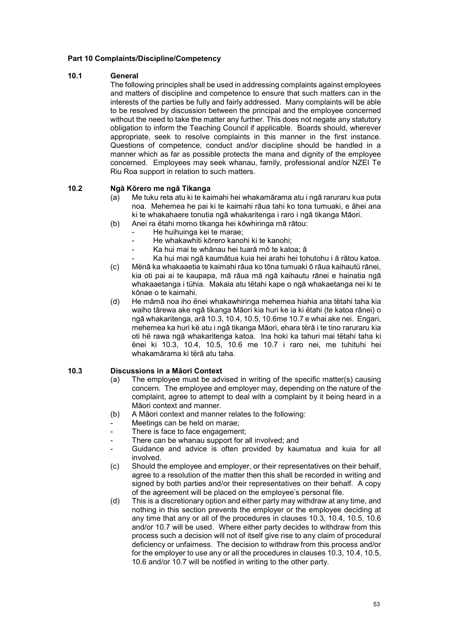## **Part 10 Complaints/Discipline/Competency**

#### **10.1 General**

The following principles shall be used in addressing complaints against employees and matters of discipline and competence to ensure that such matters can in the interests of the parties be fully and fairly addressed. Many complaints will be able to be resolved by discussion between the principal and the employee concerned without the need to take the matter any further. This does not negate any statutory obligation to inform the Teaching Council if applicable. Boards should, wherever appropriate, seek to resolve complaints in this manner in the first instance. Questions of competence, conduct and/or discipline should be handled in a manner which as far as possible protects the mana and dignity of the employee concerned. Employees may seek whanau, family, professional and/or NZEI Te Riu Roa support in relation to such matters.

#### **10.2 Ngā Kōrero me ngā Tikanga**

- (a) Me tuku reta atu ki te kaimahi hei whakamārama atu i ngā raruraru kua puta noa. Mehemea he pai ki te kaimahi rāua tahi ko tona tumuaki, e āhei ana ki te whakahaere tonutia ngā whakaritenga i raro i ngā tikanga Māori.
- (b) Anei ra ëtahi momo tikanga hei kōwhiringa mā rātou:
	- He huihuinga kei te marae;
	- He whakawhiti kōrero kanohi ki te kanohi:
	- Ka hui mai te whānau hei tuarā mō te katoa; ā
	- Ka hui mai ngā kaumātua kuia hei arahi hei tohutohu i ā rātou katoa.
- (c) Mënā ka whakaaetia te kaimahi rāua ko tōna tumuaki ō rāua kaihautü rānei, kia oti pai ai te kaupapa, mā rāua mā ngā kaihautu rānei e hainatia ngā whakaaetanga i tühia. Makaia atu tëtahi kape o ngā whakaetanga nei ki te kōnae o te kaimahi.
- (d) He māmā noa iho ënei whakawhiringa mehemea hiahia ana tëtahi taha kia waiho tārewa ake ngā tikanga Māori kia huri ke ia ki ëtahi (te katoa rānei) o ngā whakaritenga, arā 10.3, 10.4, 10.5, 10.6me 10.7 e whai ake nei. Engari, mehemea ka huri kë atu i ngā tikanga Māori, ehara tërā i te tino raruraru kia oti hë rawa ngā whakaritenga katoa. Ina hoki ka tahuri mai tëtahi taha ki ënei ki 10.3, 10.4, 10.5, 10.6 me 10.7 i raro nei, me tuhituhi hei whakamārama ki tërā atu taha.

#### **10.3 Discussions in a Māori Context**

- (a) The employee must be advised in writing of the specific matter(s) causing concern. The employee and employer may, depending on the nature of the complaint, agree to attempt to deal with a complaint by it being heard in a Māori context and manner.
- (b) A Māori context and manner relates to the following:
- Meetings can be held on marae;
- There is face to face engagement;
- There can be whanau support for all involved; and
- Guidance and advice is often provided by kaumatua and kuia for all involved.
- (c) Should the employee and employer, or their representatives on their behalf, agree to a resolution of the matter then this shall be recorded in writing and signed by both parties and/or their representatives on their behalf. A copy of the agreement will be placed on the employee's personal file.
- (d) This is a discretionary option and either party may withdraw at any time, and nothing in this section prevents the employer or the employee deciding at any time that any or all of the procedures in clauses 10.3, 10.4, 10.5, 10.6 and/or 10.7 will be used. Where either party decides to withdraw from this process such a decision will not of itself give rise to any claim of procedural deficiency or unfairness. The decision to withdraw from this process and/or for the employer to use any or all the procedures in clauses 10.3, 10.4, 10.5, 10.6 and/or 10.7 will be notified in writing to the other party.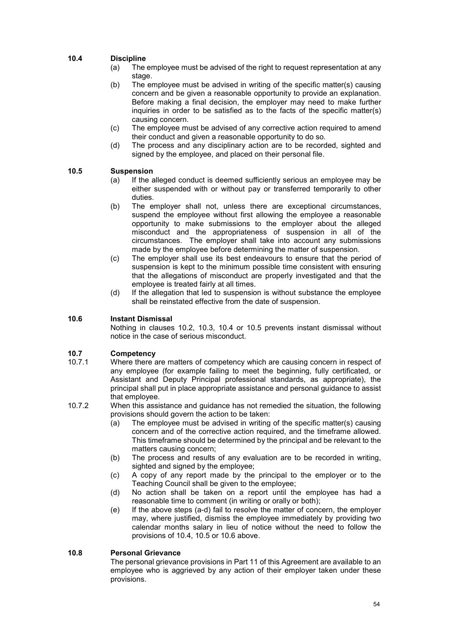## **10.4 Discipline**

- (a) The employee must be advised of the right to request representation at any stage.
- (b) The employee must be advised in writing of the specific matter(s) causing concern and be given a reasonable opportunity to provide an explanation. Before making a final decision, the employer may need to make further inquiries in order to be satisfied as to the facts of the specific matter(s) causing concern.
- (c) The employee must be advised of any corrective action required to amend their conduct and given a reasonable opportunity to do so.
- (d) The process and any disciplinary action are to be recorded, sighted and signed by the employee, and placed on their personal file.

## **10.5 Suspension**<br>(a) If the a

- If the alleged conduct is deemed sufficiently serious an employee may be either suspended with or without pay or transferred temporarily to other duties.
- (b) The employer shall not, unless there are exceptional circumstances, suspend the employee without first allowing the employee a reasonable opportunity to make submissions to the employer about the alleged misconduct and the appropriateness of suspension in all of the circumstances. The employer shall take into account any submissions made by the employee before determining the matter of suspension.
- (c) The employer shall use its best endeavours to ensure that the period of suspension is kept to the minimum possible time consistent with ensuring that the allegations of misconduct are properly investigated and that the employee is treated fairly at all times.
- (d) If the allegation that led to suspension is without substance the employee shall be reinstated effective from the date of suspension.

## **10.6 Instant Dismissal**

Nothing in clauses 10.2, 10.3, 10.4 or 10.5 prevents instant dismissal without notice in the case of serious misconduct.

## **10.7 Competency**<br>**10.7.1 Where there** a

- Where there are matters of competency which are causing concern in respect of any employee (for example failing to meet the beginning, fully certificated, or Assistant and Deputy Principal professional standards, as appropriate), the principal shall put in place appropriate assistance and personal guidance to assist that employee.
- 10.7.2 When this assistance and guidance has not remedied the situation, the following provisions should govern the action to be taken:
	- (a) The employee must be advised in writing of the specific matter(s) causing concern and of the corrective action required, and the timeframe allowed. This timeframe should be determined by the principal and be relevant to the matters causing concern;
	- (b) The process and results of any evaluation are to be recorded in writing, sighted and signed by the employee;
	- (c) A copy of any report made by the principal to the employer or to the Teaching Council shall be given to the employee;
	- (d) No action shall be taken on a report until the employee has had a reasonable time to comment (in writing or orally or both);
	- (e) If the above steps (a-d) fail to resolve the matter of concern, the employer may, where justified, dismiss the employee immediately by providing two calendar months salary in lieu of notice without the need to follow the provisions of 10.4, 10.5 or 10.6 above.

#### **10.8 Personal Grievance**

The personal grievance provisions in Part 11 of this Agreement are available to an employee who is aggrieved by any action of their employer taken under these provisions.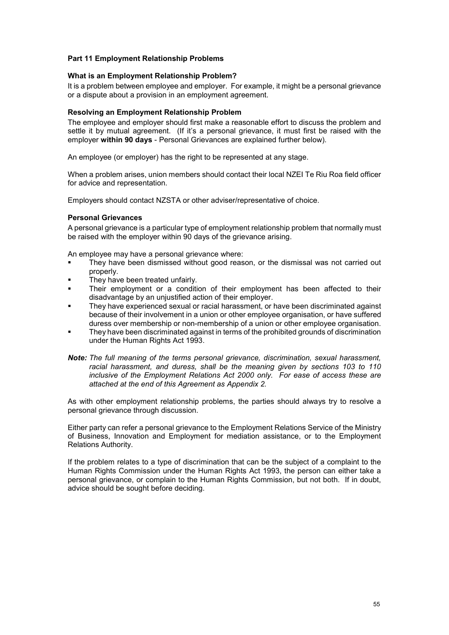### **Part 11 Employment Relationship Problems**

#### **What is an Employment Relationship Problem?**

It is a problem between employee and employer. For example, it might be a personal grievance or a dispute about a provision in an employment agreement.

#### **Resolving an Employment Relationship Problem**

The employee and employer should first make a reasonable effort to discuss the problem and settle it by mutual agreement. (If it's a personal grievance, it must first be raised with the employer **within 90 days** - Personal Grievances are explained further below).

An employee (or employer) has the right to be represented at any stage.

When a problem arises, union members should contact their local NZEI Te Riu Roa field officer for advice and representation.

Employers should contact NZSTA or other adviser/representative of choice.

#### **Personal Grievances**

A personal grievance is a particular type of employment relationship problem that normally must be raised with the employer within 90 days of the grievance arising.

An employee may have a personal grievance where:

- They have been dismissed without good reason, or the dismissal was not carried out properly.
- They have been treated unfairly.
- Their employment or a condition of their employment has been affected to their disadvantage by an unjustified action of their employer.
- They have experienced sexual or racial harassment, or have been discriminated against because of their involvement in a union or other employee organisation, or have suffered duress over membership or non-membership of a union or other employee organisation.
- They have been discriminated against in terms of the prohibited grounds of discrimination under the Human Rights Act 1993.
- *Note: The full meaning of the terms personal grievance, discrimination, sexual harassment, racial harassment, and duress, shall be the meaning given by sections 103 to 110 inclusive of the Employment Relations Act 2000 only. For ease of access these are attached at the end of this Agreement as Appendix 2.*

As with other employment relationship problems, the parties should always try to resolve a personal grievance through discussion.

Either party can refer a personal grievance to the Employment Relations Service of the Ministry of Business, Innovation and Employment for mediation assistance, or to the Employment Relations Authority.

If the problem relates to a type of discrimination that can be the subject of a complaint to the Human Rights Commission under the Human Rights Act 1993, the person can either take a personal grievance, or complain to the Human Rights Commission, but not both. If in doubt, advice should be sought before deciding.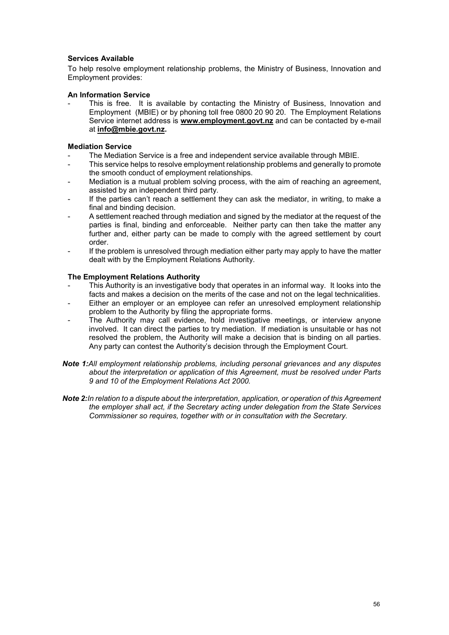## **Services Available**

To help resolve employment relationship problems, the Ministry of Business, Innovation and Employment provides:

#### **An Information Service**

This is free. It is available by contacting the Ministry of Business, Innovation and Employment (MBIE) or by phoning toll free 0800 20 90 20. The Employment Relations Service internet address is **www.employment.govt.nz** and can be contacted by e-mail at **info@mbie.govt.nz.**

## **Mediation Service**

- The Mediation Service is a free and independent service available through MBIE.
- This service helps to resolve employment relationship problems and generally to promote the smooth conduct of employment relationships.
- Mediation is a mutual problem solving process, with the aim of reaching an agreement, assisted by an independent third party.
- If the parties can't reach a settlement they can ask the mediator, in writing, to make a final and binding decision.
- A settlement reached through mediation and signed by the mediator at the request of the parties is final, binding and enforceable. Neither party can then take the matter any further and, either party can be made to comply with the agreed settlement by court order.
- If the problem is unresolved through mediation either party may apply to have the matter dealt with by the Employment Relations Authority.

#### **The Employment Relations Authority**

- This Authority is an investigative body that operates in an informal way. It looks into the facts and makes a decision on the merits of the case and not on the legal technicalities.
- Either an employer or an employee can refer an unresolved employment relationship problem to the Authority by filing the appropriate forms.
- The Authority may call evidence, hold investigative meetings, or interview anyone involved. It can direct the parties to try mediation. If mediation is unsuitable or has not resolved the problem, the Authority will make a decision that is binding on all parties. Any party can contest the Authority's decision through the Employment Court.
- *Note 1:All employment relationship problems, including personal grievances and any disputes about the interpretation or application of this Agreement, must be resolved under Parts 9 and 10 of the Employment Relations Act 2000.*
- *Note 2:In relation to a dispute about the interpretation, application, or operation of this Agreement the employer shall act, if the Secretary acting under delegation from the State Services Commissioner so requires, together with or in consultation with the Secretary.*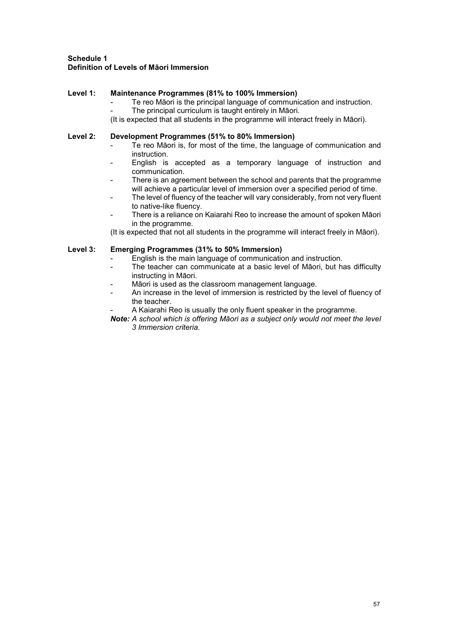## **Schedule 1 Definition of Levels of Māori Immersion**

## **Level 1: Maintenance Programmes (81% to 100% Immersion)**

- Te reo Māori is the principal language of communication and instruction.
	- The principal curriculum is taught entirely in Māori.

(It is expected that all students in the programme will interact freely in Māori).

## **Level 2: Development Programmes (51% to 80% Immersion)**

- Te reo Māori is, for most of the time, the language of communication and instruction.
- English is accepted as a temporary language of instruction and communication.
- There is an agreement between the school and parents that the programme will achieve a particular level of immersion over a specified period of time.
- The level of fluency of the teacher will vary considerably, from not very fluent to native-like fluency.
- There is a reliance on Kaiarahi Reo to increase the amount of spoken Māori in the programme.

(It is expected that not all students in the programme will interact freely in Māori).

## **Level 3: Emerging Programmes (31% to 50% Immersion)**

- English is the main language of communication and instruction.
- The teacher can communicate at a basic level of Māori, but has difficulty instructing in Māori.
- Māori is used as the classroom management language.
- An increase in the level of immersion is restricted by the level of fluency of the teacher.
- A Kaiarahi Reo is usually the only fluent speaker in the programme.
- *Note: A school which is offering Māori as a subject only would not meet the level 3 Immersion criteria.*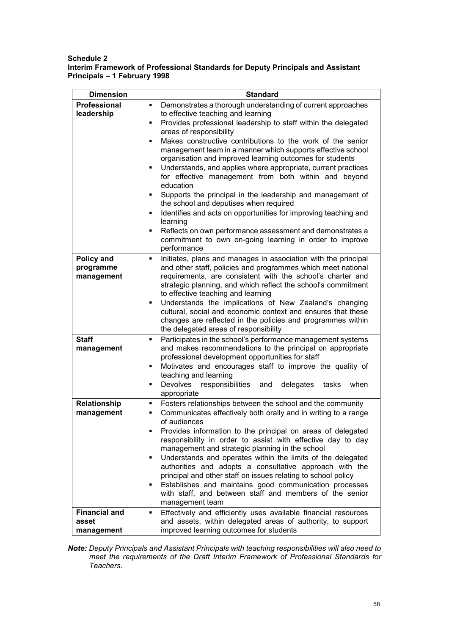#### **Schedule 2 Interim Framework of Professional Standards for Deputy Principals and Assistant Principals – 1 February 1998**

| <b>Dimension</b>                                                                                                                                                                                                                                                                                                                                                                                                                                                                                                                                                                                                                                                                                                                                                                                                                                                                                                     | <b>Standard</b>                                                                                                                                                                                                                                                                                                                                                                                                                                                                                                                                                                                                                                                                      |  |  |
|----------------------------------------------------------------------------------------------------------------------------------------------------------------------------------------------------------------------------------------------------------------------------------------------------------------------------------------------------------------------------------------------------------------------------------------------------------------------------------------------------------------------------------------------------------------------------------------------------------------------------------------------------------------------------------------------------------------------------------------------------------------------------------------------------------------------------------------------------------------------------------------------------------------------|--------------------------------------------------------------------------------------------------------------------------------------------------------------------------------------------------------------------------------------------------------------------------------------------------------------------------------------------------------------------------------------------------------------------------------------------------------------------------------------------------------------------------------------------------------------------------------------------------------------------------------------------------------------------------------------|--|--|
| <b>Professional</b><br>Demonstrates a thorough understanding of current approaches<br>٠<br>leadership<br>to effective teaching and learning<br>Provides professional leadership to staff within the delegated<br>٠<br>areas of responsibility<br>Makes constructive contributions to the work of the senior<br>Ξ<br>management team in a manner which supports effective school<br>organisation and improved learning outcomes for students<br>Understands, and applies where appropriate, current practices<br>٠<br>for effective management from both within and beyond<br>education<br>Supports the principal in the leadership and management of<br>٠<br>the school and deputises when required<br>Identifies and acts on opportunities for improving teaching and<br>٠<br>learning<br>Reflects on own performance assessment and demonstrates a<br>٠<br>commitment to own on-going learning in order to improve |                                                                                                                                                                                                                                                                                                                                                                                                                                                                                                                                                                                                                                                                                      |  |  |
| Policy and<br>programme<br>management                                                                                                                                                                                                                                                                                                                                                                                                                                                                                                                                                                                                                                                                                                                                                                                                                                                                                | performance<br>Initiates, plans and manages in association with the principal<br>٠<br>and other staff, policies and programmes which meet national<br>requirements, are consistent with the school's charter and<br>strategic planning, and which reflect the school's commitment<br>to effective teaching and learning<br>Understands the implications of New Zealand's changing<br>٠<br>cultural, social and economic context and ensures that these<br>changes are reflected in the policies and programmes within<br>the delegated areas of responsibility                                                                                                                       |  |  |
| <b>Staff</b><br>management                                                                                                                                                                                                                                                                                                                                                                                                                                                                                                                                                                                                                                                                                                                                                                                                                                                                                           | Participates in the school's performance management systems<br>٠<br>and makes recommendations to the principal on appropriate<br>professional development opportunities for staff<br>Motivates and encourages staff to improve the quality of<br>٠<br>teaching and learning<br>Devolves responsibilities<br>delegates<br>when<br>and<br>tasks<br>٠<br>appropriate                                                                                                                                                                                                                                                                                                                    |  |  |
| Relationship<br>management                                                                                                                                                                                                                                                                                                                                                                                                                                                                                                                                                                                                                                                                                                                                                                                                                                                                                           | Fosters relationships between the school and the community<br>٠<br>Communicates effectively both orally and in writing to a range<br>٠<br>of audiences<br>Provides information to the principal on areas of delegated<br>responsibility in order to assist with effective day to day<br>management and strategic planning in the school<br>Understands and operates within the limits of the delegated<br>٠<br>authorities and adopts a consultative approach with the<br>principal and other staff on issues relating to school policy<br>Establishes and maintains good communication processes<br>٠<br>with staff, and between staff and members of the senior<br>management team |  |  |
| <b>Financial and</b><br>asset<br>management                                                                                                                                                                                                                                                                                                                                                                                                                                                                                                                                                                                                                                                                                                                                                                                                                                                                          | Effectively and efficiently uses available financial resources<br>$\blacksquare$<br>and assets, within delegated areas of authority, to support<br>improved learning outcomes for students                                                                                                                                                                                                                                                                                                                                                                                                                                                                                           |  |  |

*Note: Deputy Principals and Assistant Principals with teaching responsibilities will also need to meet the requirements of the Draft Interim Framework of Professional Standards for Teachers.*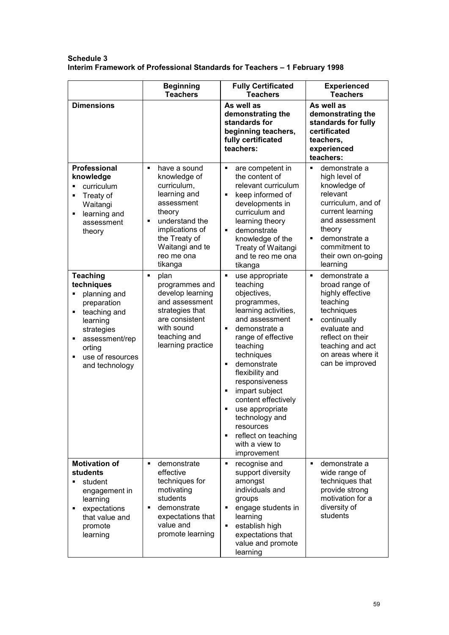## **Schedule 3 Interim Framework of Professional Standards for Teachers – 1 February 1998**

|                                                                                                                                                                                              | <b>Beginning</b><br><b>Teachers</b>                                                                                                                                                                     | <b>Fully Certificated</b><br><b>Teachers</b>                                                                                                                                                                                                                                                                                                                                                                 | <b>Experienced</b><br><b>Teachers</b>                                                                                                                                                                                  |
|----------------------------------------------------------------------------------------------------------------------------------------------------------------------------------------------|---------------------------------------------------------------------------------------------------------------------------------------------------------------------------------------------------------|--------------------------------------------------------------------------------------------------------------------------------------------------------------------------------------------------------------------------------------------------------------------------------------------------------------------------------------------------------------------------------------------------------------|------------------------------------------------------------------------------------------------------------------------------------------------------------------------------------------------------------------------|
| <b>Dimensions</b>                                                                                                                                                                            |                                                                                                                                                                                                         | As well as<br>demonstrating the<br>standards for<br>beginning teachers,<br>fully certificated<br>teachers:                                                                                                                                                                                                                                                                                                   | As well as<br>demonstrating the<br>standards for fully<br>certificated<br>teachers,<br>experienced<br>teachers:                                                                                                        |
| <b>Professional</b><br>knowledge<br>curriculum<br>٠<br>Treaty of<br>٠<br>Waitangi<br>learning and<br>٠<br>assessment<br>theory                                                               | have a sound<br>$\blacksquare$<br>knowledge of<br>curriculum,<br>learning and<br>assessment<br>theory<br>understand the<br>implications of<br>the Treaty of<br>Waitangi and te<br>reo me ona<br>tikanga | are competent in<br>٠<br>the content of<br>relevant curriculum<br>keep informed of<br>×,<br>developments in<br>curriculum and<br>learning theory<br>demonstrate<br>٠<br>knowledge of the<br>Treaty of Waitangi<br>and te reo me ona<br>tikanga                                                                                                                                                               | demonstrate a<br>$\blacksquare$<br>high level of<br>knowledge of<br>relevant<br>curriculum, and of<br>current learning<br>and assessment<br>theory<br>demonstrate a<br>commitment to<br>their own on-going<br>learning |
| <b>Teaching</b><br>techniques<br>planning and<br>Ξ<br>preparation<br>teaching and<br>٠<br>learning<br>strategies<br>assessment/rep<br>٠<br>orting<br>use of resources<br>٠<br>and technology | ٠<br>plan<br>programmes and<br>develop learning<br>and assessment<br>strategies that<br>are consistent<br>with sound<br>teaching and<br>learning practice                                               | ٠<br>use appropriate<br>teaching<br>objectives,<br>programmes,<br>learning activities,<br>and assessment<br>demonstrate a<br>range of effective<br>teaching<br>techniques<br>demonstrate<br>$\blacksquare$<br>flexibility and<br>responsiveness<br>impart subject<br>٠<br>content effectively<br>use appropriate<br>technology and<br>resources<br>reflect on teaching<br>٠<br>with a view to<br>improvement | demonstrate a<br>$\blacksquare$<br>broad range of<br>highly effective<br>teaching<br>techniques<br>continually<br>evaluate and<br>reflect on their<br>teaching and act<br>on areas where it<br>can be improved         |
| <b>Motivation of</b><br>students<br>student<br>٠<br>engagement in<br>learning<br>expectations<br>٠<br>that value and<br>promote<br>learning                                                  | $\blacksquare$<br>demonstrate<br>effective<br>techniques for<br>motivating<br>students<br>demonstrate<br>$\blacksquare$<br>expectations that<br>value and<br>promote learning                           | ٠<br>recognise and<br>support diversity<br>amongst<br>individuals and<br>groups<br>engage students in<br>٠<br>learning<br>establish high<br>٠<br>expectations that<br>value and promote<br>learning                                                                                                                                                                                                          | $\blacksquare$<br>demonstrate a<br>wide range of<br>techniques that<br>provide strong<br>motivation for a<br>diversity of<br>students                                                                                  |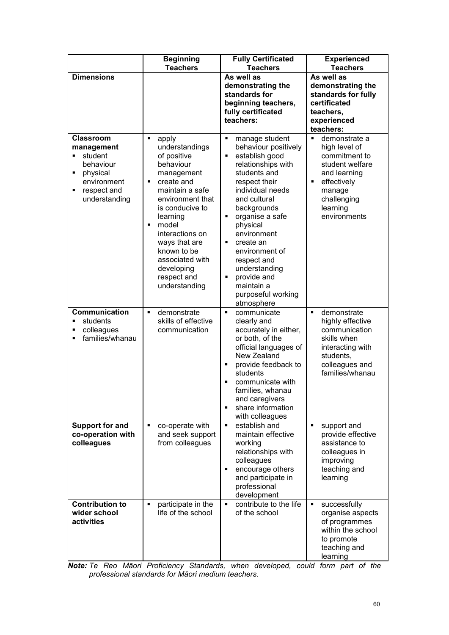|                                                                                                                           | <b>Beginning</b><br><b>Teachers</b>                                                                                                                                                                                                                                                               | <b>Fully Certificated</b><br><b>Teachers</b>                                                                                                                                                                                                                                                                                                                                                                | <b>Experienced</b><br><b>Teachers</b>                                                                                                                                         |
|---------------------------------------------------------------------------------------------------------------------------|---------------------------------------------------------------------------------------------------------------------------------------------------------------------------------------------------------------------------------------------------------------------------------------------------|-------------------------------------------------------------------------------------------------------------------------------------------------------------------------------------------------------------------------------------------------------------------------------------------------------------------------------------------------------------------------------------------------------------|-------------------------------------------------------------------------------------------------------------------------------------------------------------------------------|
| <b>Dimensions</b>                                                                                                         |                                                                                                                                                                                                                                                                                                   | As well as<br>demonstrating the<br>standards for<br>beginning teachers,<br>fully certificated<br>teachers:                                                                                                                                                                                                                                                                                                  | As well as<br>demonstrating the<br>standards for fully<br>certificated<br>teachers,<br>experienced<br>teachers:                                                               |
| Classroom<br>management<br>student<br>٠<br>behaviour<br>physical<br>٠<br>environment<br>respect and<br>٠<br>understanding | ٠<br>apply<br>understandings<br>of positive<br>behaviour<br>management<br>create and<br>٠<br>maintain a safe<br>environment that<br>is conducive to<br>learning<br>model<br>٠<br>interactions on<br>ways that are<br>known to be<br>associated with<br>developing<br>respect and<br>understanding | manage student<br>٠<br>behaviour positively<br>establish good<br>$\blacksquare$<br>relationships with<br>students and<br>respect their<br>individual needs<br>and cultural<br>backgrounds<br>organise a safe<br>physical<br>environment<br>create an<br>$\blacksquare$<br>environment of<br>respect and<br>understanding<br>provide and<br>$\blacksquare$<br>maintain a<br>purposeful working<br>atmosphere | demonstrate a<br>$\blacksquare$<br>high level of<br>commitment to<br>student welfare<br>and learning<br>effectively<br>٠<br>manage<br>challenging<br>learning<br>environments |
| Communication<br>students<br>colleagues<br>٠<br>families/whanau<br>٠                                                      | demonstrate<br>$\blacksquare$<br>skills of effective<br>communication                                                                                                                                                                                                                             | communicate<br>$\blacksquare$<br>clearly and<br>accurately in either,<br>or both, of the<br>official languages of<br>New Zealand<br>provide feedback to<br>٠<br>students<br>communicate with<br>٠<br>families, whanau<br>and caregivers<br>share information<br>$\blacksquare$<br>with colleagues                                                                                                           | demonstrate<br>$\blacksquare$<br>highly effective<br>communication<br>skills when<br>interacting with<br>students,<br>colleagues and<br>families/whanau                       |
| <b>Support for and</b><br>co-operation with<br>colleagues                                                                 | co-operate with<br>٠<br>and seek support<br>from colleagues                                                                                                                                                                                                                                       | establish and<br>٠<br>maintain effective<br>working<br>relationships with<br>colleagues<br>encourage others<br>٠<br>and participate in<br>professional<br>development                                                                                                                                                                                                                                       | support and<br>٠<br>provide effective<br>assistance to<br>colleagues in<br>improving<br>teaching and<br>learning                                                              |
| <b>Contribution to</b><br>wider school<br>activities                                                                      | participate in the<br>٠<br>life of the school                                                                                                                                                                                                                                                     | contribute to the life<br>٠<br>of the school                                                                                                                                                                                                                                                                                                                                                                | successfully<br>٠<br>organise aspects<br>of programmes<br>within the school<br>to promote<br>teaching and<br>learning                                                         |

*Note: Te Reo Māori Proficiency Standards, when developed, could form part of the professional standards for Māori medium teachers.*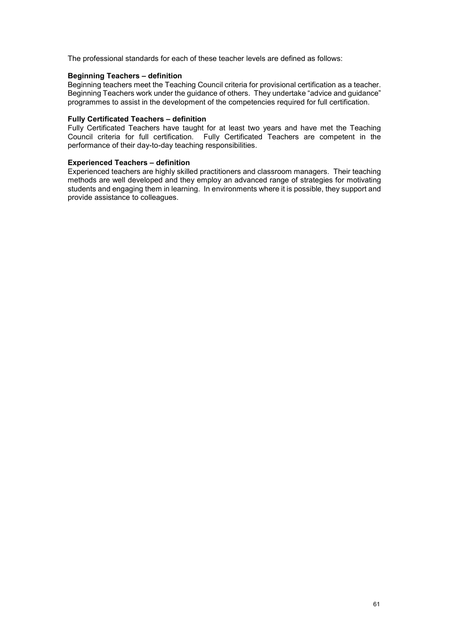The professional standards for each of these teacher levels are defined as follows:

#### **Beginning Teachers – definition**

Beginning teachers meet the Teaching Council criteria for provisional certification as a teacher. Beginning Teachers work under the guidance of others. They undertake "advice and guidance" programmes to assist in the development of the competencies required for full certification.

### **Fully Certificated Teachers – definition**

Fully Certificated Teachers have taught for at least two years and have met the Teaching Council criteria for full certification. Fully Certificated Teachers are competent in the performance of their day-to-day teaching responsibilities.

#### **Experienced Teachers – definition**

Experienced teachers are highly skilled practitioners and classroom managers. Their teaching methods are well developed and they employ an advanced range of strategies for motivating students and engaging them in learning. In environments where it is possible, they support and provide assistance to colleagues.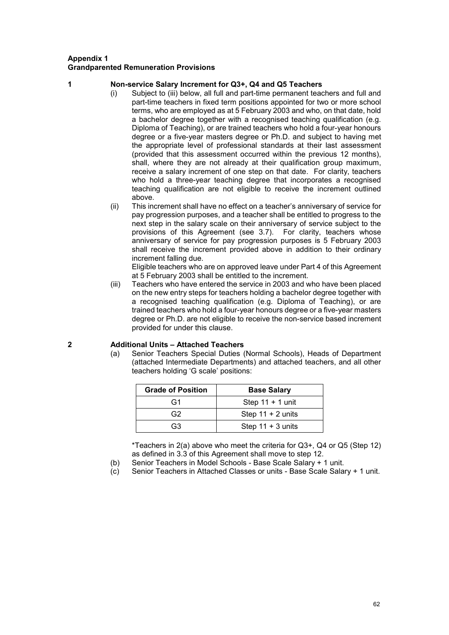## **Appendix 1 Grandparented Remuneration Provisions**

#### **1 Non-service Salary Increment for Q3+, Q4 and Q5 Teachers**

- (i) Subject to (iii) below, all full and part-time permanent teachers and full and part-time teachers in fixed term positions appointed for two or more school terms, who are employed as at 5 February 2003 and who, on that date, hold a bachelor degree together with a recognised teaching qualification (e.g. Diploma of Teaching), or are trained teachers who hold a four-year honours degree or a five-year masters degree or Ph.D. and subject to having met the appropriate level of professional standards at their last assessment (provided that this assessment occurred within the previous 12 months), shall, where they are not already at their qualification group maximum, receive a salary increment of one step on that date. For clarity, teachers who hold a three-year teaching degree that incorporates a recognised teaching qualification are not eligible to receive the increment outlined above.
- (ii) This increment shall have no effect on a teacher's anniversary of service for pay progression purposes, and a teacher shall be entitled to progress to the next step in the salary scale on their anniversary of service subject to the provisions of this Agreement (see 3.7). For clarity, teachers whose anniversary of service for pay progression purposes is 5 February 2003 shall receive the increment provided above in addition to their ordinary increment falling due.

Eligible teachers who are on approved leave under Part 4 of this Agreement at 5 February 2003 shall be entitled to the increment.

(iii) Teachers who have entered the service in 2003 and who have been placed on the new entry steps for teachers holding a bachelor degree together with a recognised teaching qualification (e.g. Diploma of Teaching), or are trained teachers who hold a four-year honours degree or a five-year masters degree or Ph.D. are not eligible to receive the non-service based increment provided for under this clause.

(a) Senior Teachers Special Duties (Normal Schools), Heads of Department (attached Intermediate Departments) and attached teachers, and all other

## teachers holding 'G scale' positions: **Grade of Position Base Salary** G1 | Step 11 + 1 unit G2 | Step 11 + 2 units

G3 Step 11 + 3 units

\*Teachers in 2(a) above who meet the criteria for Q3+, Q4 or Q5 (Step 12) as defined in 3.3 of this Agreement shall move to step 12.

- (b) Senior Teachers in Model Schools Base Scale Salary + 1 unit.
- (c) Senior Teachers in Attached Classes or units Base Scale Salary + 1 unit.

## **2 Additional Units – Attached Teachers**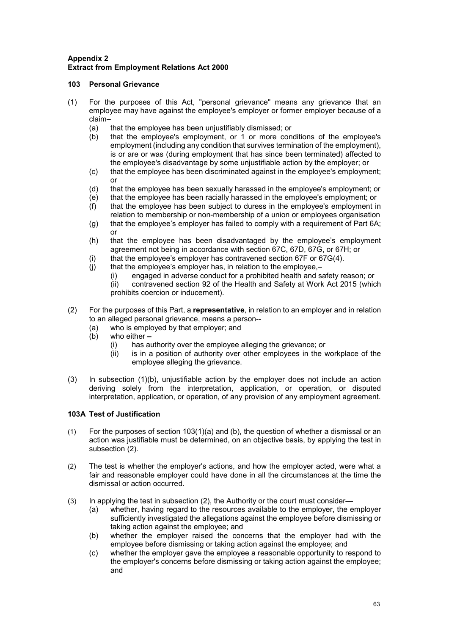## **Appendix 2 Extract from Employment Relations Act 2000**

## **103 Personal Grievance**

- (1) For the purposes of this Act, "personal grievance" means any grievance that an employee may have against the employee's employer or former employer because of a claim**–**
	- (a) that the employee has been unjustifiably dismissed; or (b) that the employee's employment, or 1 or more con
	- that the employee's employment, or  $1$  or more conditions of the employee's employment (including any condition that survives termination of the employment), is or are or was (during employment that has since been terminated) affected to the employee's disadvantage by some unjustifiable action by the employer; or
	- (c) that the employee has been discriminated against in the employee's employment; or
	- (d) that the employee has been sexually harassed in the employee's employment; or
	- (e) that the employee has been racially harassed in the employee's employment; or (f) that the employee has been subject to duress in the employee's employment in
	- that the employee has been subject to duress in the employee's employment in relation to membership or non-membership of a union or employees organisation
	- (g) that the employee's employer has failed to comply with a requirement of Part 6A; or
	- (h) that the employee has been disadvantaged by the employee's employment agreement not being in accordance with section 67C, 67D, 67G, or 67H; or
	- (i) that the employee's employer has contravened section 67F or 67G(4).<br>(j) that the employee's employer has, in relation to the employee,-
	- that the employee's employer has, in relation to the employee,-<br>(i) engaged in adverse conduct for a prohibited health and s
		- (i) engaged in adverse conduct for a prohibited health and safety reason; or

contravened section 92 of the Health and Safety at Work Act 2015 (which prohibits coercion or inducement).

- (2) For the purposes of this Part, a **representative**, in relation to an employer and in relation to an alleged personal grievance, means a person--
	- (a) who is employed by that employer; and
	- (b) who either **–**
		- (i) has authority over the employee alleging the grievance; or<br>(ii) is in a position of authority over other employees in the y
		- is in a position of authority over other employees in the workplace of the employee alleging the grievance.
- (3) In subsection (1)(b), unjustifiable action by the employer does not include an action deriving solely from the interpretation, application, or operation, or disputed interpretation, application, or operation, of any provision of any employment agreement.

## **103A Test of Justification**

- (1) For the purposes of section 103(1)(a) and (b), the question of whether a dismissal or an action was justifiable must be determined, on an objective basis, by applying the test in subsection (2).
- (2) The test is whether the employer's actions, and how the employer acted, were what a fair and reasonable employer could have done in all the circumstances at the time the dismissal or action occurred.
- (3) In applying the test in subsection (2), the Authority or the court must consider—
	- (a) whether, having regard to the resources available to the employer, the employer sufficiently investigated the allegations against the employee before dismissing or taking action against the employee; and
	- (b) whether the employer raised the concerns that the employer had with the employee before dismissing or taking action against the employee; and
	- (c) whether the employer gave the employee a reasonable opportunity to respond to the employer's concerns before dismissing or taking action against the employee; and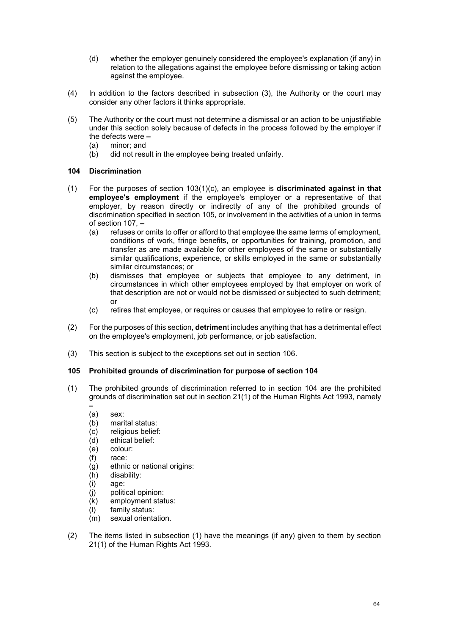- (d) whether the employer genuinely considered the employee's explanation (if any) in relation to the allegations against the employee before dismissing or taking action against the employee.
- (4) In addition to the factors described in subsection (3), the Authority or the court may consider any other factors it thinks appropriate.
- (5) The Authority or the court must not determine a dismissal or an action to be unjustifiable under this section solely because of defects in the process followed by the employer if the defects were **–**
	- (a) minor; and
	- (b) did not result in the employee being treated unfairly.

#### **104 Discrimination**

- (1) For the purposes of section 103(1)(c), an employee is **discriminated against in that employee's employment** if the employee's employer or a representative of that employer, by reason directly or indirectly of any of the prohibited grounds of discrimination specified in section 105, or involvement in the activities of a union in terms of section 107, **–**
	- (a) refuses or omits to offer or afford to that employee the same terms of employment, conditions of work, fringe benefits, or opportunities for training, promotion, and transfer as are made available for other employees of the same or substantially similar qualifications, experience, or skills employed in the same or substantially similar circumstances; or
	- (b) dismisses that employee or subjects that employee to any detriment, in circumstances in which other employees employed by that employer on work of that description are not or would not be dismissed or subjected to such detriment; or
	- (c) retires that employee, or requires or causes that employee to retire or resign.
- (2) For the purposes of this section, **detrimen**t includes anything that has a detrimental effect on the employee's employment, job performance, or job satisfaction.
- (3) This section is subject to the exceptions set out in section 106.

#### **105 Prohibited grounds of discrimination for purpose of section 104**

- (1) The prohibited grounds of discrimination referred to in section 104 are the prohibited grounds of discrimination set out in section 21(1) of the Human Rights Act 1993, namely
	- **–** (a) sex:
	- (b) marital status:
	-
	- (c) religious belief:<br>(d) ethical belief: ethical belief:
	- (e) colour:
	- (f) race:
	- (g) ethnic or national origins:
	- (h) disability:
	- (i) age:
	- (j) political opinion:
	- (k) employment status:
	- (l) family status:
	- (m) sexual orientation.
- (2) The items listed in subsection (1) have the meanings (if any) given to them by section 21(1) of the Human Rights Act 1993.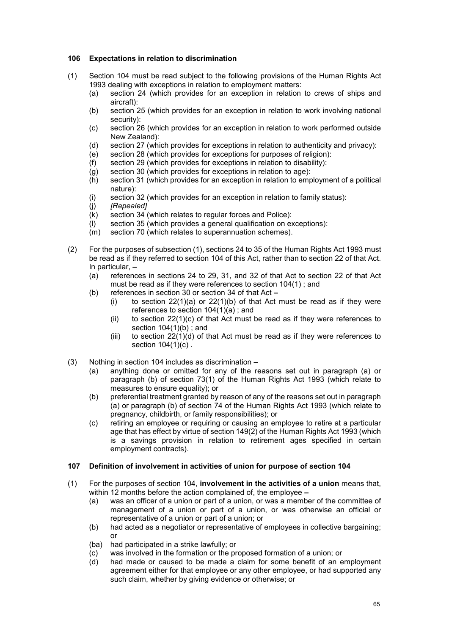### **106 Expectations in relation to discrimination**

- (1) Section 104 must be read subject to the following provisions of the Human Rights Act 1993 dealing with exceptions in relation to employment matters:
	- (a) section 24 (which provides for an exception in relation to crews of ships and aircraft):
	- (b) section 25 (which provides for an exception in relation to work involving national security):
	- (c) section 26 (which provides for an exception in relation to work performed outside New Zealand):
	- (d) section 27 (which provides for exceptions in relation to authenticity and privacy):
	- (e) section 28 (which provides for exceptions for purposes of religion):
	- section 29 (which provides for exceptions in relation to disability):
	- (g) section 30 (which provides for exceptions in relation to age):<br>(h) section 31 (which provides for an exception in relation to emp
	- section 31 (which provides for an exception in relation to employment of a political nature):
	- (i) section 32 (which provides for an exception in relation to family status):<br>(j) [Repealed]
	- (j) *[Repealed]*
	- (k) section 34 (which relates to regular forces and Police):
	- (l) section 35 (which provides a general qualification on exceptions):
	- (m) section 70 (which relates to superannuation schemes).
- (2) For the purposes of subsection (1), sections 24 to 35 of the Human Rights Act 1993 must be read as if they referred to section 104 of this Act, rather than to section 22 of that Act. In particular, **–**<br>(a) referend
	- references in sections 24 to 29, 31, and 32 of that Act to section 22 of that Act must be read as if they were references to section 104(1) ; and
	- (b) references in section 30 or section 34 of that Act **–**
		- (i) to section  $22(1)(a)$  or  $22(1)(b)$  of that Act must be read as if they were references to section 104(1)(a) ; and
		- (ii) to section  $22(1)(c)$  of that Act must be read as if they were references to section  $104(1)(b)$ ; and
		- (iii) to section  $22(1)(d)$  of that Act must be read as if they were references to section 104(1)(c) .
- (3) Nothing in section 104 includes as discrimination **–**
	- (a) anything done or omitted for any of the reasons set out in paragraph (a) or paragraph (b) of section 73(1) of the Human Rights Act 1993 (which relate to measures to ensure equality); or
	- (b) preferential treatment granted by reason of any of the reasons set out in paragraph (a) or paragraph (b) of section 74 of the Human Rights Act 1993 (which relate to pregnancy, childbirth, or family responsibilities); or
	- (c) retiring an employee or requiring or causing an employee to retire at a particular age that has effect by virtue of section 149(2) of the Human Rights Act 1993 (which is a savings provision in relation to retirement ages specified in certain employment contracts).

#### **107 Definition of involvement in activities of union for purpose of section 104**

- (1) For the purposes of section 104, **involvement in the activities of a union** means that, within 12 months before the action complained of, the employee **–**
	- (a) was an officer of a union or part of a union, or was a member of the committee of management of a union or part of a union, or was otherwise an official or representative of a union or part of a union; or
	- (b) had acted as a negotiator or representative of employees in collective bargaining; or
	- (ba) had participated in a strike lawfully; or
	- (c) was involved in the formation or the proposed formation of a union; or
	- had made or caused to be made a claim for some benefit of an employment agreement either for that employee or any other employee, or had supported any such claim, whether by giving evidence or otherwise; or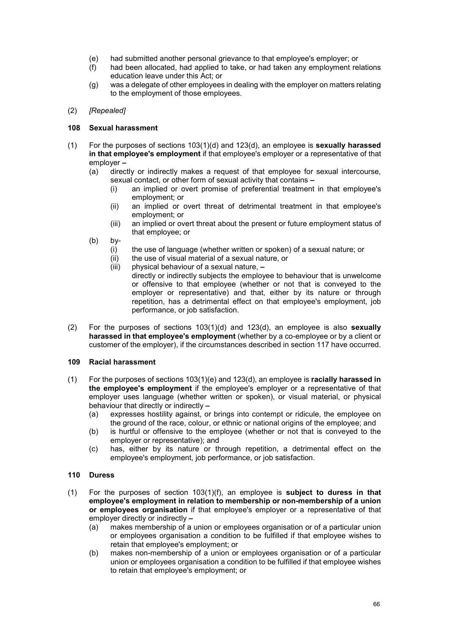- (e) had submitted another personal grievance to that employee's employer; or
- (f) had been allocated, had applied to take, or had taken any employment relations education leave under this Act; or
- (g) was a delegate of other employees in dealing with the employer on matters relating to the employment of those employees.

### (2) *[Repealed]*

## **108 Sexual harassment**

- (1) For the purposes of sections 103(1)(d) and 123(d), an employee is **sexually harassed in that employee's employment** if that employee's employer or a representative of that employer **–**
	- (a) directly or indirectly makes a request of that employee for sexual intercourse, sexual contact, or other form of sexual activity that contains **–**
		- an implied or overt promise of preferential treatment in that employee's employment; or
		- (ii) an implied or overt threat of detrimental treatment in that employee's employment; or
		- (iii) an implied or overt threat about the present or future employment status of that employee; or
	- (b) by-
		- (i) the use of language (whether written or spoken) of a sexual nature; or
		- (ii) the use of visual material of a sexual nature, or  $(iii)$  physical behaviour of a sexual nature,  $-$
		- (iii) physical behaviour of a sexual nature, **–**

directly or indirectly subjects the employee to behaviour that is unwelcome or offensive to that employee (whether or not that is conveyed to the employer or representative) and that, either by its nature or through repetition, has a detrimental effect on that employee's employment, job performance, or job satisfaction.

(2) For the purposes of sections 103(1)(d) and 123(d), an employee is also **sexually harassed in that employee's employment** (whether by a co-employee or by a client or customer of the employer), if the circumstances described in section 117 have occurred.

#### **109 Racial harassment**

- (1) For the purposes of sections 103(1)(e) and 123(d), an employee is **racially harassed in the employee's employment** if the employee's employer or a representative of that employer uses language (whether written or spoken), or visual material, or physical behaviour that directly or indirectly **–**
	- (a) expresses hostility against, or brings into contempt or ridicule, the employee on the ground of the race, colour, or ethnic or national origins of the employee; and
	- (b) is hurtful or offensive to the employee (whether or not that is conveyed to the employer or representative); and
	- (c) has, either by its nature or through repetition, a detrimental effect on the employee's employment, job performance, or job satisfaction.

## **110 Duress**

- (1) For the purposes of section 103(1)(f), an employee is **subject to duress in that employee's employment in relation to membership or non-membership of a union or employees organisation** if that employee's employer or a representative of that employer directly or indirectly **–**
	- (a) makes membership of a union or employees organisation or of a particular union or employees organisation a condition to be fulfilled if that employee wishes to retain that employee's employment; or
	- (b) makes non-membership of a union or employees organisation or of a particular union or employees organisation a condition to be fulfilled if that employee wishes to retain that employee's employment; or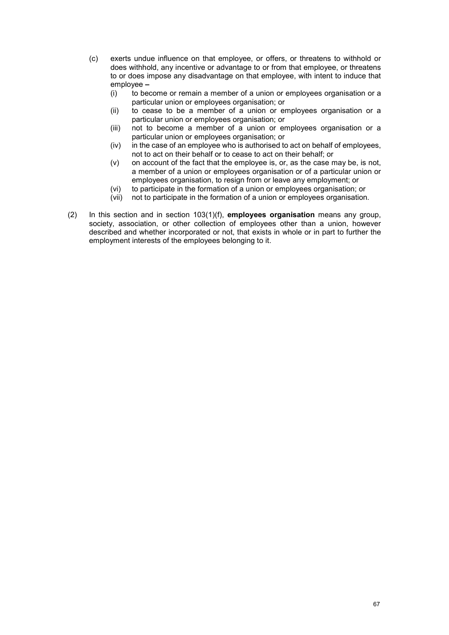- (c) exerts undue influence on that employee, or offers, or threatens to withhold or does withhold, any incentive or advantage to or from that employee, or threatens to or does impose any disadvantage on that employee, with intent to induce that employee **–**
	- (i) to become or remain a member of a union or employees organisation or a particular union or employees organisation; or
	- (ii) to cease to be a member of a union or employees organisation or a particular union or employees organisation; or
	- (iii) not to become a member of a union or employees organisation or a particular union or employees organisation; or
	- (iv) in the case of an employee who is authorised to act on behalf of employees, not to act on their behalf or to cease to act on their behalf; or
	- (v) on account of the fact that the employee is, or, as the case may be, is not, a member of a union or employees organisation or of a particular union or employees organisation, to resign from or leave any employment; or
	- (vi) to participate in the formation of a union or employees organisation; or (vii) not to participate in the formation of a union or employees organisation
	- not to participate in the formation of a union or employees organisation.
- (2) In this section and in section 103(1)(f), **employees organisation** means any group, society, association, or other collection of employees other than a union, however described and whether incorporated or not, that exists in whole or in part to further the employment interests of the employees belonging to it.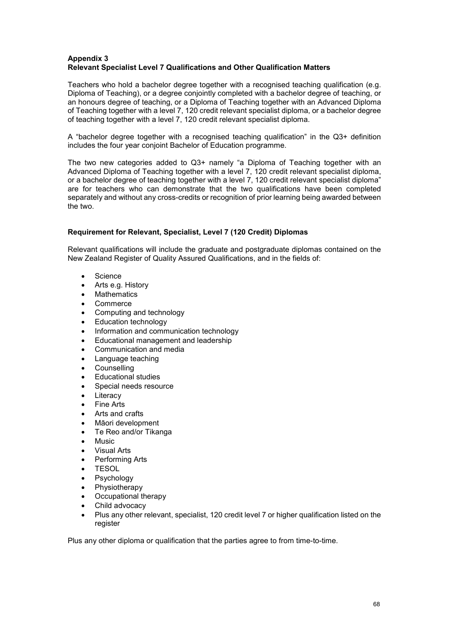## **Appendix 3 Relevant Specialist Level 7 Qualifications and Other Qualification Matters**

Teachers who hold a bachelor degree together with a recognised teaching qualification (e.g. Diploma of Teaching), or a degree conjointly completed with a bachelor degree of teaching, or an honours degree of teaching, or a Diploma of Teaching together with an Advanced Diploma of Teaching together with a level 7, 120 credit relevant specialist diploma, or a bachelor degree of teaching together with a level 7, 120 credit relevant specialist diploma.

A "bachelor degree together with a recognised teaching qualification" in the Q3+ definition includes the four year conjoint Bachelor of Education programme.

The two new categories added to Q3+ namely "a Diploma of Teaching together with an Advanced Diploma of Teaching together with a level 7, 120 credit relevant specialist diploma, or a bachelor degree of teaching together with a level 7, 120 credit relevant specialist diploma" are for teachers who can demonstrate that the two qualifications have been completed separately and without any cross-credits or recognition of prior learning being awarded between the two.

## **Requirement for Relevant, Specialist, Level 7 (120 Credit) Diplomas**

Relevant qualifications will include the graduate and postgraduate diplomas contained on the New Zealand Register of Quality Assured Qualifications, and in the fields of:

- Science
- Arts e.g. History
- **Mathematics**
- Commerce
- Computing and technology
- Education technology
- Information and communication technology
- Educational management and leadership
- Communication and media
- Language teaching
- **Counselling**
- Educational studies
- Special needs resource
- **Literacy**
- **Fine Arts**
- Arts and crafts
- Māori development
- Te Reo and/or Tikanga
- Music
- Visual Arts
- Performing Arts
- **TESOL**
- **Psychology**
- **Physiotherapy**
- Occupational therapy
- Child advocacy
- Plus any other relevant, specialist, 120 credit level 7 or higher qualification listed on the register

Plus any other diploma or qualification that the parties agree to from time-to-time.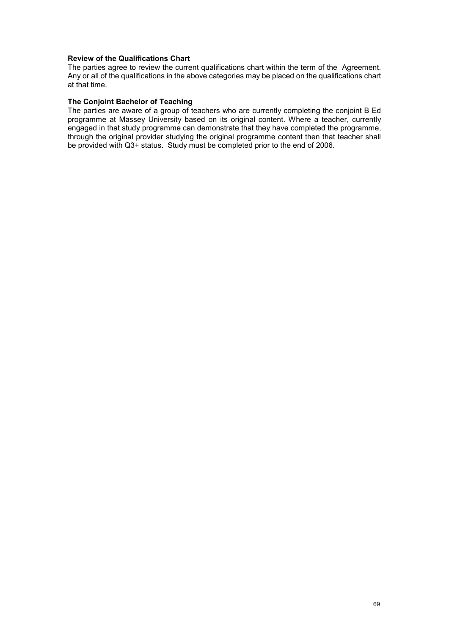#### **Review of the Qualifications Chart**

The parties agree to review the current qualifications chart within the term of the Agreement. Any or all of the qualifications in the above categories may be placed on the qualifications chart at that time.

#### **The Conjoint Bachelor of Teaching**

The parties are aware of a group of teachers who are currently completing the conjoint B Ed programme at Massey University based on its original content. Where a teacher, currently engaged in that study programme can demonstrate that they have completed the programme, through the original provider studying the original programme content then that teacher shall be provided with Q3+ status. Study must be completed prior to the end of 2006.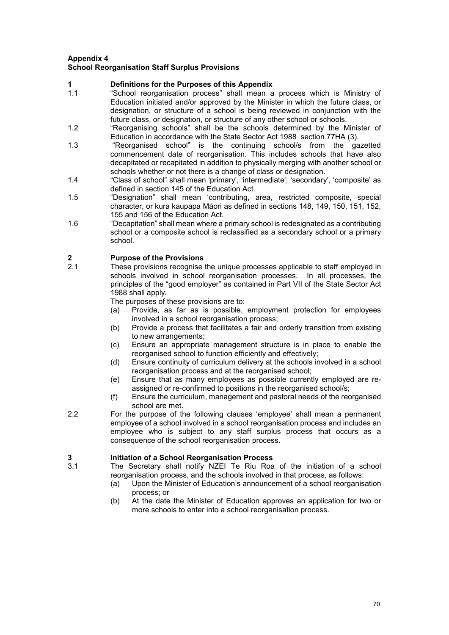## **Appendix 4 School Reorganisation Staff Surplus Provisions**

# **1 Definitions for the Purposes of this Appendix**

- "School reorganisation process" shall mean a process which is Ministry of Education initiated and/or approved by the Minister in which the future class, or designation, or structure of a school is being reviewed in conjunction with the future class, or designation, or structure of any other school or schools.
- 1.2 "Reorganising schools" shall be the schools determined by the Minister of Education in accordance with the State Sector Act 1988 section 77HA (3).
- 1.3 "Reorganised school" is the continuing school/s from the gazetted commencement date of reorganisation. This includes schools that have also decapitated or recapitated in addition to physically merging with another school or schools whether or not there is a change of class or designation.
- 1.4 "Class of school" shall mean 'primary', 'intermediate', 'secondary', 'composite' as defined in section 145 of the Education Act.
- 1.5 "Designation" shall mean 'contributing, area, restricted composite, special character, or kura kaupapa Māori as defined in sections 148, 149, 150, 151, 152, 155 and 156 of the Education Act.
- 1.6 "Decapitation" shall mean where a primary school is redesignated as a contributing school or a composite school is reclassified as a secondary school or a primary school.

# **2 Purpose of the Provisions**

These provisions recognise the unique processes applicable to staff employed in schools involved in school reorganisation processes. In all processes, the principles of the "good employer" as contained in Part VII of the State Sector Act 1988 shall apply.

The purposes of these provisions are to:

- (a) Provide, as far as is possible, employment protection for employees involved in a school reorganisation process;
- (b) Provide a process that facilitates a fair and orderly transition from existing to new arrangements;
- (c) Ensure an appropriate management structure is in place to enable the reorganised school to function efficiently and effectively;
- (d) Ensure continuity of curriculum delivery at the schools involved in a school reorganisation process and at the reorganised school;
- (e) Ensure that as many employees as possible currently employed are reassigned or re-confirmed to positions in the reorganised school/s;
- (f) Ensure the curriculum, management and pastoral needs of the reorganised school are met.
- 2.2 For the purpose of the following clauses 'employee' shall mean a permanent employee of a school involved in a school reorganisation process and includes an employee who is subject to any staff surplus process that occurs as a consequence of the school reorganisation process.

## **3 Initiation of a School Reorganisation Process**

- The Secretary shall notify NZEI Te Riu Roa of the initiation of a school reorganisation process, and the schools involved in that process, as follows:
	- (a) Upon the Minister of Education's announcement of a school reorganisation process; or
	- (b) At the date the Minister of Education approves an application for two or more schools to enter into a school reorganisation process.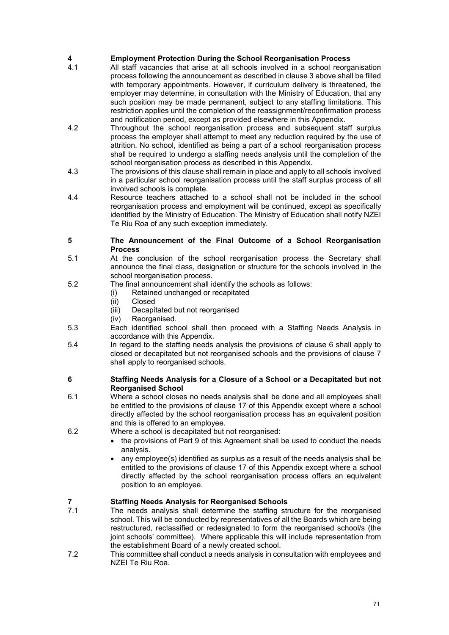# **4 Employment Protection During the School Reorganisation Process**

- All staff vacancies that arise at all schools involved in a school reorganisation process following the announcement as described in clause 3 above shall be filled with temporary appointments. However, if curriculum delivery is threatened, the employer may determine, in consultation with the Ministry of Education, that any such position may be made permanent, subject to any staffing limitations. This restriction applies until the completion of the reassignment/reconfirmation process and notification period, except as provided elsewhere in this Appendix.
- 4.2 Throughout the school reorganisation process and subsequent staff surplus process the employer shall attempt to meet any reduction required by the use of attrition. No school, identified as being a part of a school reorganisation process shall be required to undergo a staffing needs analysis until the completion of the school reorganisation process as described in this Appendix.
- 4.3 The provisions of this clause shall remain in place and apply to all schools involved in a particular school reorganisation process until the staff surplus process of all involved schools is complete.
- 4.4 Resource teachers attached to a school shall not be included in the school reorganisation process and employment will be continued, except as specifically identified by the Ministry of Education. The Ministry of Education shall notify NZEI Te Riu Roa of any such exception immediately.

#### **5 The Announcement of the Final Outcome of a School Reorganisation Process**

- 5.1 At the conclusion of the school reorganisation process the Secretary shall announce the final class, designation or structure for the schools involved in the school reorganisation process.
- 5.2 The final announcement shall identify the schools as follows:
	- (i) Retained unchanged or recapitated
	- (ii) Closed<br>(iii) Decapi
	- Decapitated but not reorganised
	- (iv) Reorganised.
- 5.3 Each identified school shall then proceed with a Staffing Needs Analysis in accordance with this Appendix.
- 5.4 In regard to the staffing needs analysis the provisions of clause 6 shall apply to closed or decapitated but not reorganised schools and the provisions of clause 7 shall apply to reorganised schools.

## **6 Staffing Needs Analysis for a Closure of a School or a Decapitated but not Reorganised School**

- 6.1 Where a school closes no needs analysis shall be done and all employees shall be entitled to the provisions of clause 17 of this Appendix except where a school directly affected by the school reorganisation process has an equivalent position and this is offered to an employee.
- 6.2 Where a school is decapitated but not reorganised:
	- the provisions of Part 9 of this Agreement shall be used to conduct the needs analysis.
	- any employee(s) identified as surplus as a result of the needs analysis shall be entitled to the provisions of clause 17 of this Appendix except where a school directly affected by the school reorganisation process offers an equivalent position to an employee.

## **7 Staffing Needs Analysis for Reorganised Schools**

- The needs analysis shall determine the staffing structure for the reorganised school. This will be conducted by representatives of all the Boards which are being restructured, reclassified or redesignated to form the reorganised school/s (the joint schools' committee). Where applicable this will include representation from the establishment Board of a newly created school.
- 7.2 This committee shall conduct a needs analysis in consultation with employees and NZEI Te Riu Roa.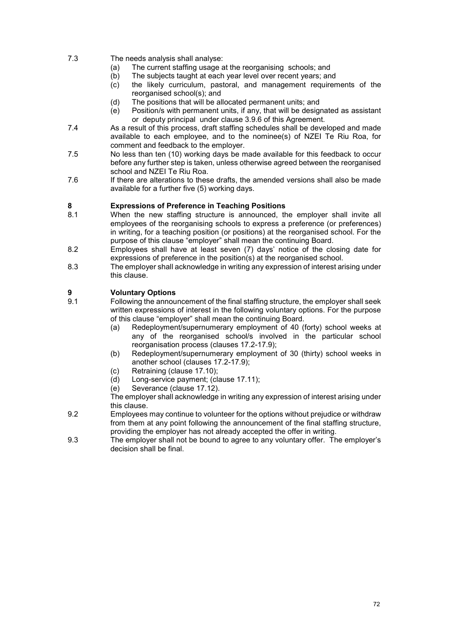7.3 The needs analysis shall analyse:

- (a) The current staffing usage at the reorganising schools; and<br>(b) The subjects taught at each year level over recent years; an
- 
- (b) The subjects taught at each year level over recent years; and (c) the likely curriculum, pastoral, and management requiren the likely curriculum, pastoral, and management requirements of the reorganised school(s); and
- 
- (d) The positions that will be allocated permanent units; and<br>(e) Position/s with permanent units, if any, that will be design Position/s with permanent units, if any, that will be designated as assistant or deputy principal under clause 3.9.6 of this Agreement.
- 7.4 As a result of this process, draft staffing schedules shall be developed and made available to each employee, and to the nominee(s) of NZEI Te Riu Roa, for comment and feedback to the employer.
- 7.5 No less than ten (10) working days be made available for this feedback to occur before any further step is taken, unless otherwise agreed between the reorganised school and NZEI Te Riu Roa.
- 7.6 If there are alterations to these drafts, the amended versions shall also be made available for a further five (5) working days.

## **8 Expressions of Preference in Teaching Positions**

- When the new staffing structure is announced, the employer shall invite all employees of the reorganising schools to express a preference (or preferences) in writing, for a teaching position (or positions) at the reorganised school. For the purpose of this clause "employer" shall mean the continuing Board.
- 8.2 Employees shall have at least seven (7) days' notice of the closing date for expressions of preference in the position(s) at the reorganised school.
- 8.3 The employer shall acknowledge in writing any expression of interest arising under this clause.

# **9 Voluntary Options**

- 9.1 Following the announcement of the final staffing structure, the employer shall seek written expressions of interest in the following voluntary options. For the purpose of this clause "employer" shall mean the continuing Board.
	- (a) Redeployment/supernumerary employment of 40 (forty) school weeks at any of the reorganised school/s involved in the particular school reorganisation process (clauses 17.2-17.9);
	- (b) Redeployment/supernumerary employment of 30 (thirty) school weeks in another school (clauses 17.2-17.9);
	- (c) Retraining (clause 17.10);
	- (d) Long-service payment; (clause 17.11);<br>(e) Severance (clause 17.12).
	- Severance (clause 17.12).

The employer shall acknowledge in writing any expression of interest arising under this clause.

- 9.2 Employees may continue to volunteer for the options without prejudice or withdraw from them at any point following the announcement of the final staffing structure, providing the employer has not already accepted the offer in writing.
- 9.3 The employer shall not be bound to agree to any voluntary offer. The employer's decision shall be final.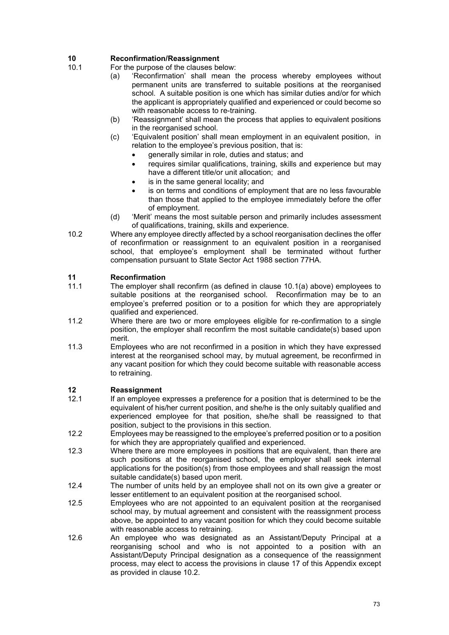# **10 Reconfirmation/Reassignment**<br>10.1 For the purpose of the clauses be

- For the purpose of the clauses below:
	- (a) 'Reconfirmation' shall mean the process whereby employees without permanent units are transferred to suitable positions at the reorganised school. A suitable position is one which has similar duties and/or for which the applicant is appropriately qualified and experienced or could become so with reasonable access to re-training.
	- (b) 'Reassignment' shall mean the process that applies to equivalent positions in the reorganised school.
	- (c) 'Equivalent position' shall mean employment in an equivalent position, in relation to the employee's previous position, that is:
		- generally similar in role, duties and status; and
		- requires similar qualifications, training, skills and experience but may have a different title/or unit allocation; and
		- is in the same general locality; and
		- is on terms and conditions of employment that are no less favourable than those that applied to the employee immediately before the offer of employment.
	- (d) 'Merit' means the most suitable person and primarily includes assessment of qualifications, training, skills and experience.
- 10.2 Where any employee directly affected by a school reorganisation declines the offer of reconfirmation or reassignment to an equivalent position in a reorganised school, that employee's employment shall be terminated without further compensation pursuant to State Sector Act 1988 section 77HA.

## **11 Reconfirmation**

- The employer shall reconfirm (as defined in clause 10.1(a) above) employees to suitable positions at the reorganised school. Reconfirmation may be to an employee's preferred position or to a position for which they are appropriately qualified and experienced.
- 11.2 Where there are two or more employees eligible for re-confirmation to a single position, the employer shall reconfirm the most suitable candidate(s) based upon merit.
- 11.3 Employees who are not reconfirmed in a position in which they have expressed interest at the reorganised school may, by mutual agreement, be reconfirmed in any vacant position for which they could become suitable with reasonable access to retraining.

## **12 Reassignment**

- If an employee expresses a preference for a position that is determined to be the equivalent of his/her current position, and she/he is the only suitably qualified and experienced employee for that position, she/he shall be reassigned to that position, subject to the provisions in this section.
- 12.2 Employees may be reassigned to the employee's preferred position or to a position for which they are appropriately qualified and experienced.
- 12.3 Where there are more employees in positions that are equivalent, than there are such positions at the reorganised school, the employer shall seek internal applications for the position(s) from those employees and shall reassign the most suitable candidate(s) based upon merit.
- 12.4 The number of units held by an employee shall not on its own give a greater or lesser entitlement to an equivalent position at the reorganised school.
- 12.5 Employees who are not appointed to an equivalent position at the reorganised school may, by mutual agreement and consistent with the reassignment process above, be appointed to any vacant position for which they could become suitable with reasonable access to retraining.
- 12.6 An employee who was designated as an Assistant/Deputy Principal at a reorganising school and who is not appointed to a position with an Assistant/Deputy Principal designation as a consequence of the reassignment process, may elect to access the provisions in clause 17 of this Appendix except as provided in clause 10.2.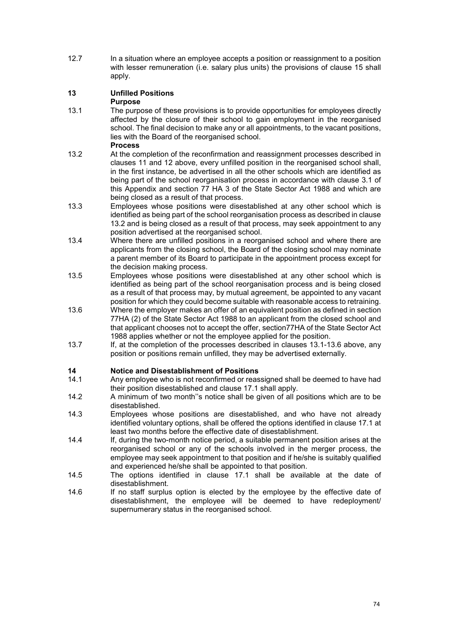12.7 In a situation where an employee accepts a position or reassignment to a position with lesser remuneration (i.e. salary plus units) the provisions of clause 15 shall apply.

## **13 Unfilled Positions**

## **Purpose**

13.1 The purpose of these provisions is to provide opportunities for employees directly affected by the closure of their school to gain employment in the reorganised school. The final decision to make any or all appointments, to the vacant positions, lies with the Board of the reorganised school.

#### **Process**

- 13.2 At the completion of the reconfirmation and reassignment processes described in clauses 11 and 12 above, every unfilled position in the reorganised school shall, in the first instance, be advertised in all the other schools which are identified as being part of the school reorganisation process in accordance with clause 3.1 of this Appendix and section 77 HA 3 of the State Sector Act 1988 and which are being closed as a result of that process.
- 13.3 Employees whose positions were disestablished at any other school which is identified as being part of the school reorganisation process as described in clause 13.2 and is being closed as a result of that process, may seek appointment to any position advertised at the reorganised school.
- 13.4 Where there are unfilled positions in a reorganised school and where there are applicants from the closing school, the Board of the closing school may nominate a parent member of its Board to participate in the appointment process except for the decision making process.
- 13.5 Employees whose positions were disestablished at any other school which is identified as being part of the school reorganisation process and is being closed as a result of that process may, by mutual agreement, be appointed to any vacant position for which they could become suitable with reasonable access to retraining.
- 13.6 Where the employer makes an offer of an equivalent position as defined in section 77HA (2) of the State Sector Act 1988 to an applicant from the closed school and that applicant chooses not to accept the offer, section77HA of the State Sector Act 1988 applies whether or not the employee applied for the position.
- 13.7 If, at the completion of the processes described in clauses 13.1-13.6 above, any position or positions remain unfilled, they may be advertised externally.

## **14 Notice and Disestablishment of Positions**

- Any employee who is not reconfirmed or reassigned shall be deemed to have had their position disestablished and clause 17.1 shall apply.
- 14.2 A minimum of two month''s notice shall be given of all positions which are to be disestablished.
- 14.3 Employees whose positions are disestablished, and who have not already identified voluntary options, shall be offered the options identified in clause 17.1 at least two months before the effective date of disestablishment.
- 14.4 If, during the two-month notice period, a suitable permanent position arises at the reorganised school or any of the schools involved in the merger process, the employee may seek appointment to that position and if he/she is suitably qualified and experienced he/she shall be appointed to that position.
- 14.5 The options identified in clause 17.1 shall be available at the date of disestablishment.
- 14.6 If no staff surplus option is elected by the employee by the effective date of disestablishment, the employee will be deemed to have redeployment/ supernumerary status in the reorganised school.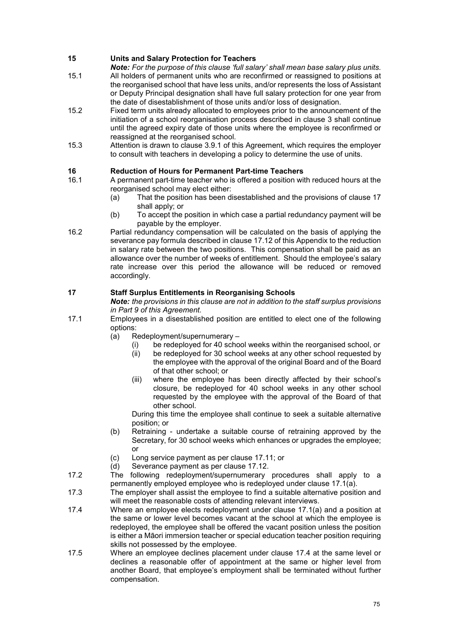## **15 Units and Salary Protection for Teachers**

*Note: For the purpose of this clause 'full salary' shall mean base salary plus units.*

- 15.1 All holders of permanent units who are reconfirmed or reassigned to positions at the reorganised school that have less units, and/or represents the loss of Assistant or Deputy Principal designation shall have full salary protection for one year from the date of disestablishment of those units and/or loss of designation.
- 15.2 Fixed term units already allocated to employees prior to the announcement of the initiation of a school reorganisation process described in clause 3 shall continue until the agreed expiry date of those units where the employee is reconfirmed or reassigned at the reorganised school.
- 15.3 Attention is drawn to clause 3.9.1 of this Agreement, which requires the employer to consult with teachers in developing a policy to determine the use of units.

## **16 Reduction of Hours for Permanent Part-time Teachers**

- 16.1 A permanent part-time teacher who is offered a position with reduced hours at the reorganised school may elect either:
	- (a) That the position has been disestablished and the provisions of clause 17 shall apply; or
	- (b) To accept the position in which case a partial redundancy payment will be payable by the employer.
- 16.2 Partial redundancy compensation will be calculated on the basis of applying the severance pay formula described in clause 17.12 of this Appendix to the reduction in salary rate between the two positions. This compensation shall be paid as an allowance over the number of weeks of entitlement. Should the employee's salary rate increase over this period the allowance will be reduced or removed accordingly.

## **17 Staff Surplus Entitlements in Reorganising Schools**

*Note: the provisions in this clause are not in addition to the staff surplus provisions in Part 9 of this Agreement.*

- 17.1 Employees in a disestablished position are entitled to elect one of the following options:
	- (a) Redeployment/supernumerary
		- (i) be redeployed for 40 school weeks within the reorganised school, or (ii) be redeployed for 30 school weeks at any other school requested by
		- be redeployed for 30 school weeks at any other school requested by the employee with the approval of the original Board and of the Board of that other school; or
		- (iii) where the employee has been directly affected by their school's closure, be redeployed for 40 school weeks in any other school requested by the employee with the approval of the Board of that other school.

During this time the employee shall continue to seek a suitable alternative position; or

- (b) Retraining undertake a suitable course of retraining approved by the Secretary, for 30 school weeks which enhances or upgrades the employee; or
- (c) Long service payment as per clause 17.11; or<br>(d) Severance payment as per clause 17.12.
- Severance payment as per clause 17.12.
- 17.2 The following redeployment/supernumerary procedures shall apply to a permanently employed employee who is redeployed under clause 17.1(a).
- 17.3 The employer shall assist the employee to find a suitable alternative position and will meet the reasonable costs of attending relevant interviews.
- 17.4 Where an employee elects redeployment under clause 17.1(a) and a position at the same or lower level becomes vacant at the school at which the employee is redeployed, the employee shall be offered the vacant position unless the position is either a Māori immersion teacher or special education teacher position requiring skills not possessed by the employee.
- 17.5 Where an employee declines placement under clause 17.4 at the same level or declines a reasonable offer of appointment at the same or higher level from another Board, that employee's employment shall be terminated without further compensation.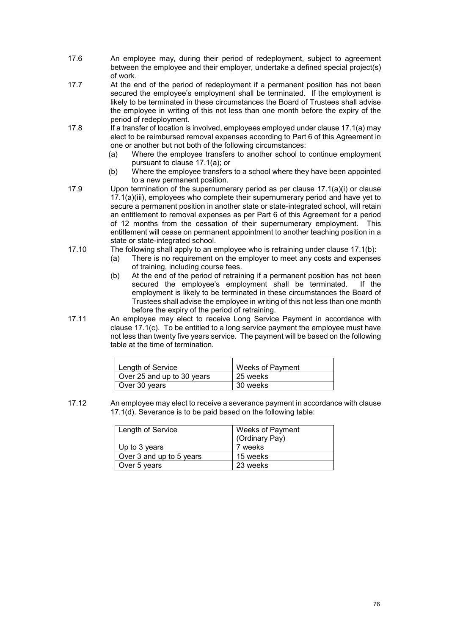- 17.6 An employee may, during their period of redeployment, subject to agreement between the employee and their employer, undertake a defined special project(s) of work.
- 17.7 At the end of the period of redeployment if a permanent position has not been secured the employee's employment shall be terminated. If the employment is likely to be terminated in these circumstances the Board of Trustees shall advise the employee in writing of this not less than one month before the expiry of the period of redeployment.
- 17.8 If a transfer of location is involved, employees employed under clause 17.1(a) may elect to be reimbursed removal expenses according to Part 6 of this Agreement in one or another but not both of the following circumstances:
	- (a) Where the employee transfers to another school to continue employment pursuant to clause 17.1(a); or
	- (b) Where the employee transfers to a school where they have been appointed to a new permanent position.
- 17.9 Upon termination of the supernumerary period as per clause 17.1(a)(i) or clause 17.1(a)(iii), employees who complete their supernumerary period and have yet to secure a permanent position in another state or state-integrated school, will retain an entitlement to removal expenses as per Part 6 of this Agreement for a period of 12 months from the cessation of their supernumerary employment. This entitlement will cease on permanent appointment to another teaching position in a state or state-integrated school.
- 17.10 The following shall apply to an employee who is retraining under clause 17.1(b):
	- (a) There is no requirement on the employer to meet any costs and expenses of training, including course fees.
	- (b) At the end of the period of retraining if a permanent position has not been secured the emplovee's employment shall be terminated. If the secured the employee's employment shall be terminated. employment is likely to be terminated in these circumstances the Board of Trustees shall advise the employee in writing of this not less than one month before the expiry of the period of retraining.
- 17.11 An employee may elect to receive Long Service Payment in accordance with clause 17.1(c). To be entitled to a long service payment the employee must have not less than twenty five years service. The payment will be based on the following table at the time of termination.

| Length of Service          | <b>Weeks of Payment</b> |
|----------------------------|-------------------------|
| Over 25 and up to 30 years | 25 weeks                |
| Over 30 years              | 30 weeks                |

17.12 An employee may elect to receive a severance payment in accordance with clause 17.1(d). Severance is to be paid based on the following table:

| Length of Service        | Weeks of Payment<br>(Ordinary Pay) |
|--------------------------|------------------------------------|
| Up to 3 years            | 7 weeks                            |
| Over 3 and up to 5 years | 15 weeks                           |
| Over 5 years             | 23 weeks                           |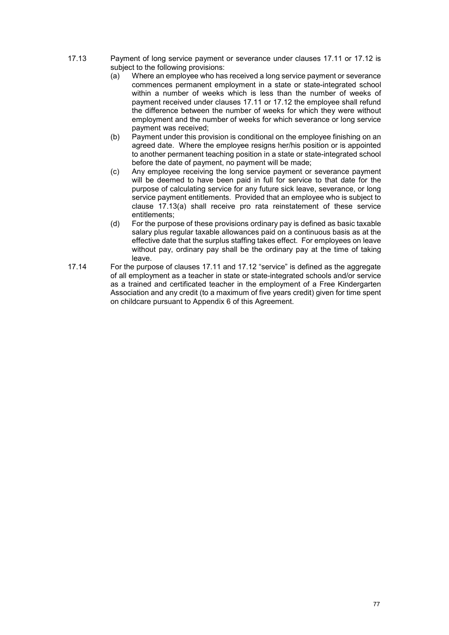- 17.13 Payment of long service payment or severance under clauses 17.11 or 17.12 is
	- subject to the following provisions:<br>(a) Where an employee who has Where an employee who has received a long service payment or severance commences permanent employment in a state or state-integrated school within a number of weeks which is less than the number of weeks of payment received under clauses 17.11 or 17.12 the employee shall refund the difference between the number of weeks for which they were without employment and the number of weeks for which severance or long service payment was received;
	- (b) Payment under this provision is conditional on the employee finishing on an agreed date. Where the employee resigns her/his position or is appointed to another permanent teaching position in a state or state-integrated school before the date of payment, no payment will be made;
	- (c) Any employee receiving the long service payment or severance payment will be deemed to have been paid in full for service to that date for the purpose of calculating service for any future sick leave, severance, or long service payment entitlements. Provided that an employee who is subject to clause 17.13(a) shall receive pro rata reinstatement of these service entitlements;
	- (d) For the purpose of these provisions ordinary pay is defined as basic taxable salary plus regular taxable allowances paid on a continuous basis as at the effective date that the surplus staffing takes effect. For employees on leave without pay, ordinary pay shall be the ordinary pay at the time of taking leave.
- 17.14 For the purpose of clauses 17.11 and 17.12 "service" is defined as the aggregate of all employment as a teacher in state or state-integrated schools and/or service as a trained and certificated teacher in the employment of a Free Kindergarten Association and any credit (to a maximum of five years credit) given for time spent on childcare pursuant to Appendix 6 of this Agreement.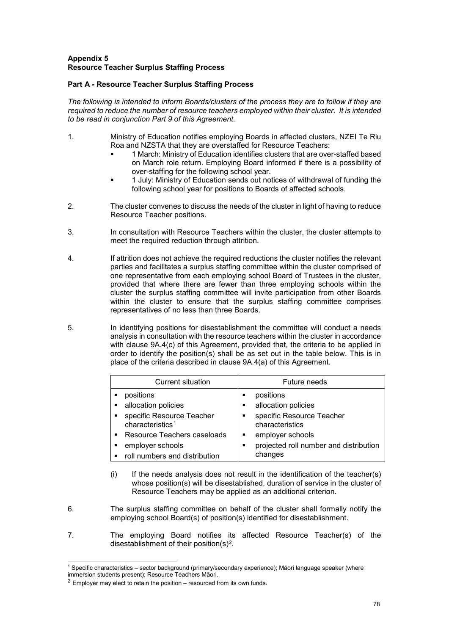## **Appendix 5 Resource Teacher Surplus Staffing Process**

## **Part A - Resource Teacher Surplus Staffing Process**

*The following is intended to inform Boards/clusters of the process they are to follow if they are required to reduce the number of resource teachers employed within their cluster. It is intended to be read in conjunction Part 9 of this Agreement.*

- 1. Ministry of Education notifies employing Boards in affected clusters, NZEI Te Riu Roa and NZSTA that they are overstaffed for Resource Teachers:
	- 1 March: Ministry of Education identifies clusters that are over-staffed based on March role return. Employing Board informed if there is a possibility of over-staffing for the following school year.
	- 1 July: Ministry of Education sends out notices of withdrawal of funding the following school year for positions to Boards of affected schools.
- 2. The cluster convenes to discuss the needs of the cluster in light of having to reduce Resource Teacher positions.
- 3. In consultation with Resource Teachers within the cluster, the cluster attempts to meet the required reduction through attrition.
- 4. If attrition does not achieve the required reductions the cluster notifies the relevant parties and facilitates a surplus staffing committee within the cluster comprised of one representative from each employing school Board of Trustees in the cluster, provided that where there are fewer than three employing schools within the cluster the surplus staffing committee will invite participation from other Boards within the cluster to ensure that the surplus staffing committee comprises representatives of no less than three Boards.
- 5. In identifying positions for disestablishment the committee will conduct a needs analysis in consultation with the resource teachers within the cluster in accordance with clause 9A.4(c) of this Agreement, provided that, the criteria to be applied in order to identify the position(s) shall be as set out in the table below. This is in place of the criteria described in clause 9A.4(a) of this Agreement.

| <b>Current situation</b>                                  | Future needs                                      |
|-----------------------------------------------------------|---------------------------------------------------|
| positions                                                 | positions<br>п                                    |
| allocation policies                                       | allocation policies<br>п                          |
| specific Resource Teacher<br>characteristics <sup>1</sup> | specific Resource Teacher<br>п<br>characteristics |
| Resource Teachers caseloads<br>٠.                         | employer schools<br>п                             |
| employer schools                                          | projected roll number and distribution<br>п       |
| roll numbers and distribution                             | changes                                           |

- (i) If the needs analysis does not result in the identification of the teacher(s) whose position(s) will be disestablished, duration of service in the cluster of Resource Teachers may be applied as an additional criterion.
- 6. The surplus staffing committee on behalf of the cluster shall formally notify the employing school Board(s) of position(s) identified for disestablishment.
- 7. The employing Board notifies its affected Resource Teacher(s) of the disestablishment of their position(s)[2](#page-78-1).

<span id="page-78-0"></span>j <sup>1</sup> Specific characteristics – sector background (primary/secondary experience); Māori language speaker (where immersion students present); Resource Teachers Māori.

<span id="page-78-1"></span> $2$  Employer may elect to retain the position – resourced from its own funds.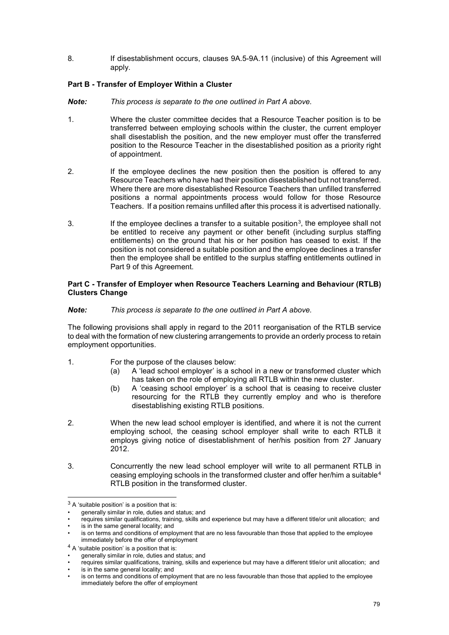8. If disestablishment occurs, clauses 9A.5-9A.11 (inclusive) of this Agreement will apply.

## **Part B - Transfer of Employer Within a Cluster**

- *Note: This process is separate to the one outlined in Part A above.*
- 1. Where the cluster committee decides that a Resource Teacher position is to be transferred between employing schools within the cluster, the current employer shall disestablish the position, and the new employer must offer the transferred position to the Resource Teacher in the disestablished position as a priority right of appointment.
- 2. If the employee declines the new position then the position is offered to any Resource Teachers who have had their position disestablished but not transferred. Where there are more disestablished Resource Teachers than unfilled transferred positions a normal appointments process would follow for those Resource Teachers. If a position remains unfilled after this process it is advertised nationally.
- [3](#page-79-0). If the employee declines a transfer to a suitable position<sup>3</sup>, the employee shall not be entitled to receive any payment or other benefit (including surplus staffing entitlements) on the ground that his or her position has ceased to exist. If the position is not considered a suitable position and the employee declines a transfer then the employee shall be entitled to the surplus staffing entitlements outlined in Part 9 of this Agreement.

### **Part C - Transfer of Employer when Resource Teachers Learning and Behaviour (RTLB) Clusters Change**

## *Note: This process is separate to the one outlined in Part A above.*

The following provisions shall apply in regard to the 2011 reorganisation of the RTLB service to deal with the formation of new clustering arrangements to provide an orderly process to retain employment opportunities.

- 1. For the purpose of the clauses below:
	- (a) A 'lead school employer' is a school in a new or transformed cluster which has taken on the role of employing all RTLB within the new cluster.
	- (b) A 'ceasing school employer' is a school that is ceasing to receive cluster resourcing for the RTLB they currently employ and who is therefore disestablishing existing RTLB positions.
- 2. When the new lead school employer is identified, and where it is not the current employing school, the ceasing school employer shall write to each RTLB it employs giving notice of disestablishment of her/his position from 27 January 2012.
- 3. Concurrently the new lead school employer will write to all permanent RTLB in ceasing employing schools in the transformed cluster and offer her/him a suitable<sup>[4](#page-79-1)</sup> RTLB position in the transformed cluster.

j

<span id="page-79-0"></span> $3$  A 'suitable position' is a position that is:

generally similar in role, duties and status; and

<sup>•</sup> requires similar qualifications, training, skills and experience but may have a different title/or unit allocation; and

is in the same general locality; and

<sup>•</sup> is on terms and conditions of employment that are no less favourable than those that applied to the employee immediately before the offer of employment

<span id="page-79-1"></span><sup>4</sup> A 'suitable position' is a position that is:

<sup>•</sup> generally similar in role, duties and status; and

<sup>•</sup> requires similar qualifications, training, skills and experience but may have a different title/or unit allocation; and

is in the same general locality; and

is on terms and conditions of employment that are no less favourable than those that applied to the employee immediately before the offer of employment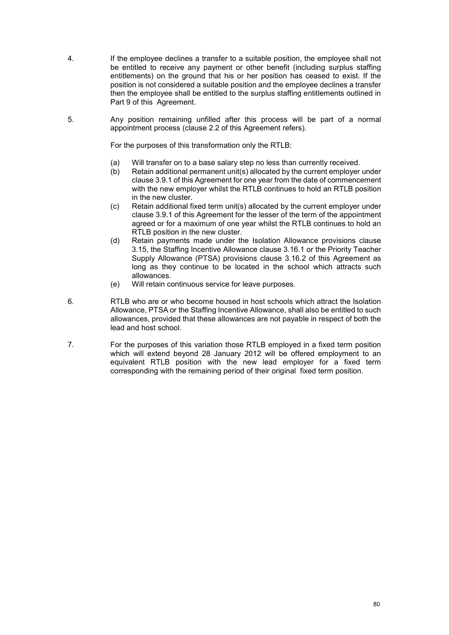- 4. If the employee declines a transfer to a suitable position, the employee shall not be entitled to receive any payment or other benefit (including surplus staffing entitlements) on the ground that his or her position has ceased to exist. If the position is not considered a suitable position and the employee declines a transfer then the employee shall be entitled to the surplus staffing entitlements outlined in Part 9 of this Agreement.
- 5. Any position remaining unfilled after this process will be part of a normal appointment process (clause 2.2 of this Agreement refers).

For the purposes of this transformation only the RTLB:

- (a) Will transfer on to a base salary step no less than currently received.
- (b) Retain additional permanent unit(s) allocated by the current employer under clause 3.9.1 of this Agreement for one year from the date of commencement with the new employer whilst the RTLB continues to hold an RTLB position in the new cluster.
- (c) Retain additional fixed term unit(s) allocated by the current employer under clause 3.9.1 of this Agreement for the lesser of the term of the appointment agreed or for a maximum of one year whilst the RTLB continues to hold an RTLB position in the new cluster.
- (d) Retain payments made under the Isolation Allowance provisions clause 3.15, the Staffing Incentive Allowance clause 3.16.1 or the Priority Teacher Supply Allowance (PTSA) provisions clause 3.16.2 of this Agreement as long as they continue to be located in the school which attracts such allowances.
- (e) Will retain continuous service for leave purposes.
- 6. RTLB who are or who become housed in host schools which attract the Isolation Allowance, PTSA or the Staffing Incentive Allowance, shall also be entitled to such allowances, provided that these allowances are not payable in respect of both the lead and host school.
- 7. For the purposes of this variation those RTLB employed in a fixed term position which will extend beyond 28 January 2012 will be offered employment to an equivalent RTLB position with the new lead employer for a fixed term corresponding with the remaining period of their original fixed term position.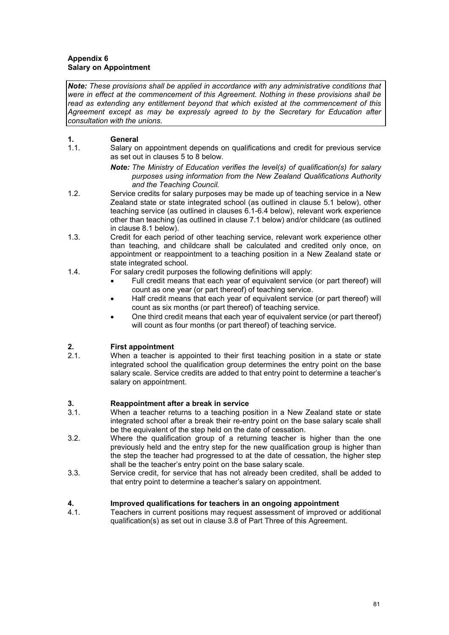## **Appendix 6 Salary on Appointment**

*Note: These provisions shall be applied in accordance with any administrative conditions that were in effect at the commencement of this Agreement. Nothing in these provisions shall be read as extending any entitlement beyond that which existed at the commencement of this Agreement except as may be expressly agreed to by the Secretary for Education after consultation with the unions.*

# **1. General**<br>**1.1. Salary of**

- Salary on appointment depends on qualifications and credit for previous service as set out in clauses 5 to 8 below.
	- *Note: The Ministry of Education verifies the level(s) of qualification(s) for salary purposes using information from the New Zealand Qualifications Authority and the Teaching Council.*
- 1.2. Service credits for salary purposes may be made up of teaching service in a New Zealand state or state integrated school (as outlined in clause 5.1 below), other teaching service (as outlined in clauses 6.1-6.4 below), relevant work experience other than teaching (as outlined in clause 7.1 below) and/or childcare (as outlined in clause 8.1 below).
- 1.3. Credit for each period of other teaching service, relevant work experience other than teaching, and childcare shall be calculated and credited only once, on appointment or reappointment to a teaching position in a New Zealand state or state integrated school.
- 1.4. For salary credit purposes the following definitions will apply:
	- Full credit means that each year of equivalent service (or part thereof) will count as one year (or part thereof) of teaching service.
	- Half credit means that each year of equivalent service (or part thereof) will count as six months (or part thereof) of teaching service.
	- One third credit means that each year of equivalent service (or part thereof) will count as four months (or part thereof) of teaching service.

# **2. First appointment**<br>**2.1.** When a teacher is

When a teacher is appointed to their first teaching position in a state or state integrated school the qualification group determines the entry point on the base salary scale. Service credits are added to that entry point to determine a teacher's salary on appointment.

## **3. Reappointment after a break in service**

- When a teacher returns to a teaching position in a New Zealand state or state integrated school after a break their re-entry point on the base salary scale shall be the equivalent of the step held on the date of cessation.
- 3.2. Where the qualification group of a returning teacher is higher than the one previously held and the entry step for the new qualification group is higher than the step the teacher had progressed to at the date of cessation, the higher step shall be the teacher's entry point on the base salary scale.
- 3.3. Service credit, for service that has not already been credited, shall be added to that entry point to determine a teacher's salary on appointment.

## **4. Improved qualifications for teachers in an ongoing appointment**

4.1. Teachers in current positions may request assessment of improved or additional qualification(s) as set out in clause 3.8 of Part Three of this Agreement.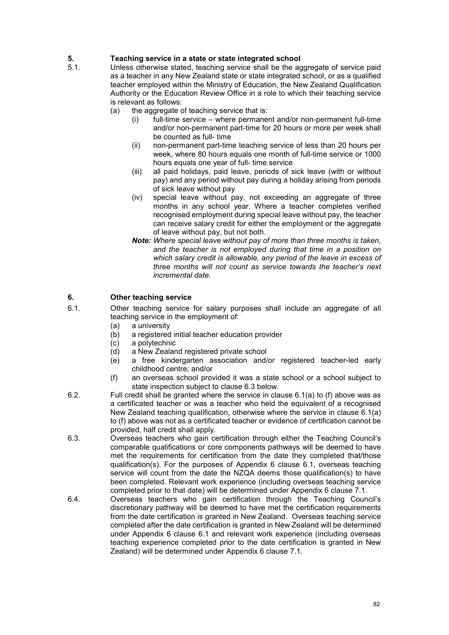# **5. Teaching service in a state or state integrated school**

- Unless otherwise stated, teaching service shall be the aggregate of service paid as a teacher in any New Zealand state or state integrated school, or as a qualified teacher employed within the Ministry of Education, the New Zealand Qualification Authority or the Education Review Office in a role to which their teaching service is relevant as follows:<br>(a) the aggregate of
	- the aggregate of teaching service that is:
		- (i) full-time service where permanent and/or non-permanent full-time and/or non-permanent part-time for 20 hours or more per week shall be counted as full- time
		- (ii) non-permanent part-time teaching service of less than 20 hours per week, where 80 hours equals one month of full-time service or 1000 hours equals one year of full- time service
		- (iii) all paid holidays, paid leave, periods of sick leave (with or without pay) and any period without pay during a holiday arising from periods of sick leave without pay
		- (iv) special leave without pay, not exceeding an aggregate of three months in any school year. Where a teacher completes verified recognised employment during special leave without pay, the teacher can receive salary credit for either the employment or the aggregate of leave without pay, but not both.
		- *Note: Where special leave without pay of more than three months is taken, and the teacher is not employed during that time in a position on which salary credit is allowable, any period of the leave in excess of three months will not count as service towards the teacher's next incremental date.*

## **6. Other teaching service**

- 6.1. Other teaching service for salary purposes shall include an aggregate of all teaching service in the employment of:<br>(a) a university
	- (a) a university<br>(b) a registered
	- (b) a registered initial teacher education provider
	- a polytechnic
	- (d) a New Zealand registered private school<br>(e) a free kindergarten association and/
	- a free kindergarten association and/or registered teacher-led early childhood centre; and/or
	- (f) an overseas school provided it was a state school or a school subject to state inspection subject to clause 6.3 below.
- 6.2. Full credit shall be granted where the service in clause 6.1(a) to (f) above was as a certificated teacher or was a teacher who held the equivalent of a recognised New Zealand teaching qualification, otherwise where the service in clause 6.1(a) to (f) above was not as a certificated teacher or evidence of certification cannot be provided, half credit shall apply.
- 6.3. Overseas teachers who gain certification through either the Teaching Council's comparable qualifications or core components pathways will be deemed to have met the requirements for certification from the date they completed that/those qualification(s). For the purposes of Appendix 6 clause 6.1, overseas teaching service will count from the date the NZQA deems those qualification(s) to have been completed. Relevant work experience (including overseas teaching service completed prior to that date) will be determined under Appendix 6 clause 7.1.
- 6.4. Overseas teachers who gain certification through the Teaching Council's discretionary pathway will be deemed to have met the certification requirements from the date certification is granted in New Zealand. Overseas teaching service completed after the date certification is granted in New Zealand will be determined under Appendix 6 clause 6.1 and relevant work experience (including overseas teaching experience completed prior to the date certification is granted in New Zealand) will be determined under Appendix 6 clause 7.1.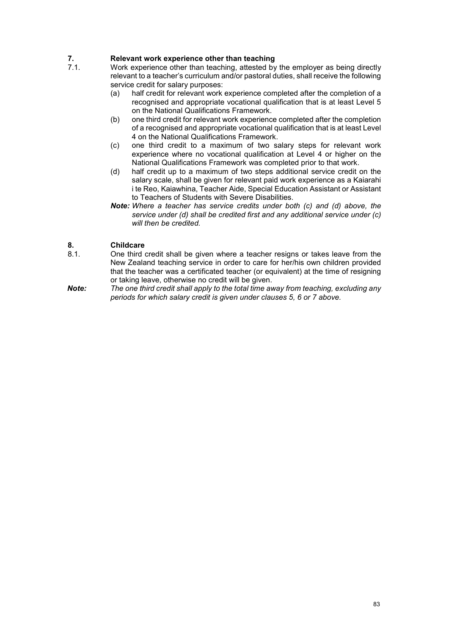# **7. Relevant work experience other than teaching**<br>**7.1.** Work experience other than teaching, attested by

- Work experience other than teaching, attested by the employer as being directly relevant to a teacher's curriculum and/or pastoral duties, shall receive the following service credit for salary purposes:
	- (a) half credit for relevant work experience completed after the completion of a recognised and appropriate vocational qualification that is at least Level 5 on the National Qualifications Framework.
	- (b) one third credit for relevant work experience completed after the completion of a recognised and appropriate vocational qualification that is at least Level 4 on the National Qualifications Framework.
	- (c) one third credit to a maximum of two salary steps for relevant work experience where no vocational qualification at Level 4 or higher on the National Qualifications Framework was completed prior to that work.
	- (d) half credit up to a maximum of two steps additional service credit on the salary scale, shall be given for relevant paid work experience as a Kaiarahi i te Reo, Kaiawhina, Teacher Aide, Special Education Assistant or Assistant to Teachers of Students with Severe Disabilities.
	- *Note: Where a teacher has service credits under both (c) and (d) above, the service under (d) shall be credited first and any additional service under (c) will then be credited.*

## **8. Childcare**

- One third credit shall be given where a teacher resigns or takes leave from the New Zealand teaching service in order to care for her/his own children provided that the teacher was a certificated teacher (or equivalent) at the time of resigning or taking leave, otherwise no credit will be given.
- *Note: The one third credit shall apply to the total time away from teaching, excluding any periods for which salary credit is given under clauses 5, 6 or 7 above.*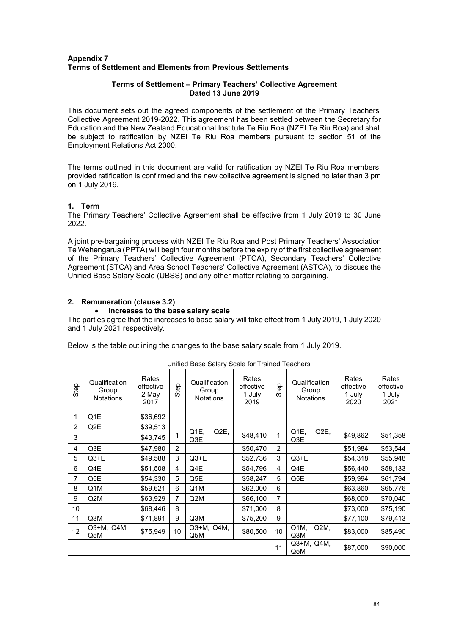## **Appendix 7 Terms of Settlement and Elements from Previous Settlements**

### **Terms of Settlement – Primary Teachers' Collective Agreement Dated 13 June 2019**

This document sets out the agreed components of the settlement of the Primary Teachers' Collective Agreement 2019-2022. This agreement has been settled between the Secretary for Education and the New Zealand Educational Institute Te Riu Roa (NZEI Te Riu Roa) and shall be subject to ratification by NZEI Te Riu Roa members pursuant to section 51 of the Employment Relations Act 2000.

The terms outlined in this document are valid for ratification by NZEI Te Riu Roa members, provided ratification is confirmed and the new collective agreement is signed no later than 3 pm on 1 July 2019.

## **1. Term**

The Primary Teachers' Collective Agreement shall be effective from 1 July 2019 to 30 June 2022.

A joint pre-bargaining process with NZEI Te Riu Roa and Post Primary Teachers' Association Te Wehengarua (PPTA) will begin four months before the expiry of the first collective agreement of the Primary Teachers' Collective Agreement (PTCA), Secondary Teachers' Collective Agreement (STCA) and Area School Teachers' Collective Agreement (ASTCA), to discuss the Unified Base Salary Scale (UBSS) and any other matter relating to bargaining.

## **2. Remuneration (clause 3.2)**

## • **Increases to the base salary scale**

The parties agree that the increases to base salary will take effect from 1 July 2019, 1 July 2020 and 1 July 2021 respectively.

Below is the table outlining the changes to the base salary scale from 1 July 2019.

| Unified Base Salary Scale for Trained Teachers |                                            |                                     |                |                                            |                                      |      |                                            |                                      |                                      |
|------------------------------------------------|--------------------------------------------|-------------------------------------|----------------|--------------------------------------------|--------------------------------------|------|--------------------------------------------|--------------------------------------|--------------------------------------|
| Step                                           | Qualification<br>Group<br><b>Notations</b> | Rates<br>effective<br>2 May<br>2017 | Step           | Qualification<br>Group<br><b>Notations</b> | Rates<br>effective<br>1 July<br>2019 | Step | Qualification<br>Group<br><b>Notations</b> | Rates<br>effective<br>1 July<br>2020 | Rates<br>effective<br>1 July<br>2021 |
| 1                                              | Q1E                                        | \$36,692                            |                |                                            |                                      |      |                                            |                                      |                                      |
| 2                                              | Q2E                                        | \$39,513                            |                | Q <sub>2</sub> E,<br>Q1E.                  |                                      |      | Q1E.<br>Q2E,                               |                                      |                                      |
| 3                                              |                                            | \$43,745                            | 1              | Q3E                                        | \$48,410                             | 1    | Q3E                                        | \$49,862                             | \$51,358                             |
| 4                                              | Q3E                                        | \$47,980                            | $\overline{2}$ |                                            | \$50,470                             | 2    |                                            | \$51,984                             | \$53,544                             |
| 5                                              | Q3+E                                       | \$49,588                            | 3              | $Q3+E$                                     | \$52,736                             | 3    | $Q3+E$                                     | \$54,318                             | \$55,948                             |
| 6                                              | Q4E                                        | \$51,508                            | 4              | Q4E                                        | \$54,796                             | 4    | Q4E                                        | \$56,440                             | \$58,133                             |
| 7                                              | Q5E                                        | \$54,330                            | 5              | Q5E                                        | \$58,247                             | 5    | Q5E                                        | \$59,994                             | \$61,794                             |
| 8                                              | Q1M                                        | \$59,621                            | 6              | Q1M                                        | \$62,000                             | 6    |                                            | \$63,860                             | \$65,776                             |
| 9                                              | Q2M                                        | \$63,929                            | 7              | Q2M                                        | \$66,100                             | 7    |                                            | \$68,000                             | \$70,040                             |
| 10                                             |                                            | \$68,446                            | 8              |                                            | \$71,000                             | 8    |                                            | \$73,000                             | \$75,190                             |
| 11                                             | Q3M                                        | \$71,891                            | 9              | Q3M                                        | \$75,200                             | 9    |                                            | \$77,100                             | \$79,413                             |
| 12                                             | Q3+M, Q4M,<br>Q5M                          | \$75,949                            | 10             | Q3+M, Q4M,<br>Q5M                          | \$80,500                             | 10   | Q1M,<br>Q2M<br>Q <sub>3</sub> M            | \$83,000                             | \$85,490                             |
|                                                |                                            |                                     |                |                                            |                                      | 11   | Q3+M, Q4M,<br>Q5M                          | \$87,000                             | \$90,000                             |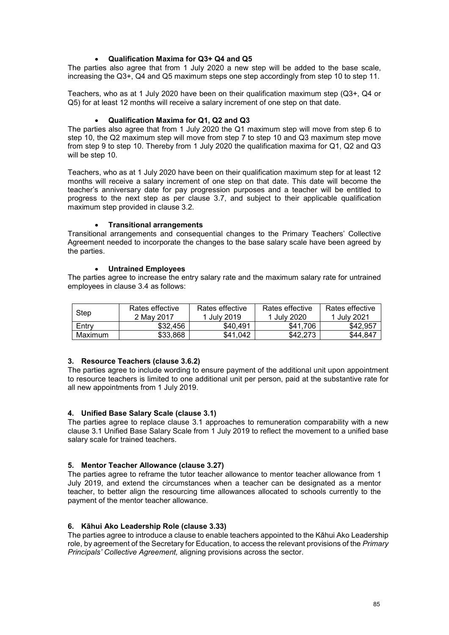## • **Qualification Maxima for Q3+ Q4 and Q5**

The parties also agree that from 1 July 2020 a new step will be added to the base scale, increasing the Q3+, Q4 and Q5 maximum steps one step accordingly from step 10 to step 11.

Teachers, who as at 1 July 2020 have been on their qualification maximum step (Q3+, Q4 or Q5) for at least 12 months will receive a salary increment of one step on that date.

#### • **Qualification Maxima for Q1, Q2 and Q3**

The parties also agree that from 1 July 2020 the Q1 maximum step will move from step 6 to step 10, the Q2 maximum step will move from step 7 to step 10 and Q3 maximum step move from step 9 to step 10. Thereby from 1 July 2020 the qualification maxima for Q1, Q2 and Q3 will be step 10.

Teachers, who as at 1 July 2020 have been on their qualification maximum step for at least 12 months will receive a salary increment of one step on that date. This date will become the teacher's anniversary date for pay progression purposes and a teacher will be entitled to progress to the next step as per clause 3.7, and subject to their applicable qualification maximum step provided in clause 3.2.

#### • **Transitional arrangements**

Transitional arrangements and consequential changes to the Primary Teachers' Collective Agreement needed to incorporate the changes to the base salary scale have been agreed by the parties.

#### • **Untrained Employees**

The parties agree to increase the entry salary rate and the maximum salary rate for untrained employees in clause 3.4 as follows:

|         | Rates effective | Rates effective | Rates effective | Rates effective |
|---------|-----------------|-----------------|-----------------|-----------------|
| Step    | 2 May 2017      | 1 July 2019     | 1 July 2020     | 1 July 2021     |
| Entry   | \$32,456        | \$40.491        | \$41.706        | \$42.957        |
| Maximum | \$33.868        | \$41.042        | \$42.273        | \$44.847        |

## **3. Resource Teachers (clause 3.6.2)**

The parties agree to include wording to ensure payment of the additional unit upon appointment to resource teachers is limited to one additional unit per person, paid at the substantive rate for all new appointments from 1 July 2019.

#### **4. Unified Base Salary Scale (clause 3.1)**

The parties agree to replace clause 3.1 approaches to remuneration comparability with a new clause 3.1 Unified Base Salary Scale from 1 July 2019 to reflect the movement to a unified base salary scale for trained teachers.

#### **5. Mentor Teacher Allowance (clause 3.27)**

The parties agree to reframe the tutor teacher allowance to mentor teacher allowance from 1 July 2019, and extend the circumstances when a teacher can be designated as a mentor teacher, to better align the resourcing time allowances allocated to schools currently to the payment of the mentor teacher allowance.

## **6. Kāhui Ako Leadership Role (clause 3.33)**

The parties agree to introduce a clause to enable teachers appointed to the Kāhui Ako Leadership role, by agreement of the Secretary for Education, to access the relevant provisions of the *Primary Principals' Collective Agreement,* aligning provisions across the sector.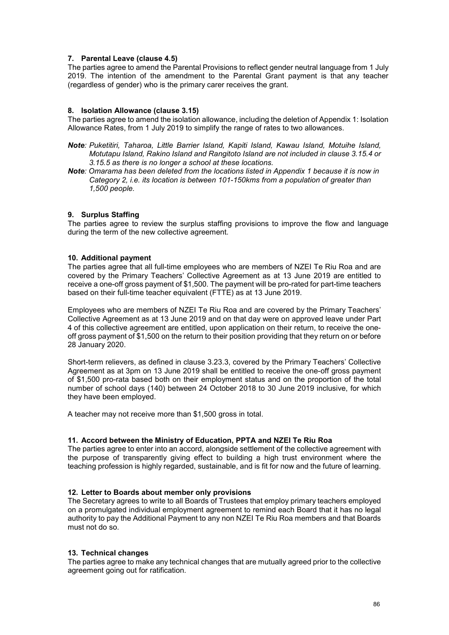## **7. Parental Leave (clause 4.5)**

The parties agree to amend the Parental Provisions to reflect gender neutral language from 1 July 2019. The intention of the amendment to the Parental Grant payment is that any teacher (regardless of gender) who is the primary carer receives the grant.

### **8. Isolation Allowance (clause 3.15)**

The parties agree to amend the isolation allowance, including the deletion of Appendix 1: Isolation Allowance Rates, from 1 July 2019 to simplify the range of rates to two allowances.

- *Note: Puketitiri, Taharoa, Little Barrier Island, Kapiti Island, Kawau Island, Motuihe Island, Motutapu Island, Rakino Island and Rangitoto Island are not included in clause 3.15.4 or 3.15.5 as there is no longer a school at these locations.*
- *Note: Omarama has been deleted from the locations listed in Appendix 1 because it is now in Category 2, i.e. its location is between 101-150kms from a population of greater than 1,500 people.*

#### **9. Surplus Staffing**

The parties agree to review the surplus staffing provisions to improve the flow and language during the term of the new collective agreement.

#### **10. Additional payment**

The parties agree that all full-time employees who are members of NZEI Te Riu Roa and are covered by the Primary Teachers' Collective Agreement as at 13 June 2019 are entitled to receive a one-off gross payment of \$1,500. The payment will be pro-rated for part-time teachers based on their full-time teacher equivalent (FTTE) as at 13 June 2019.

Employees who are members of NZEI Te Riu Roa and are covered by the Primary Teachers' Collective Agreement as at 13 June 2019 and on that day were on approved leave under Part 4 of this collective agreement are entitled, upon application on their return, to receive the oneoff gross payment of \$1,500 on the return to their position providing that they return on or before 28 January 2020.

Short-term relievers, as defined in clause 3.23.3, covered by the Primary Teachers' Collective Agreement as at 3pm on 13 June 2019 shall be entitled to receive the one-off gross payment of \$1,500 pro-rata based both on their employment status and on the proportion of the total number of school days (140) between 24 October 2018 to 30 June 2019 inclusive, for which they have been employed.

A teacher may not receive more than \$1,500 gross in total.

#### **11. Accord between the Ministry of Education, PPTA and NZEI Te Riu Roa**

The parties agree to enter into an accord, alongside settlement of the collective agreement with the purpose of transparently giving effect to building a high trust environment where the teaching profession is highly regarded, sustainable, and is fit for now and the future of learning.

#### **12. Letter to Boards about member only provisions**

The Secretary agrees to write to all Boards of Trustees that employ primary teachers employed on a promulgated individual employment agreement to remind each Board that it has no legal authority to pay the Additional Payment to any non NZEI Te Riu Roa members and that Boards must not do so.

#### **13. Technical changes**

The parties agree to make any technical changes that are mutually agreed prior to the collective agreement going out for ratification.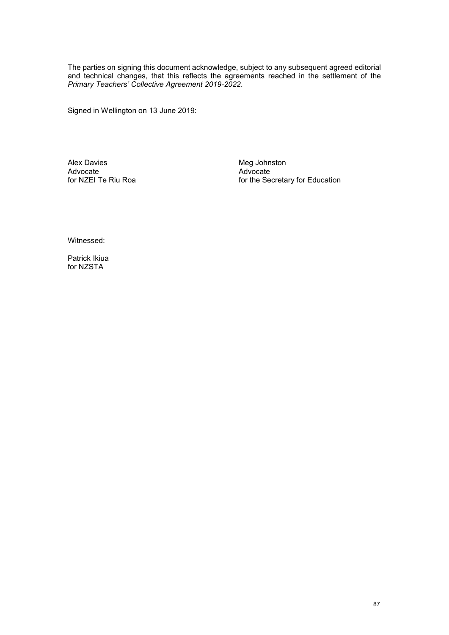The parties on signing this document acknowledge, subject to any subsequent agreed editorial and technical changes, that this reflects the agreements reached in the settlement of the *Primary Teachers' Collective Agreement 2019-2022*.

Signed in Wellington on 13 June 2019:

Alex Davies<br>
Advocate<br>
Advocate<br>
Advocate<br>
Advocate Advocate Advocate

for the Secretary for Education

Witnessed:

Patrick Ikiua for NZSTA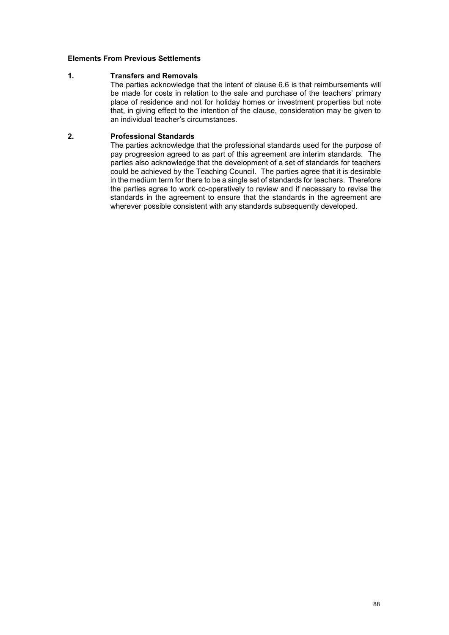### **Elements From Previous Settlements**

#### **1. Transfers and Removals**

The parties acknowledge that the intent of clause 6.6 is that reimbursements will be made for costs in relation to the sale and purchase of the teachers' primary place of residence and not for holiday homes or investment properties but note that, in giving effect to the intention of the clause, consideration may be given to an individual teacher's circumstances.

### **2. Professional Standards**

The parties acknowledge that the professional standards used for the purpose of pay progression agreed to as part of this agreement are interim standards. The parties also acknowledge that the development of a set of standards for teachers could be achieved by the Teaching Council. The parties agree that it is desirable in the medium term for there to be a single set of standards for teachers. Therefore the parties agree to work co-operatively to review and if necessary to revise the standards in the agreement to ensure that the standards in the agreement are wherever possible consistent with any standards subsequently developed.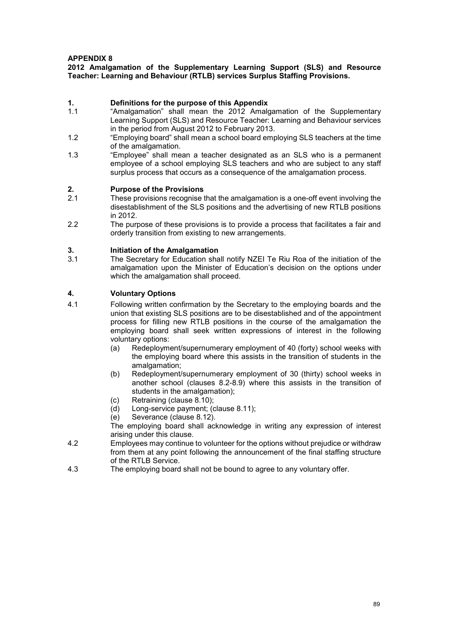## **APPENDIX 8**

#### **2012 Amalgamation of the Supplementary Learning Support (SLS) and Resource Teacher: Learning and Behaviour (RTLB) services Surplus Staffing Provisions.**

# **1. Definitions for the purpose of this Appendix**

- "Amalgamation" shall mean the 2012 Amalgamation of the Supplementary Learning Support (SLS) and Resource Teacher: Learning and Behaviour services in the period from August 2012 to February 2013.
- 1.2 "Employing board" shall mean a school board employing SLS teachers at the time of the amalgamation.
- 1.3 "Employee" shall mean a teacher designated as an SLS who is a permanent employee of a school employing SLS teachers and who are subject to any staff surplus process that occurs as a consequence of the amalgamation process.

## **2. Purpose of the Provisions**

- These provisions recognise that the amalgamation is a one-off event involving the disestablishment of the SLS positions and the advertising of new RTLB positions in 2012.
- 2.2 The purpose of these provisions is to provide a process that facilitates a fair and orderly transition from existing to new arrangements.

## **3. Initiation of the Amalgamation**

The Secretary for Education shall notify NZEI Te Riu Roa of the initiation of the amalgamation upon the Minister of Education's decision on the options under which the amalgamation shall proceed.

#### **4. Voluntary Options**

- 4.1 Following written confirmation by the Secretary to the employing boards and the union that existing SLS positions are to be disestablished and of the appointment process for filling new RTLB positions in the course of the amalgamation the employing board shall seek written expressions of interest in the following voluntary options:
	- (a) Redeployment/supernumerary employment of 40 (forty) school weeks with the employing board where this assists in the transition of students in the amalgamation;
	- (b) Redeployment/supernumerary employment of 30 (thirty) school weeks in another school (clauses 8.2-8.9) where this assists in the transition of students in the amalgamation);
	- (c) Retraining (clause 8.10);<br>(d) Long-service payment; (
	- Long-service payment; (clause 8.11);
	- (e) Severance (clause 8.12).

The employing board shall acknowledge in writing any expression of interest arising under this clause.

- 4.2 Employees may continue to volunteer for the options without prejudice or withdraw from them at any point following the announcement of the final staffing structure of the RTLB Service.
- 4.3 The employing board shall not be bound to agree to any voluntary offer.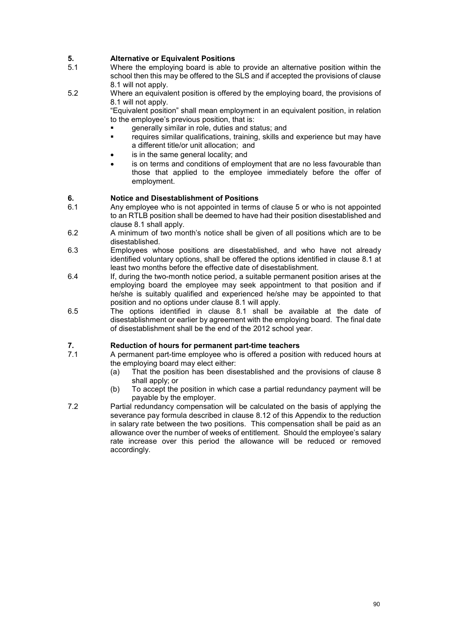# **5. Alternative or Equivalent Positions**

- Where the employing board is able to provide an alternative position within the school then this may be offered to the SLS and if accepted the provisions of clause 8.1 will not apply.
- 5.2 Where an equivalent position is offered by the employing board, the provisions of 8.1 will not apply.

"Equivalent position" shall mean employment in an equivalent position, in relation to the employee's previous position, that is:

- generally similar in role, duties and status; and
- requires similar qualifications, training, skills and experience but may have a different title/or unit allocation; and
- is in the same general locality; and
- is on terms and conditions of employment that are no less favourable than those that applied to the employee immediately before the offer of employment.

#### **6. Notice and Disestablishment of Positions**

- 6.1 Any employee who is not appointed in terms of clause 5 or who is not appointed to an RTLB position shall be deemed to have had their position disestablished and clause 8.1 shall apply.
- 6.2 A minimum of two month's notice shall be given of all positions which are to be disestablished.
- 6.3 Employees whose positions are disestablished, and who have not already identified voluntary options, shall be offered the options identified in clause 8.1 at least two months before the effective date of disestablishment.
- 6.4 If, during the two-month notice period, a suitable permanent position arises at the employing board the employee may seek appointment to that position and if he/she is suitably qualified and experienced he/she may be appointed to that position and no options under clause 8.1 will apply.
- 6.5 The options identified in clause 8.1 shall be available at the date of disestablishment or earlier by agreement with the employing board. The final date of disestablishment shall be the end of the 2012 school year.

## **7. Reduction of hours for permanent part-time teachers**

- A permanent part-time employee who is offered a position with reduced hours at the employing board may elect either:
	- (a) That the position has been disestablished and the provisions of clause 8 shall apply; or
	- (b) To accept the position in which case a partial redundancy payment will be payable by the employer.
- 7.2 Partial redundancy compensation will be calculated on the basis of applying the severance pay formula described in clause 8.12 of this Appendix to the reduction in salary rate between the two positions. This compensation shall be paid as an allowance over the number of weeks of entitlement. Should the employee's salary rate increase over this period the allowance will be reduced or removed accordingly.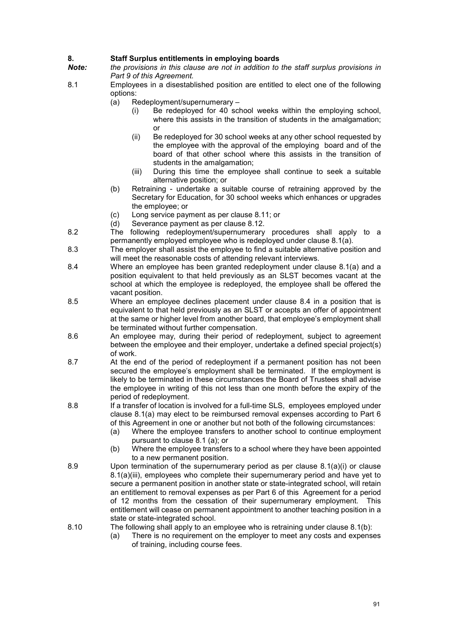# **8. Staff Surplus entitlements in employing boards**

*Note: the provisions in this clause are not in addition to the staff surplus provisions in Part 9 of this Agreement.*

- 8.1 Employees in a disestablished position are entitled to elect one of the following options:
	- (a) Redeployment/supernumerary
		- (i) Be redeployed for 40 school weeks within the employing school, where this assists in the transition of students in the amalgamation; or
		- (ii) Be redeployed for 30 school weeks at any other school requested by the employee with the approval of the employing board and of the board of that other school where this assists in the transition of students in the amalgamation;
		- (iii) During this time the employee shall continue to seek a suitable alternative position; or
	- (b) Retraining undertake a suitable course of retraining approved by the Secretary for Education, for 30 school weeks which enhances or upgrades the employee; or
	- (c) Long service payment as per clause 8.11; or
	- (d) Severance payment as per clause 8.12.
- 8.2 The following redeployment/supernumerary procedures shall apply to a permanently employed employee who is redeployed under clause 8.1(a).
- 8.3 The employer shall assist the employee to find a suitable alternative position and will meet the reasonable costs of attending relevant interviews.
- 8.4 Where an employee has been granted redeployment under clause 8.1(a) and a position equivalent to that held previously as an SLST becomes vacant at the school at which the employee is redeployed, the employee shall be offered the vacant position.
- 8.5 Where an employee declines placement under clause 8.4 in a position that is equivalent to that held previously as an SLST or accepts an offer of appointment at the same or higher level from another board, that employee's employment shall be terminated without further compensation.
- 8.6 An employee may, during their period of redeployment, subject to agreement between the employee and their employer, undertake a defined special project(s) of work.
- 8.7 At the end of the period of redeployment if a permanent position has not been secured the employee's employment shall be terminated. If the employment is likely to be terminated in these circumstances the Board of Trustees shall advise the employee in writing of this not less than one month before the expiry of the period of redeployment.
- 8.8 If a transfer of location is involved for a full-time SLS, employees employed under clause 8.1(a) may elect to be reimbursed removal expenses according to Part 6 of this Agreement in one or another but not both of the following circumstances:
	- (a) Where the employee transfers to another school to continue employment pursuant to clause 8.1 (a); or
	- (b) Where the employee transfers to a school where they have been appointed to a new permanent position.
- 8.9 Upon termination of the supernumerary period as per clause 8.1(a)(i) or clause 8.1(a)(iii), employees who complete their supernumerary period and have yet to secure a permanent position in another state or state-integrated school, will retain an entitlement to removal expenses as per Part 6 of this Agreement for a period of 12 months from the cessation of their supernumerary employment. This entitlement will cease on permanent appointment to another teaching position in a state or state-integrated school.
- 8.10 The following shall apply to an employee who is retraining under clause 8.1(b):
	- (a) There is no requirement on the employer to meet any costs and expenses of training, including course fees.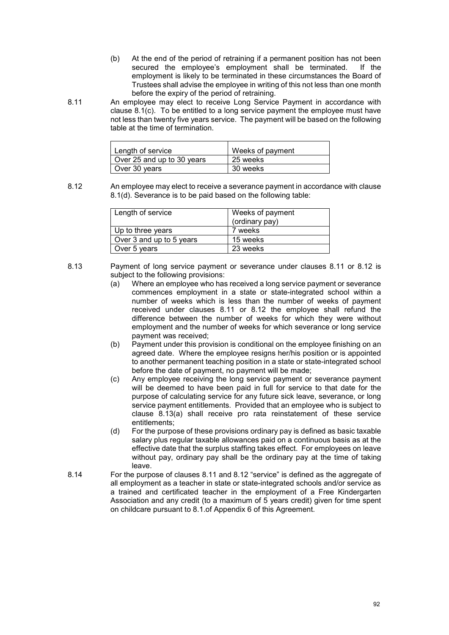- (b) At the end of the period of retraining if a permanent position has not been secured the employee's employment shall be terminated. If the employment is likely to be terminated in these circumstances the Board of Trustees shall advise the employee in writing of this not less than one month before the expiry of the period of retraining.
- 8.11 An employee may elect to receive Long Service Payment in accordance with clause 8.1(c). To be entitled to a long service payment the employee must have not less than twenty five years service. The payment will be based on the following table at the time of termination.

| Length of service          | Weeks of payment |
|----------------------------|------------------|
| Over 25 and up to 30 years | 25 weeks         |
| Over 30 years              | 30 weeks         |

8.12 An employee may elect to receive a severance payment in accordance with clause 8.1(d). Severance is to be paid based on the following table:

| Length of service        | Weeks of payment<br>(ordinary pay) |
|--------------------------|------------------------------------|
| Up to three years        | 7 weeks                            |
| Over 3 and up to 5 years | 15 weeks                           |
| Over 5 years             | 23 weeks                           |

- 8.13 Payment of long service payment or severance under clauses 8.11 or 8.12 is subject to the following provisions:
	- (a) Where an employee who has received a long service payment or severance commences employment in a state or state-integrated school within a number of weeks which is less than the number of weeks of payment received under clauses 8.11 or 8.12 the employee shall refund the difference between the number of weeks for which they were without employment and the number of weeks for which severance or long service payment was received;
	- (b) Payment under this provision is conditional on the employee finishing on an agreed date. Where the employee resigns her/his position or is appointed to another permanent teaching position in a state or state-integrated school before the date of payment, no payment will be made;
	- (c) Any employee receiving the long service payment or severance payment will be deemed to have been paid in full for service to that date for the purpose of calculating service for any future sick leave, severance, or long service payment entitlements. Provided that an employee who is subject to clause 8.13(a) shall receive pro rata reinstatement of these service entitlements;
	- (d) For the purpose of these provisions ordinary pay is defined as basic taxable salary plus regular taxable allowances paid on a continuous basis as at the effective date that the surplus staffing takes effect. For employees on leave without pay, ordinary pay shall be the ordinary pay at the time of taking leave.
- 8.14 For the purpose of clauses 8.11 and 8.12 "service" is defined as the aggregate of all employment as a teacher in state or state-integrated schools and/or service as a trained and certificated teacher in the employment of a Free Kindergarten Association and any credit (to a maximum of 5 years credit) given for time spent on childcare pursuant to 8.1.of Appendix 6 of this Agreement.

92